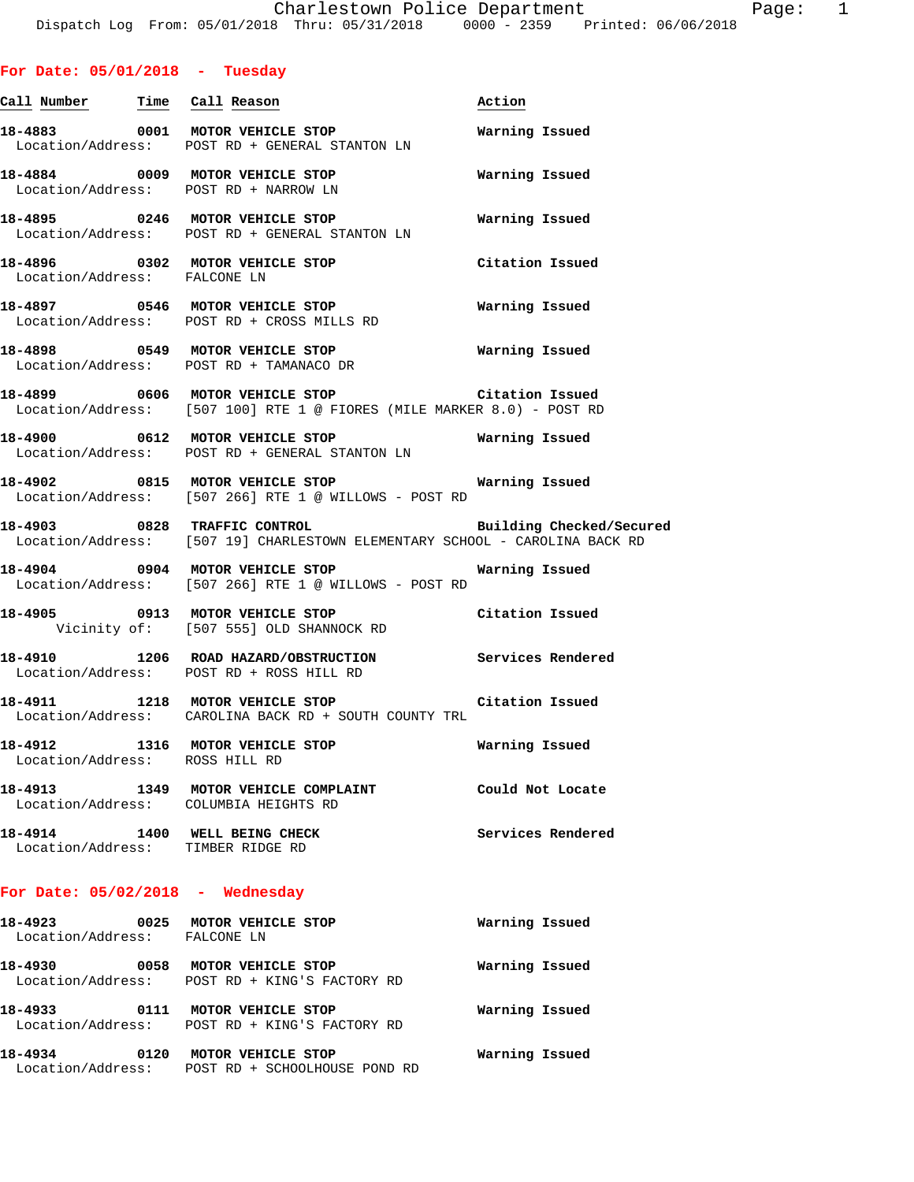# **For Date: 05/01/2018 - Tuesday**

| Call Number Time Call Reason                                       |                                                                                                                              | Action                   |
|--------------------------------------------------------------------|------------------------------------------------------------------------------------------------------------------------------|--------------------------|
|                                                                    | 18-4883 0001 MOTOR VEHICLE STOP<br>Location/Address: POST RD + GENERAL STANTON LN                                            | Warning Issued           |
|                                                                    | 18-4884 0009 MOTOR VEHICLE STOP<br>Location/Address: POST RD + NARROW LN                                                     | Warning Issued           |
|                                                                    | 18-4895 0246 MOTOR VEHICLE STOP<br>Location/Address: POST RD + GENERAL STANTON LN                                            | Warning Issued           |
| Location/Address: FALCONE LN                                       | 18-4896 0302 MOTOR VEHICLE STOP                                                                                              | Citation Issued          |
|                                                                    | 18-4897 0546 MOTOR VEHICLE STOP<br>Location/Address: POST RD + CROSS MILLS RD                                                | Warning Issued           |
|                                                                    | 18-4898 0549 MOTOR VEHICLE STOP<br>Location/Address: POST RD + TAMANACO DR                                                   | Warning Issued           |
|                                                                    | 18-4899 0606 MOTOR VEHICLE STOP 10 Citation Issued<br>Location/Address: [507 100] RTE 1 @ FIORES (MILE MARKER 8.0) - POST RD |                          |
|                                                                    | 18-4900 0612 MOTOR VEHICLE STOP<br>Location/Address: POST RD + GENERAL STANTON LN                                            | Warning Issued           |
|                                                                    | 18-4902 0815 MOTOR VEHICLE STOP Warning Issued<br>Location/Address: [507 266] RTE 1 @ WILLOWS - POST RD                      |                          |
|                                                                    | 18-4903 0828 TRAFFIC CONTROL<br>Location/Address: [507 19] CHARLESTOWN ELEMENTARY SCHOOL - CAROLINA BACK RD                  | Building Checked/Secured |
|                                                                    | Location/Address: [507 266] RTE 1 @ WILLOWS - POST RD                                                                        |                          |
|                                                                    | 18-4905 0913 MOTOR VEHICLE STOP Citation Issued<br>Vicinity of: [507 555] OLD SHANNOCK RD                                    |                          |
|                                                                    | 18-4910 1206 ROAD HAZARD/OBSTRUCTION Services Rendered<br>Location/Address: POST RD + ROSS HILL RD                           |                          |
|                                                                    | 18-4911 1218 MOTOR VEHICLE STOP Citation Issued<br>Location/Address: CAROLINA BACK RD + SOUTH COUNTY TRL                     |                          |
| Location/Address: ROSS HILL RD                                     | 18-4912 1316 MOTOR VEHICLE STOP 6 Warning Issued                                                                             |                          |
| Location/Address: COLUMBIA HEIGHTS RD                              | 18-4913 1349 MOTOR VEHICLE COMPLAINT                                                                                         | Could Not Locate         |
| 18-4914 1400 WELL BEING CHECK<br>Location/Address: TIMBER RIDGE RD |                                                                                                                              | Services Rendered        |
| For Date: $05/02/2018$ - Wednesday                                 |                                                                                                                              |                          |
| 18-4923 0025 MOTOR VEHICLE STOP<br>Location/Address: FALCONE LN    |                                                                                                                              | Warning Issued           |

**18-4930 0058 MOTOR VEHICLE STOP Warning Issued** 

**18-4933 0111 MOTOR VEHICLE STOP Warning Issued** 

**18-4934 0120 MOTOR VEHICLE STOP Warning Issued** 

Location/Address: POST RD + KING'S FACTORY RD

Location/Address: POST RD + KING'S FACTORY RD

Location/Address: POST RD + SCHOOLHOUSE POND RD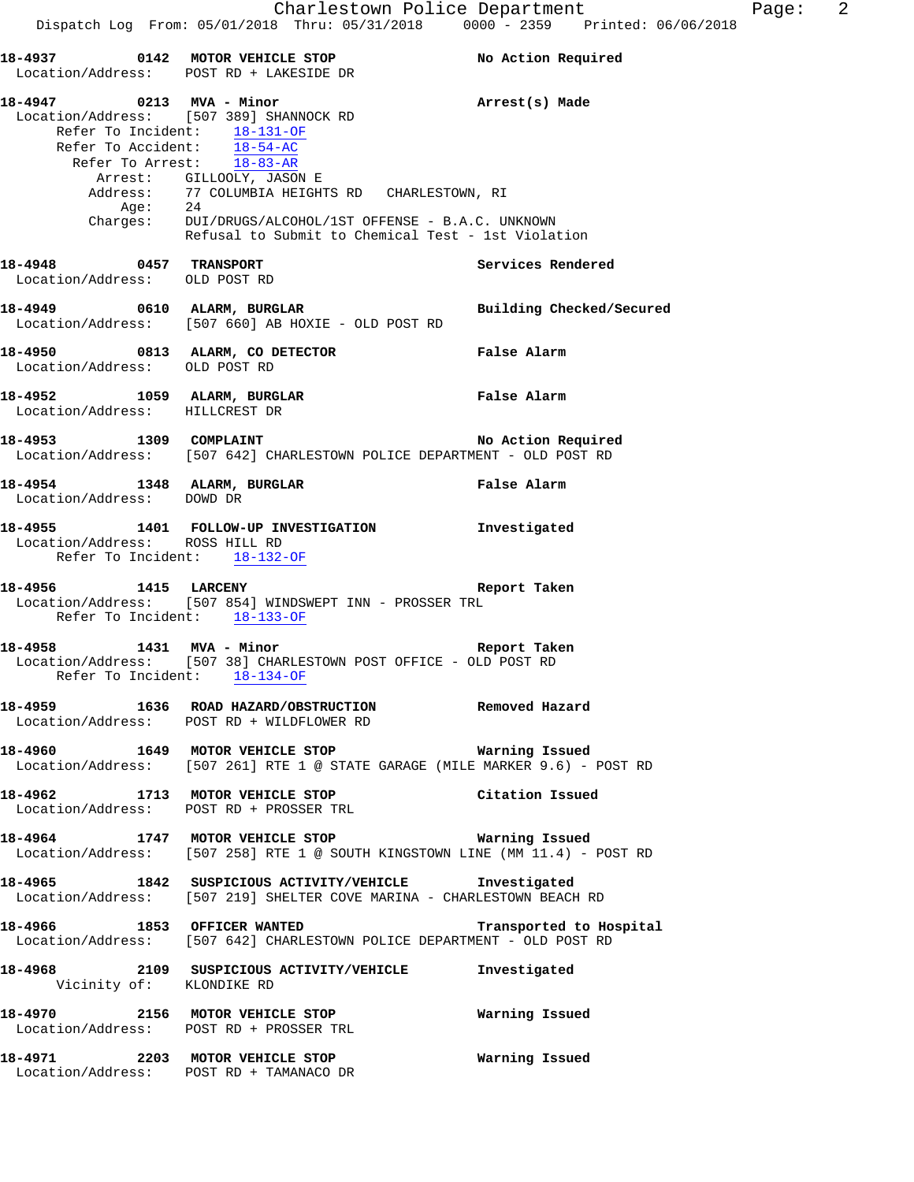**18-4937 0142 MOTOR VEHICLE STOP No Action Required**  Location/Address: POST RD + LAKESIDE DR **18-4947 0213 MVA - Minor Arrest(s) Made**  Location/Address: [507 389] SHANNOCK RD Refer To Incident: 18-131-OF Refer To Accident: 18-54-AC Refer To Arrest: 18-83-AR Arrest: GILLOOLY, JASON E Address: 77 COLUMBIA HEIGHTS RD CHARLESTOWN, RI Age: 24 Charges: DUI/DRUGS/ALCOHOL/1ST OFFENSE - B.A.C. UNKNOWN Refusal to Submit to Chemical Test - 1st Violation **18-4948 0457 TRANSPORT Services Rendered**  Location/Address: OLD POST RD **18-4949 0610 ALARM, BURGLAR Building Checked/Secured**  Location/Address: [507 660] AB HOXIE - OLD POST RD **18-4950 0813 ALARM, CO DETECTOR False Alarm**  Location/Address: OLD POST RD **18-4952 1059 ALARM, BURGLAR False Alarm**  Location/Address: HILLCREST DR **18-4953 1309 COMPLAINT No Action Required**  Location/Address: [507 642] CHARLESTOWN POLICE DEPARTMENT - OLD POST RD **18-4954 1348 ALARM, BURGLAR False Alarm**  Location/Address: DOWD DR **18-4955 1401 FOLLOW-UP INVESTIGATION Investigated**  Location/Address: ROSS HILL RD Refer To Incident: 18-132-OF **18-4956 1415 LARCENY Report Taken**  Location/Address: [507 854] WINDSWEPT INN - PROSSER TRL Refer To Incident: 18-133-OF **18-4958 1431 MVA - Minor Report Taken**  Location/Address: [507 38] CHARLESTOWN POST OFFICE - OLD POST RD Refer To Incident: 18-134-OF **18-4959 1636 ROAD HAZARD/OBSTRUCTION Removed Hazard**  Location/Address: POST RD + WILDFLOWER RD **18-4960 1649 MOTOR VEHICLE STOP Warning Issued**  Location/Address: [507 261] RTE 1 @ STATE GARAGE (MILE MARKER 9.6) - POST RD **18-4962 1713 MOTOR VEHICLE STOP Citation Issued**  Location/Address: POST RD + PROSSER TRL **18-4964 1747 MOTOR VEHICLE STOP Warning Issued**  Location/Address: [507 258] RTE 1 @ SOUTH KINGSTOWN LINE (MM 11.4) - POST RD **18-4965 1842 SUSPICIOUS ACTIVITY/VEHICLE Investigated**  Location/Address: [507 219] SHELTER COVE MARINA - CHARLESTOWN BEACH RD **18-4966 1853 OFFICER WANTED Transported to Hospital**  Location/Address: [507 642] CHARLESTOWN POLICE DEPARTMENT - OLD POST RD **18-4968 2109 SUSPICIOUS ACTIVITY/VEHICLE Investigated**  Vicinity of: KLONDIKE RD

**18-4970 2156 MOTOR VEHICLE STOP Warning Issued**  Location/Address: POST RD + PROSSER TRL **18-4971 2203 MOTOR VEHICLE STOP Warning Issued** 

Location/Address: POST RD + TAMANACO DR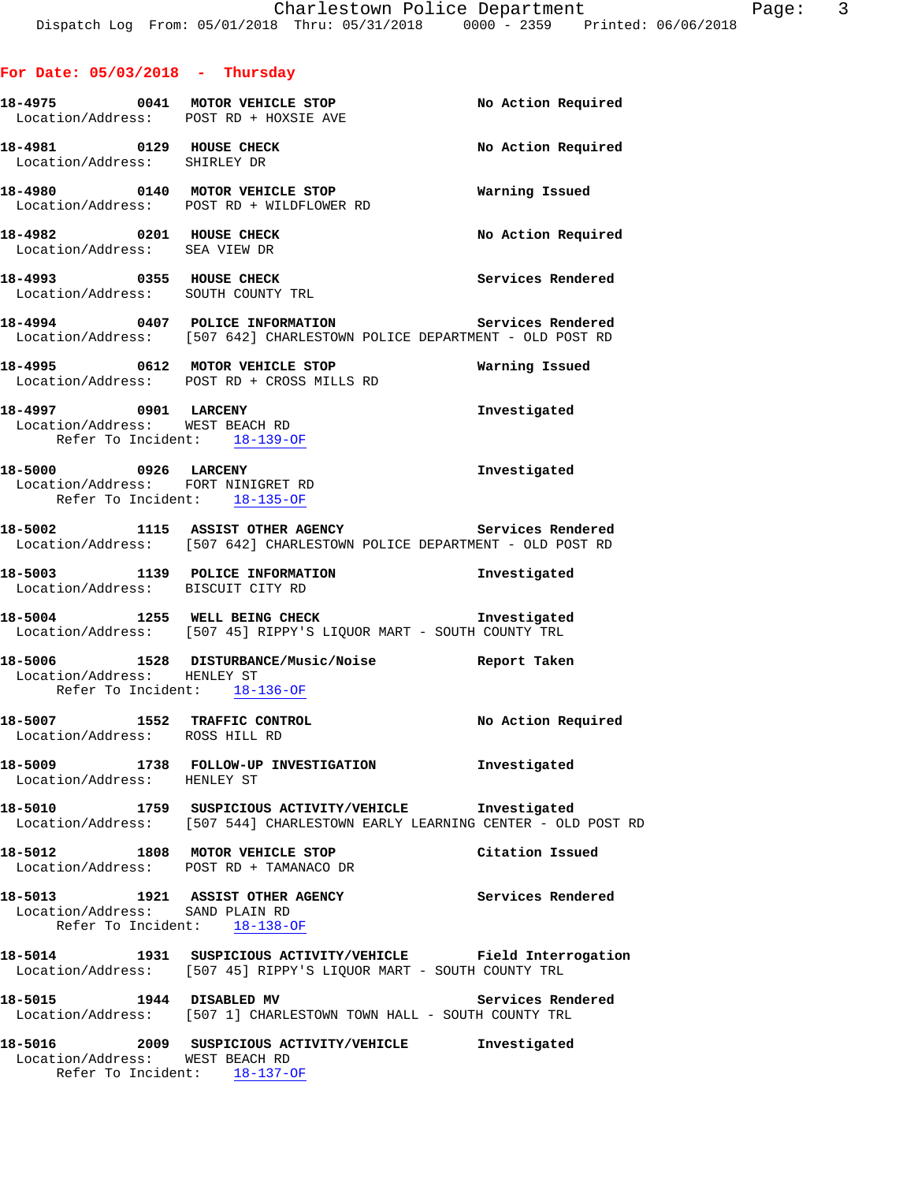# **For Date: 05/03/2018 - Thursday**

|                                 | 18-4975 0041 MOTOR VEHICLE STOP<br>Location/Address: POST RD + HOXSIE AVE                                                            | No Action Required |
|---------------------------------|--------------------------------------------------------------------------------------------------------------------------------------|--------------------|
| Location/Address: SHIRLEY DR    | 18-4981 0129 HOUSE CHECK                                                                                                             | No Action Required |
|                                 | Location/Address: POST RD + WILDFLOWER RD                                                                                            |                    |
|                                 | 18-4982 0201 HOUSE CHECK<br>Location/Address: SEA VIEW DR                                                                            | No Action Required |
|                                 | 18-4993 0355 HOUSE CHECK<br>Location/Address: SOUTH COUNTY TRL                                                                       | Services Rendered  |
|                                 | 18-4994 0407 POLICE INFORMATION Services Rendered<br>Location/Address: [507 642] CHARLESTOWN POLICE DEPARTMENT - OLD POST RD         |                    |
|                                 | 18-4995 0612 MOTOR VEHICLE STOP 7 Warning Issued<br>Location/Address: POST RD + CROSS MILLS RD                                       |                    |
| 18-4997 0901 LARCENY            | Location/Address: WEST BEACH RD<br>Refer To Incident: 18-139-OF                                                                      | Investigated       |
|                                 | 18-5000 0926 LARCENY<br>Location/Address: FORT NINIGRET RD<br>Refer To Incident: 18-135-OF                                           | Investigated       |
|                                 | Location/Address: [507 642] CHARLESTOWN POLICE DEPARTMENT - OLD POST RD                                                              |                    |
|                                 | 18-5003 1139 POLICE INFORMATION<br>Location/Address: BISCUIT CITY RD                                                                 | Investigated       |
|                                 | 18-5004 1255 WELL BEING CHECK 18-5004<br>Location/Address: [507 45] RIPPY'S LIQUOR MART - SOUTH COUNTY TRL                           |                    |
| Location/Address: HENLEY ST     | 18-5006 1528 DISTURBANCE/Music/Noise Report Taken<br>Refer To Incident: 18-136-OF                                                    |                    |
| Location/Address: ROSS HILL RD  | 18-5007 1552 TRAFFIC CONTROL                                                                                                         | No Action Required |
| Location/Address: HENLEY ST     | 18-5009 1738 FOLLOW-UP INVESTIGATION                                                                                                 | Investigated       |
|                                 | 18-5010 1759 SUSPICIOUS ACTIVITY/VEHICLE Investigated<br>Location/Address: [507 544] CHARLESTOWN EARLY LEARNING CENTER - OLD POST RD |                    |
|                                 | 18-5012 1808 MOTOR VEHICLE STOP<br>Location/Address: POST RD + TAMANACO DR                                                           | Citation Issued    |
| Location/Address: SAND PLAIN RD | 18-5013 1921 ASSIST OTHER AGENCY<br>Refer To Incident: 18-138-OF                                                                     | Services Rendered  |
|                                 | 18-5014 1931 SUSPICIOUS ACTIVITY/VEHICLE Field Interrogation<br>Location/Address: [507 45] RIPPY'S LIQUOR MART - SOUTH COUNTY TRL    |                    |
|                                 | 18-5015 1944 DISABLED MV<br>Location/Address: [507 1] CHARLESTOWN TOWN HALL - SOUTH COUNTY TRL                                       | Services Rendered  |
|                                 | 18-5016 2009 SUSPICIOUS ACTIVITY/VEHICLE Investigated<br>Location/Address: WEST BEACH RD<br>Refer To Incident: 18-137-OF             |                    |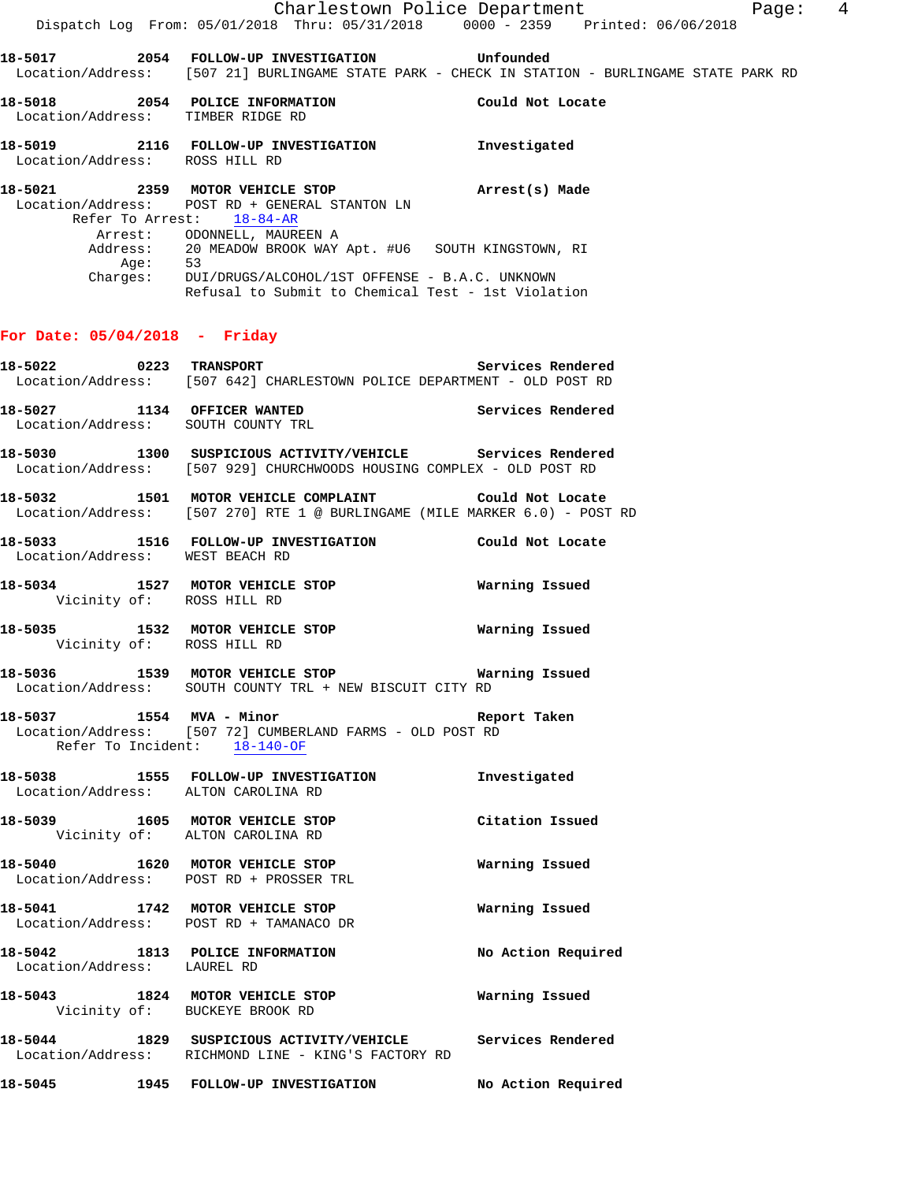|                                                          | Dispatch Log From: 05/01/2018 Thru: 05/31/2018 0000 - 2359 Printed: 06/06/2018                                                                                                                                                                                                                                                              | Charlestown Police Department Page: 4                                                          |  |
|----------------------------------------------------------|---------------------------------------------------------------------------------------------------------------------------------------------------------------------------------------------------------------------------------------------------------------------------------------------------------------------------------------------|------------------------------------------------------------------------------------------------|--|
|                                                          | 18-5017  2054  FOLLOW-UP INVESTIGATION  Unfounded                                                                                                                                                                                                                                                                                           | Location/Address: [507 21] BURLINGAME STATE PARK - CHECK IN STATION - BURLINGAME STATE PARK RD |  |
| Location/Address: TIMBER RIDGE RD                        | 18-5018 2054 POLICE INFORMATION Could Not Locate                                                                                                                                                                                                                                                                                            |                                                                                                |  |
| Location/Address: ROSS HILL RD                           | 18-5019 2116 FOLLOW-UP INVESTIGATION Investigated                                                                                                                                                                                                                                                                                           |                                                                                                |  |
| Age: 53                                                  | 18-5021 2359 MOTOR VEHICLE STOP (Arrest(s) Made<br>Location/Address: POST RD + GENERAL STANTON LN<br>Refer To Arrest: 18-84-AR<br>Arrest: ODONNELL, MAUREEN A<br>Address: 20 MEADOW BROOK WAY Apt. #U6 SOUTH KINGSTOWN, RI<br>Charges: DUI/DRUGS/ALCOHOL/1ST OFFENSE - B.A.C. UNKNOWN<br>Refusal to Submit to Chemical Test - 1st Violation |                                                                                                |  |
| For Date: $05/04/2018$ - Friday                          |                                                                                                                                                                                                                                                                                                                                             |                                                                                                |  |
|                                                          | $18-5022$ 0223 TRANSPORT<br>Location/Address: [507 642] CHARLESTOWN POLICE DEPARTMENT - OLD POST RD                                                                                                                                                                                                                                         | Services Rendered                                                                              |  |
| Location/Address: SOUTH COUNTY TRL                       | 18-5027 1134 OFFICER WANTED Services Rendered                                                                                                                                                                                                                                                                                               |                                                                                                |  |
|                                                          | 18-5030 1300 SUSPICIOUS ACTIVITY/VEHICLE Services Rendered<br>Location/Address: [507 929] CHURCHWOODS HOUSING COMPLEX - OLD POST RD                                                                                                                                                                                                         |                                                                                                |  |
|                                                          | 18-5032 1501 MOTOR VEHICLE COMPLAINT Could Not Locate<br>Location/Address: [507 270] RTE 1 @ BURLINGAME (MILE MARKER 6.0) - POST RD                                                                                                                                                                                                         |                                                                                                |  |
| Location/Address: WEST BEACH RD                          | 18-5033 1516 FOLLOW-UP INVESTIGATION Could Not Locate                                                                                                                                                                                                                                                                                       |                                                                                                |  |
| Vicinity of: ROSS HILL RD                                | 18-5034 1527 MOTOR VEHICLE STOP <b>WATER MEET ALSO</b>                                                                                                                                                                                                                                                                                      |                                                                                                |  |
| Vicinity of: ROSS HILL RD                                | 18-5035 1532 MOTOR VEHICLE STOP 18 Warning Issued                                                                                                                                                                                                                                                                                           |                                                                                                |  |
|                                                          | 18-5036 1539 MOTOR VEHICLE STOP 18 Warning Issued<br>Location/Address: SOUTH COUNTY TRL + NEW BISCUIT CITY RD                                                                                                                                                                                                                               |                                                                                                |  |
| 18-5037 1554 MVA - Minor<br>Refer To Incident: 18-140-OF | <b>Example 21 Report Taken</b><br>Location/Address: [507 72] CUMBERLAND FARMS - OLD POST RD                                                                                                                                                                                                                                                 |                                                                                                |  |
| Location/Address: ALTON CAROLINA RD                      | 18-5038 1555 FOLLOW-UP INVESTIGATION                                                                                                                                                                                                                                                                                                        | Investigated                                                                                   |  |
| Vicinity of: ALTON CAROLINA RD                           | 18-5039 1605 MOTOR VEHICLE STOP                                                                                                                                                                                                                                                                                                             | Citation Issued                                                                                |  |
|                                                          | 18-5040 1620 MOTOR VEHICLE STOP<br>Location/Address: POST RD + PROSSER TRL                                                                                                                                                                                                                                                                  | Warning Issued                                                                                 |  |
| Location/Address: POST RD + TAMANACO DR                  | 18-5041 1742 MOTOR VEHICLE STOP                                                                                                                                                                                                                                                                                                             | Warning Issued                                                                                 |  |
| Location/Address: LAUREL RD                              | 18-5042 1813 POLICE INFORMATION                                                                                                                                                                                                                                                                                                             | No Action Required                                                                             |  |
| Vicinity of: BUCKEYE BROOK RD                            | 18-5043 1824 MOTOR VEHICLE STOP                                                                                                                                                                                                                                                                                                             | Warning Issued                                                                                 |  |
|                                                          | 18-5044 1829 SUSPICIOUS ACTIVITY/VEHICLE Services Rendered<br>Location/Address: RICHMOND LINE - KING'S FACTORY RD                                                                                                                                                                                                                           |                                                                                                |  |
|                                                          | 18-5045    1945    FOLLOW-UP INVESTIGATION                                                                                                                                                                                                                                                                                                  | No Action Required                                                                             |  |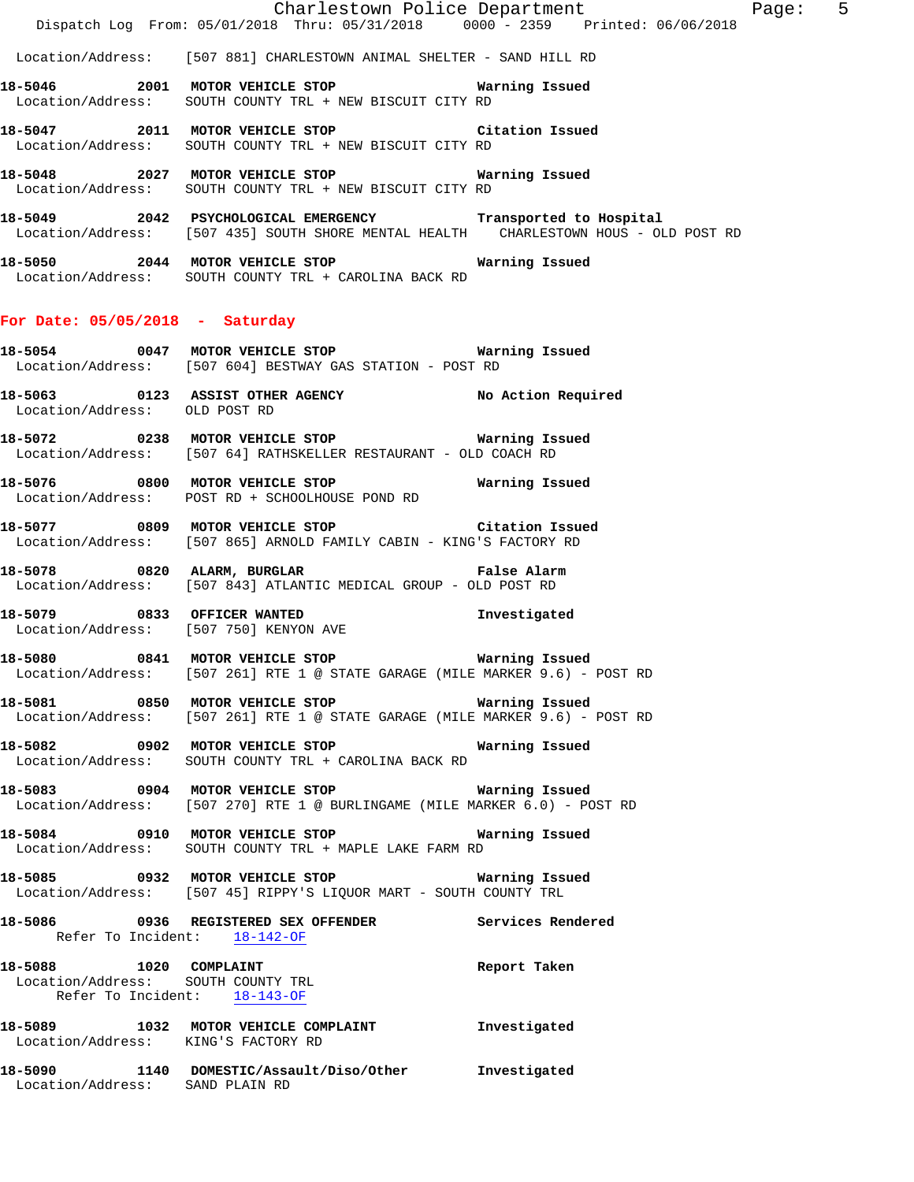Charlestown Police Department Fage: 5 Dispatch Log From: 05/01/2018 Thru: 05/31/2018 0000 - 2359 Printed: 06/06/2018 Location/Address: [507 881] CHARLESTOWN ANIMAL SHELTER - SAND HILL RD **18-5046 2001 MOTOR VEHICLE STOP Warning Issued**  Location/Address: SOUTH COUNTY TRL + NEW BISCUIT CITY RD **18-5047 2011 MOTOR VEHICLE STOP Citation Issued**  Location/Address: SOUTH COUNTY TRL + NEW BISCUIT CITY RD **18-5048 2027 MOTOR VEHICLE STOP Warning Issued**  Location/Address: SOUTH COUNTY TRL + NEW BISCUIT CITY RD **18-5049 2042 PSYCHOLOGICAL EMERGENCY Transported to Hospital**  Location/Address: [507 435] SOUTH SHORE MENTAL HEALTH CHARLESTOWN HOUS - OLD POST RD **18-5050 2044 MOTOR VEHICLE STOP Warning Issued**  Location/Address: SOUTH COUNTY TRL + CAROLINA BACK RD **For Date: 05/05/2018 - Saturday 18-5054 0047 MOTOR VEHICLE STOP Warning Issued**  Location/Address: [507 604] BESTWAY GAS STATION - POST RD **18-5063 0123 ASSIST OTHER AGENCY No Action Required**  Location/Address: OLD POST RD **18-5072 0238 MOTOR VEHICLE STOP Warning Issued**  Location/Address: [507 64] RATHSKELLER RESTAURANT - OLD COACH RD **18-5076 0800 MOTOR VEHICLE STOP Warning Issued**  Location/Address: POST RD + SCHOOLHOUSE POND RD **18-5077 0809 MOTOR VEHICLE STOP Citation Issued**  Location/Address: [507 865] ARNOLD FAMILY CABIN - KING'S FACTORY RD **18-5078 0820 ALARM, BURGLAR False Alarm**  Location/Address: [507 843] ATLANTIC MEDICAL GROUP - OLD POST RD

**18-5079 0833 OFFICER WANTED Investigated**  Location/Address: [507 750] KENYON AVE

**18-5080 0841 MOTOR VEHICLE STOP Warning Issued**  Location/Address: [507 261] RTE 1 @ STATE GARAGE (MILE MARKER 9.6) - POST RD

**18-5081 0850 MOTOR VEHICLE STOP Warning Issued**  Location/Address: [507 261] RTE 1 @ STATE GARAGE (MILE MARKER 9.6) - POST RD

**18-5082 0902 MOTOR VEHICLE STOP Warning Issued**  Location/Address: SOUTH COUNTY TRL + CAROLINA BACK RD

**18-5083 0904 MOTOR VEHICLE STOP Warning Issued**  Location/Address: [507 270] RTE 1 @ BURLINGAME (MILE MARKER 6.0) - POST RD

**18-5084 0910 MOTOR VEHICLE STOP Warning Issued**  Location/Address: SOUTH COUNTY TRL + MAPLE LAKE FARM RD

**18-5085 0932 MOTOR VEHICLE STOP Warning Issued**  Location/Address: [507 45] RIPPY'S LIQUOR MART - SOUTH COUNTY TRL

**18-5086 0936 REGISTERED SEX OFFENDER Services Rendered**  Refer To Incident: 18-142-OF **18-5088 1020 COMPLAINT Report Taken**  Location/Address: SOUTH COUNTY TRL Refer To Incident: 18-143-OF **18-5089 1032 MOTOR VEHICLE COMPLAINT Investigated** 

Location/Address: KING'S FACTORY RD

**18-5090 1140 DOMESTIC/Assault/Diso/Other Investigated**  Location/Address: SAND PLAIN RD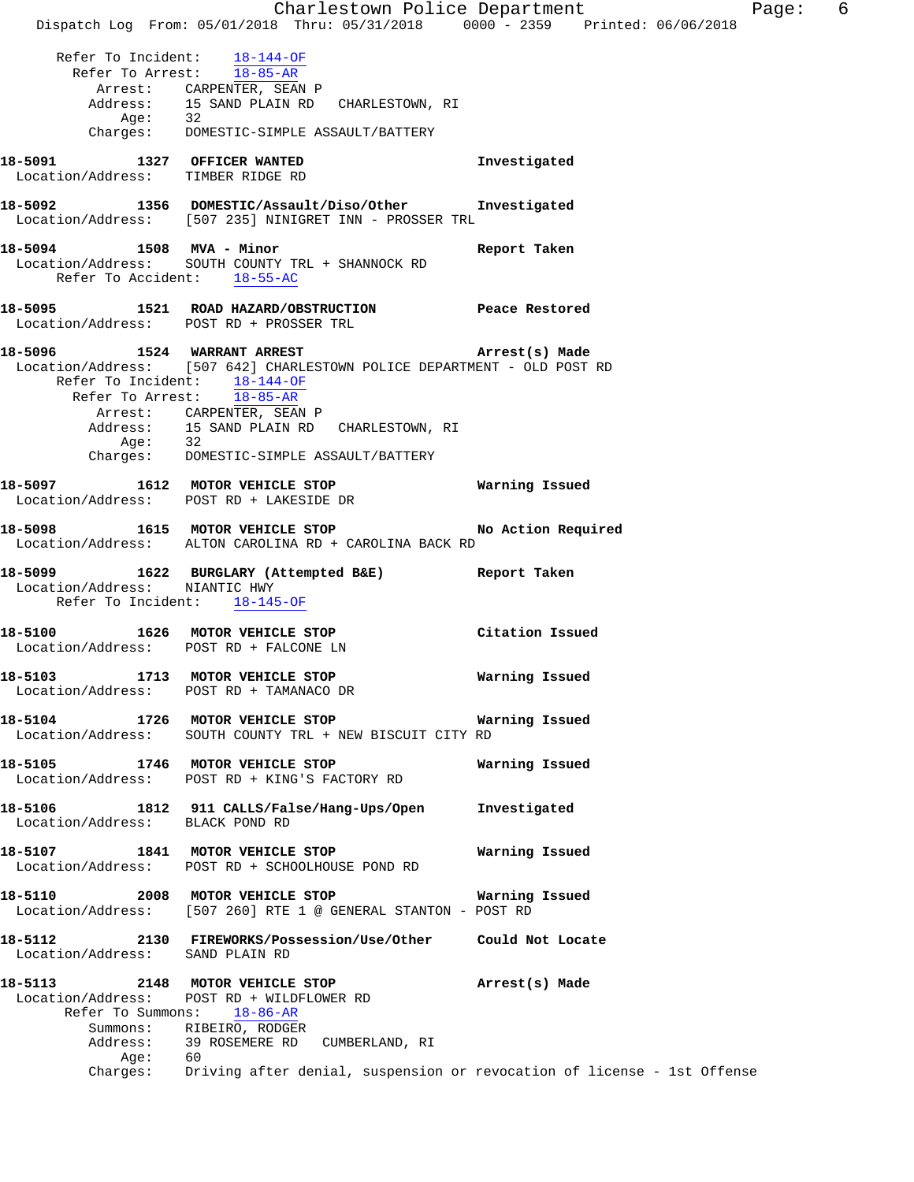Charlestown Police Department Fage: 6 Dispatch Log From: 05/01/2018 Thru: 05/31/2018 0000 - 2359 Printed: 06/06/2018 Refer To Incident: 18-144-OF Refer To Arrest: 18-85-AR Arrest: CARPENTER, SEAN P<br>Address: 15 SAND PLAIN RD CHARLESTOWN, RI Address: 15 SAND PLAIN RD CHARLESTOWN, RI Age: 32 Charges: DOMESTIC-SIMPLE ASSAULT/BATTERY **18-5091 1327 OFFICER WANTED Investigated**  Location/Address: TIMBER RIDGE RD **18-5092 1356 DOMESTIC/Assault/Diso/Other Investigated**  Location/Address: [507 235] NINIGRET INN - PROSSER TRL **18-5094 1508 MVA - Minor Report Taken**  Location/Address: SOUTH COUNTY TRL + SHANNOCK RD Refer To Accident: 18-55-AC **18-5095 1521 ROAD HAZARD/OBSTRUCTION Peace Restored**  Location/Address: POST RD + PROSSER TRL **18-5096 1524 WARRANT ARREST Arrest(s) Made**  Location/Address: [507 642] CHARLESTOWN POLICE DEPARTMENT - OLD POST RD Refer To Incident: 18-144-OF Refer To Arrest: 18-85-AR Arrest: CARPENTER, SEAN P Address: 15 SAND PLAIN RD CHARLESTOWN, RI<br>Age: 32 Age:<br>:Charges DOMESTIC-SIMPLE ASSAULT/BATTERY **18-5097 1612 MOTOR VEHICLE STOP Warning Issued**  Location/Address: POST RD + LAKESIDE DR 18-5098 1615 MOTOR VEHICLE STOP **No Action Required**  Location/Address: ALTON CAROLINA RD + CAROLINA BACK RD **18-5099 1622 BURGLARY (Attempted B&E) Report Taken**  Location/Address: NIANTIC HWY Refer To Incident: 18-145-OF **18-5100 1626 MOTOR VEHICLE STOP Citation Issued**  Location/Address: POST RD + FALCONE LN **18-5103 1713 MOTOR VEHICLE STOP Warning Issued**  Location/Address: POST RD + TAMANACO DR **18-5104 1726 MOTOR VEHICLE STOP Warning Issued**  Location/Address: SOUTH COUNTY TRL + NEW BISCUIT CITY RD **18-5105 1746 MOTOR VEHICLE STOP Warning Issued**  Location/Address: POST RD + KING'S FACTORY RD **18-5106 1812 911 CALLS/False/Hang-Ups/Open Investigated**  Location/Address: BLACK POND RD **18-5107 1841 MOTOR VEHICLE STOP Warning Issued**  Location/Address: POST RD + SCHOOLHOUSE POND RD **18-5110 2008 MOTOR VEHICLE STOP Warning Issued**  Location/Address: [507 260] RTE 1 @ GENERAL STANTON - POST RD **18-5112 2130 FIREWORKS/Possession/Use/Other Could Not Locate**  Location/Address: SAND PLAIN RD **18-5113 2148 MOTOR VEHICLE STOP Arrest(s) Made**  Location/Address: POST RD + WILDFLOWER RD Refer To Summons: 18-86-AR Summons: RIBEIRO, RODGER Address: 39 ROSEMERE RD CUMBERLAND, RI<br>Ade: 60 Age: Charges: Driving after denial, suspension or revocation of license - 1st Offense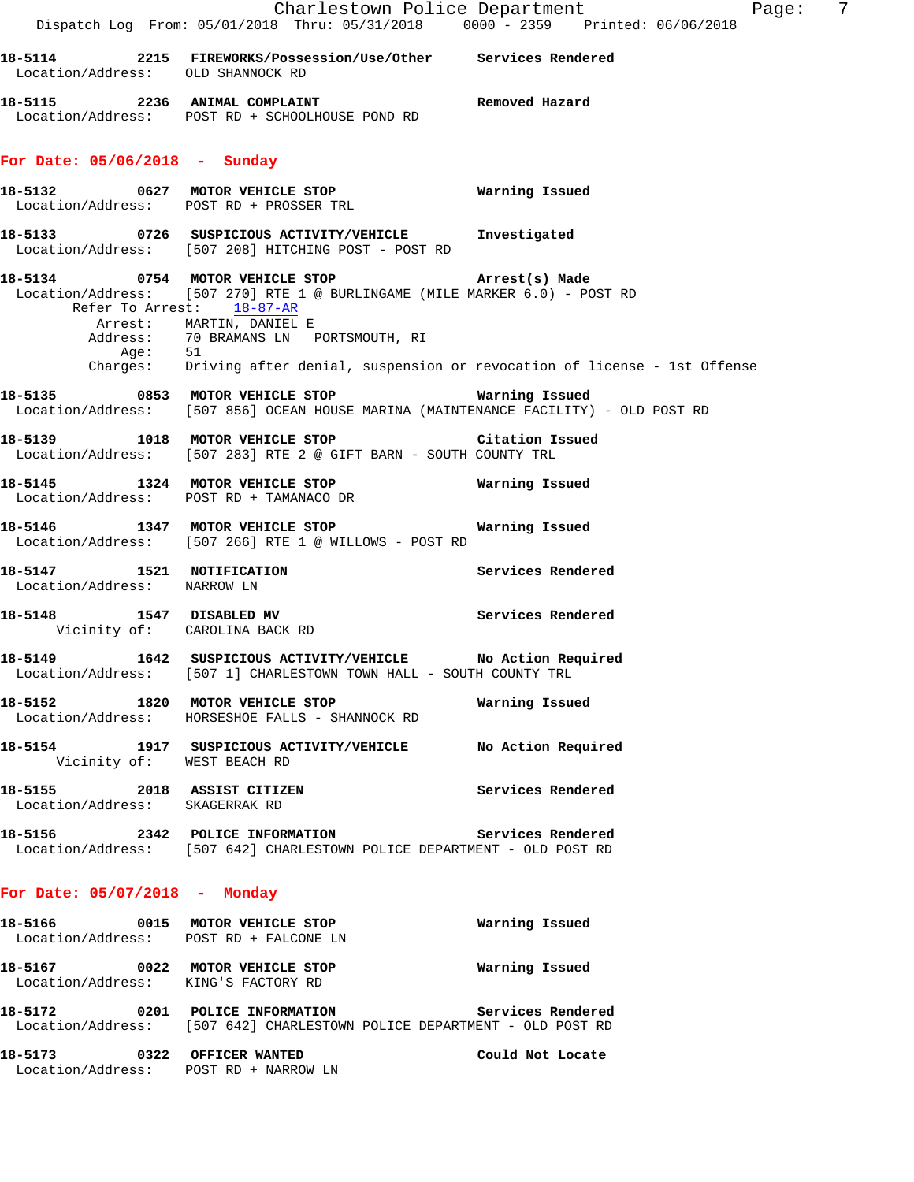|                                                                           | Dispatch Log From: 05/01/2018 Thru: 05/31/2018 0000 - 2359 Printed: 06/06/2018                                                                                                                                                                   | Charlestown Police Department<br>- 7<br>Page: |
|---------------------------------------------------------------------------|--------------------------------------------------------------------------------------------------------------------------------------------------------------------------------------------------------------------------------------------------|-----------------------------------------------|
| Location/Address: OLD SHANNOCK RD                                         | 18-5114 			 2215 FIREWORKS/Possession/Use/Other Services Rendered                                                                                                                                                                                |                                               |
|                                                                           | 18-5115 2236 ANIMAL COMPLAINT Nemoved Hazard<br>Location/Address: POST RD + SCHOOLHOUSE POND RD                                                                                                                                                  |                                               |
| For Date: $05/06/2018$ - Sunday                                           |                                                                                                                                                                                                                                                  |                                               |
|                                                                           | Location/Address: POST RD + PROSSER TRL                                                                                                                                                                                                          |                                               |
|                                                                           | 18-5133  0726  SUSPICIOUS ACTIVITY/VEHICLE  Investigated<br>Location/Address: [507 208] HITCHING POST - POST RD                                                                                                                                  |                                               |
|                                                                           | 18-5134 0754 MOTOR VEHICLE STOP <b>Example 20 Arrest(s)</b> Made<br>Location/Address: [507 270] RTE 1 @ BURLINGAME (MILE MARKER 6.0) - POST RD<br>Refer To Arrest: 18-87-AR<br>Arrest: MARTIN, DANIEL E<br>Address: 70 BRAMANS LN PORTSMOUTH, RI |                                               |
|                                                                           | Age: 51<br>Charges: Driving after denial, suspension or revocation of license - 1st Offense                                                                                                                                                      |                                               |
|                                                                           | 18-5135 0853 MOTOR VEHICLE STOP <b>Marning Issued</b><br>Location/Address: [507 856] OCEAN HOUSE MARINA (MAINTENANCE FACILITY) - OLD POST RD                                                                                                     |                                               |
|                                                                           | 18-5139 1018 MOTOR VEHICLE STOP Citation Issued<br>Location/Address: [507 283] RTE 2 @ GIFT BARN - SOUTH COUNTY TRL                                                                                                                              |                                               |
|                                                                           | 18-5145    1324    MOTOR VEHICLE STOP <b>Warning Issued</b><br>Location/Address: POST RD + TAMANACO DR                                                                                                                                           |                                               |
|                                                                           | Location/Address: [507 266] RTE 1 @ WILLOWS - POST RD                                                                                                                                                                                            |                                               |
| Location/Address: NARROW LN                                               | 18-5147 1521 NOTIFICATION                                                                                                                                                                                                                        | Services Rendered                             |
| Vicinity of: CAROLINA BACK RD                                             | 18-5148 1547 DISABLED MV                                                                                                                                                                                                                         | Services Rendered                             |
|                                                                           | 18-5149 1642 SUSPICIOUS ACTIVITY/VEHICLE No Action Required<br>Location/Address: [507 1] CHARLESTOWN TOWN HALL - SOUTH COUNTY TRL                                                                                                                |                                               |
|                                                                           | 18-5152 1820 MOTOR VEHICLE STOP<br>Location/Address: HORSESHOE FALLS - SHANNOCK RD                                                                                                                                                               | Warning Issued                                |
| Vicinity of: WEST BEACH RD                                                | 18-5154 1917 SUSPICIOUS ACTIVITY/VEHICLE No Action Required                                                                                                                                                                                      |                                               |
| 18-5155 2018 ASSIST CITIZEN<br>Location/Address: SKAGERRAK RD             |                                                                                                                                                                                                                                                  | Services Rendered                             |
|                                                                           | 18-5156 2342 POLICE INFORMATION<br>Location/Address: [507 642] CHARLESTOWN POLICE DEPARTMENT - OLD POST RD                                                                                                                                       | Services Rendered                             |
| For Date: $05/07/2018$ - Monday                                           |                                                                                                                                                                                                                                                  |                                               |
| 18-5166 0015 MOTOR VEHICLE STOP<br>Location/Address: POST RD + FALCONE LN |                                                                                                                                                                                                                                                  | Warning Issued                                |

**18-5167 0022 MOTOR VEHICLE STOP Warning Issued**  Location/Address: KING'S FACTORY RD **18-5172 0201 POLICE INFORMATION Services Rendered** 

Location/Address: [507 642] CHARLESTOWN POLICE DEPARTMENT - OLD POST RD

**18-5173 0322 OFFICER WANTED Could Not Locate**  Location/Address: POST RD + NARROW LN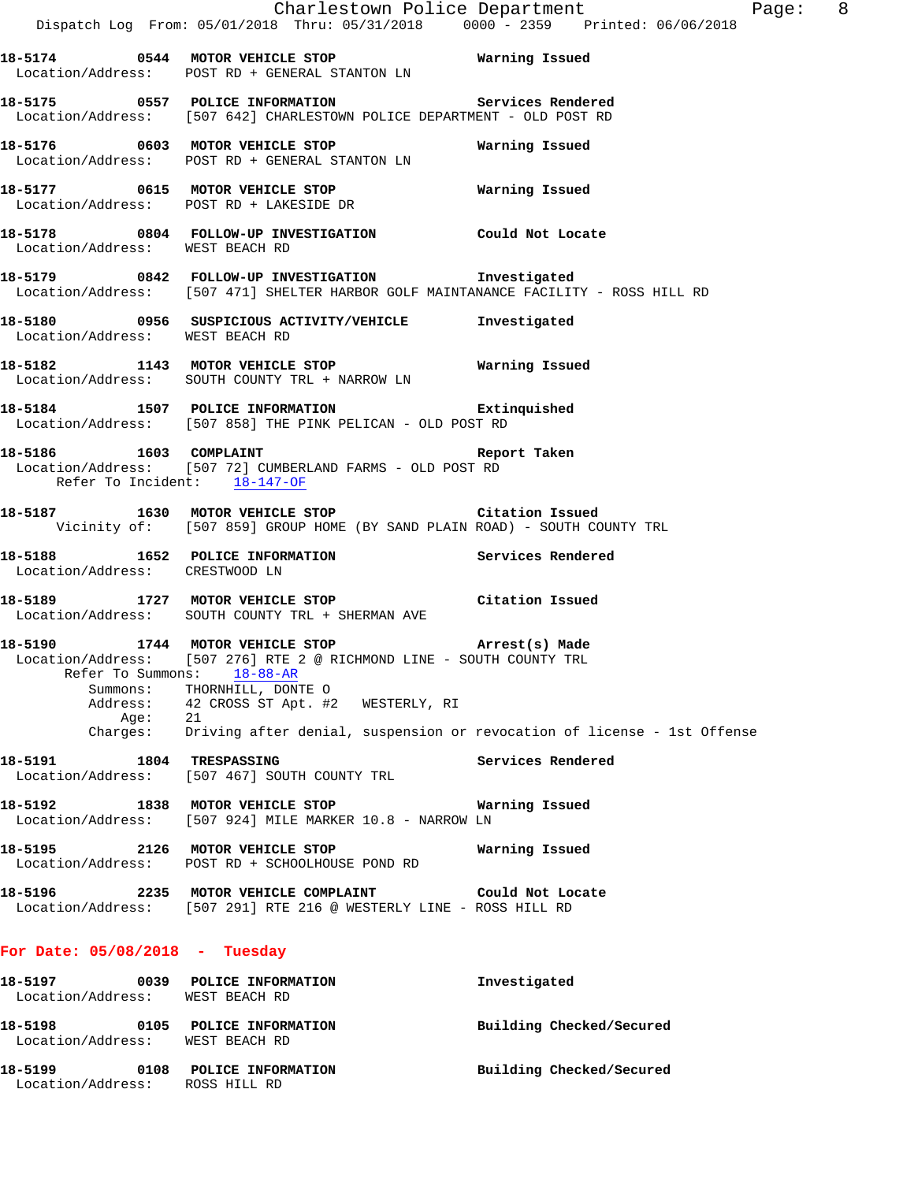|                                  | Dispatch Log From: 05/01/2018 Thru: 05/31/2018 0000 <sup>-</sup> 2359 Printed: 06/06/2018                                                                                                                                                                                                                                   | Charlestown Police Department Page: 8 |
|----------------------------------|-----------------------------------------------------------------------------------------------------------------------------------------------------------------------------------------------------------------------------------------------------------------------------------------------------------------------------|---------------------------------------|
|                                  | Location/Address: POST RD + GENERAL STANTON LN                                                                                                                                                                                                                                                                              |                                       |
|                                  | 18-5175 		 0557 POLICE INFORMATION 		 Services Rendered<br>Location/Address: [507 642] CHARLESTOWN POLICE DEPARTMENT - OLD POST RD                                                                                                                                                                                          |                                       |
|                                  | Location/Address: POST RD + GENERAL STANTON LN                                                                                                                                                                                                                                                                              |                                       |
|                                  | 18-5177 0615 MOTOR VEHICLE STOP <b>National Manual</b> Issued<br>Location/Address: POST RD + LAKESIDE DR                                                                                                                                                                                                                    |                                       |
| Location/Address: WEST BEACH RD  | 18-5178 0804 FOLLOW-UP INVESTIGATION Could Not Locate                                                                                                                                                                                                                                                                       |                                       |
|                                  | 18-5179 0842 FOLLOW-UP INVESTIGATION Threstigated<br>Location/Address: [507 471] SHELTER HARBOR GOLF MAINTANANCE FACILITY - ROSS HILL RD                                                                                                                                                                                    |                                       |
| Location/Address: WEST BEACH RD  | 18-5180 0956 SUSPICIOUS ACTIVITY/VEHICLE Investigated                                                                                                                                                                                                                                                                       |                                       |
|                                  | 18-5182 1143 MOTOR VEHICLE STOP 6 Warning Issued<br>Location/Address: SOUTH COUNTY TRL + NARROW LN                                                                                                                                                                                                                          |                                       |
|                                  | 18-5184 1507 POLICE INFORMATION Extinquished<br>Location/Address: [507 858] THE PINK PELICAN - OLD POST RD                                                                                                                                                                                                                  |                                       |
| Refer To Incident: 18-147-OF     | 18-5186 1603 COMPLAINT 1608 18-5186<br>Location/Address: [507 72] CUMBERLAND FARMS - OLD POST RD                                                                                                                                                                                                                            |                                       |
|                                  | 18-5187 1630 MOTOR VEHICLE STOP 18-5187 Citation Issued<br>Vicinity of: [507 859] GROUP HOME (BY SAND PLAIN ROAD) - SOUTH COUNTY TRL                                                                                                                                                                                        |                                       |
| Location/Address: CRESTWOOD LN   | 18-5188 1652 POLICE INFORMATION 18-5188 Rendered                                                                                                                                                                                                                                                                            |                                       |
|                                  | 18-5189 1727 MOTOR VEHICLE STOP 1991 Citation Issued<br>Location/Address: SOUTH COUNTY TRL + SHERMAN AVE                                                                                                                                                                                                                    |                                       |
| Age:                             | 18-5190 1744 MOTOR VEHICLE STOP (Arrest(s) Made<br>Location/Address: [507 276] RTE 2 @ RICHMOND LINE - SOUTH COUNTY TRL<br>Refer To Summons: 18-88-AR<br>Summons: THORNHILL, DONTE O<br>Address: 42 CROSS ST Apt. #2 WESTERLY, RI<br>21<br>Charges: Driving after denial, suspension or revocation of license - 1st Offense |                                       |
|                                  | Location/Address: [507 467] SOUTH COUNTY TRL                                                                                                                                                                                                                                                                                | Services Rendered                     |
|                                  | 18-5192 1838 MOTOR VEHICLE STOP 6 Warning Issued<br>Location/Address: [507 924] MILE MARKER 10.8 - NARROW LN                                                                                                                                                                                                                |                                       |
|                                  | 18-5195 2126 MOTOR VEHICLE STOP<br>Location/Address: POST RD + SCHOOLHOUSE POND RD                                                                                                                                                                                                                                          | Warning Issued                        |
|                                  | Location/Address: [507 291] RTE 216 @ WESTERLY LINE - ROSS HILL RD                                                                                                                                                                                                                                                          |                                       |
| For Date: $05/08/2018$ - Tuesday |                                                                                                                                                                                                                                                                                                                             |                                       |
| Location/Address: WEST BEACH RD  | 18-5197 0039 POLICE INFORMATION                                                                                                                                                                                                                                                                                             | Investigated                          |
| Location/Address: WEST BEACH RD  | 18-5198 0105 POLICE INFORMATION                                                                                                                                                                                                                                                                                             | Building Checked/Secured              |
| 18-5199                          | 0108 POLICE INFORMATION                                                                                                                                                                                                                                                                                                     | Building Checked/Secured              |

Location/Address: ROSS HILL RD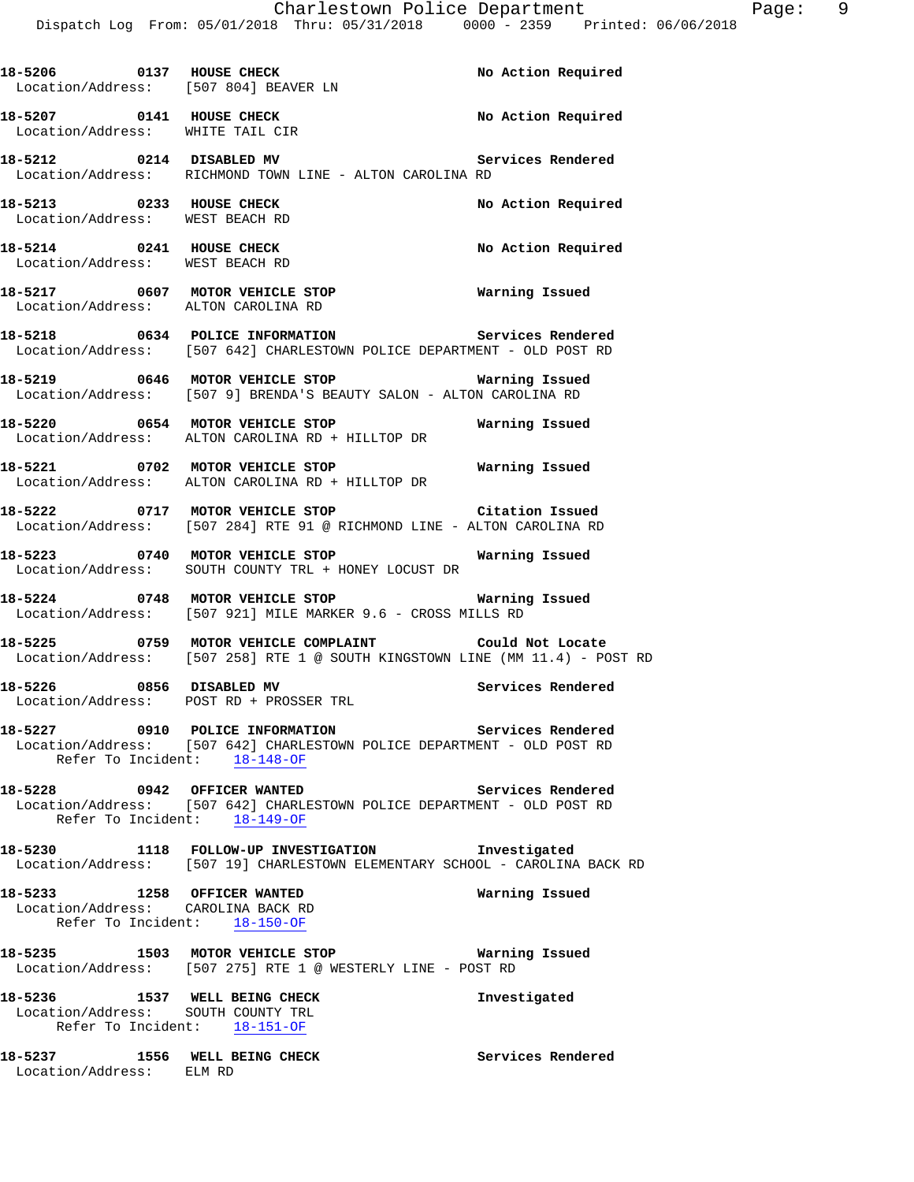| 18-5206 0137 HOUSE CHECK                                            | Location/Address: [507 804] BEAVER LN                                                                                                      | No Action Required       |
|---------------------------------------------------------------------|--------------------------------------------------------------------------------------------------------------------------------------------|--------------------------|
|                                                                     | 18-5207   0141   HOUSE CHECK   No Action Required Location/Address: WHITE TAIL CIR                                                         |                          |
|                                                                     | 18-5212 0214 DISABLED MV<br>Location/Address: RICHMOND TOWN LINE - ALTON CAROLINA RD                                                       | <b>Services Rendered</b> |
|                                                                     | 18-5213 0233 HOUSE CHECK<br>Location/Address: WEST BEACH RD                                                                                | No Action Required       |
| 18-5214 0241 HOUSE CHECK<br>Location/Address: WEST BEACH RD         |                                                                                                                                            | No Action Required       |
|                                                                     | 18-5217 0607 MOTOR VEHICLE STOP <b>Natring Issued</b><br>Location/Address: ALTON CAROLINA RD                                               |                          |
|                                                                     | 18-5218 		 0634 POLICE INFORMATION 		 Services Rendered<br>Location/Address: [507 642] CHARLESTOWN POLICE DEPARTMENT - OLD POST RD         |                          |
|                                                                     | 18-5219 0646 MOTOR VEHICLE STOP <b>Marning Issued</b><br>Location/Address: [507 9] BRENDA'S BEAUTY SALON - ALTON CAROLINA RD               |                          |
|                                                                     | 18-5220 0654 MOTOR VEHICLE STOP <b>WATER WATER</b><br>Location/Address: ALTON CAROLINA RD + HILLTOP DR                                     |                          |
|                                                                     | 18-5221 0702 MOTOR VEHICLE STOP<br>Location/Address: ALTON CAROLINA RD + HILLTOP DR                                                        | Warning Issued           |
|                                                                     | 18-5222 0717 MOTOR VEHICLE STOP Citation Issued<br>Location/Address: [507 284] RTE 91 @ RICHMOND LINE - ALTON CAROLINA RD                  |                          |
|                                                                     | 18-5223      0740    MOTOR VEHICLE STOP              Warning Issued<br>  Location/Address:   SOUTH COUNTY TRL + HONEY LOCUST DR            |                          |
|                                                                     | 18-5224 0748 MOTOR VEHICLE STOP Warning Issued<br>Location/Address: [507 921] MILE MARKER 9.6 - CROSS MILLS RD                             |                          |
|                                                                     | 18-5225 0759 MOTOR VEHICLE COMPLAINT Could Not Locate<br>Location/Address: [507 258] RTE 1 @ SOUTH KINGSTOWN LINE (MM 11.4) - POST RD      |                          |
|                                                                     | 18-5226 0856 DISABLED MV<br>Location/Address: POST RD + PROSSER TRL                                                                        | Services Rendered        |
|                                                                     | 18-5227 0910 POLICE INFORMATION<br>Location/Address: [507 642] CHARLESTOWN POLICE DEPARTMENT - OLD POST RD<br>Refer To Incident: 18-148-OF | Services Rendered        |
|                                                                     | 18-5228 0942 OFFICER WANTED<br>Location/Address: [507 642] CHARLESTOWN POLICE DEPARTMENT - OLD POST RD<br>Refer To Incident: 18-149-OF     | <b>Services Rendered</b> |
|                                                                     | 18-5230 1118 FOLLOW-UP INVESTIGATION Investigated<br>Location/Address: [507 19] CHARLESTOWN ELEMENTARY SCHOOL - CAROLINA BACK RD           |                          |
| 18-5233 1258 OFFICER WANTED                                         | Location/Address: CAROLINA BACK RD<br>Refer To Incident: 18-150-OF                                                                         | Warning Issued           |
|                                                                     | 18-5235 1503 MOTOR VEHICLE STOP 6 Warning Issued<br>Location/Address: [507 275] RTE 1 @ WESTERLY LINE - POST RD                            |                          |
| 18-5236 1537 WELL BEING CHECK<br>Location/Address: SOUTH COUNTY TRL | Refer To Incident: 18-151-OF                                                                                                               | Investigated             |
| Location/Address: ELM RD                                            | 18-5237 1556 WELL BEING CHECK                                                                                                              | Services Rendered        |
|                                                                     |                                                                                                                                            |                          |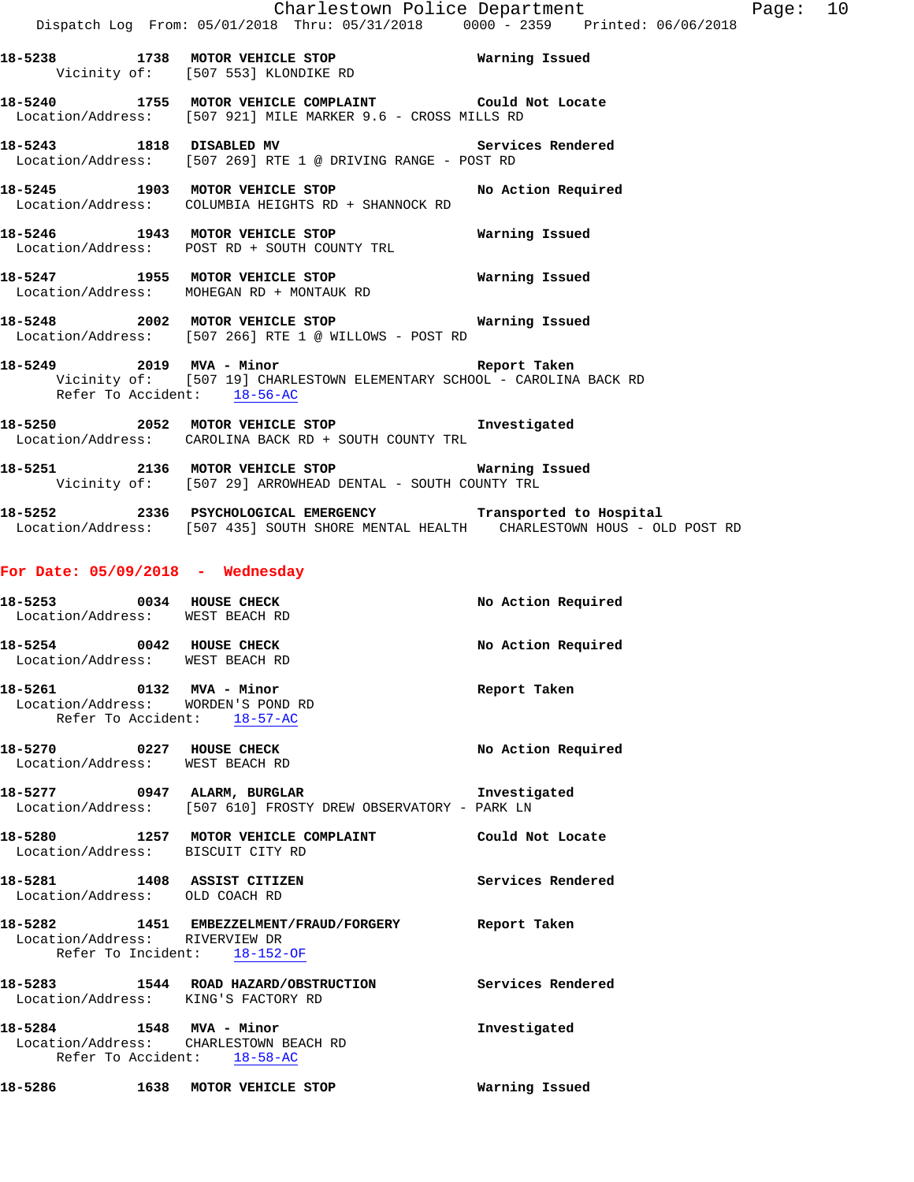- **18-5238 1738 MOTOR VEHICLE STOP Warning Issued**  Vicinity of: [507 553] KLONDIKE RD
- **18-5240 1755 MOTOR VEHICLE COMPLAINT Could Not Locate**  Location/Address: [507 921] MILE MARKER 9.6 - CROSS MILLS RD
- **18-5243 1818 DISABLED MV Services Rendered**  Location/Address: [507 269] RTE 1 @ DRIVING RANGE - POST RD
- **18-5245 1903 MOTOR VEHICLE STOP No Action Required**  Location/Address: COLUMBIA HEIGHTS RD + SHANNOCK RD
- **18-5246 1943 MOTOR VEHICLE STOP Warning Issued**  Location/Address: POST RD + SOUTH COUNTY TRL
- **18-5247 1955 MOTOR VEHICLE STOP Warning Issued**  Location/Address: MOHEGAN RD + MONTAUK RD
- **18-5248 2002 MOTOR VEHICLE STOP Warning Issued**  Location/Address: [507 266] RTE 1 @ WILLOWS - POST RD
- **18-5249 2019 MVA Minor Report Taken**  Vicinity of: [507 19] CHARLESTOWN ELEMENTARY SCHOOL - CAROLINA BACK RD Refer To Accident: 18-56-AC
- **18-5250 2052 MOTOR VEHICLE STOP Investigated**  Location/Address: CAROLINA BACK RD + SOUTH COUNTY TRL
- **18-5251 2136 MOTOR VEHICLE STOP Warning Issued**  Vicinity of: [507 29] ARROWHEAD DENTAL - SOUTH COUNTY TRL
- **18-5252 2336 PSYCHOLOGICAL EMERGENCY Transported to Hospital**  Location/Address: [507 435] SOUTH SHORE MENTAL HEALTH CHARLESTOWN HOUS - OLD POST RD

### **For Date: 05/09/2018 - Wednesday**

| 18-5253 0034 HOUSE CHECK<br>Location/Address: WEST BEACH RD                                   |                                                                                                                      | No Action Required |
|-----------------------------------------------------------------------------------------------|----------------------------------------------------------------------------------------------------------------------|--------------------|
| 18-5254 0042 HOUSE CHECK<br>Location/Address: WEST BEACH RD                                   |                                                                                                                      | No Action Required |
| 18-5261 0132 MVA - Minor<br>Location/Address: WORDEN'S POND RD<br>Refer To Accident: 18-57-AC |                                                                                                                      | Report Taken       |
| 18-5270 0227 HOUSE CHECK<br>Location/Address: WEST BEACH RD                                   |                                                                                                                      | No Action Required |
|                                                                                               | 18-5277 0947 ALARM, BURGLAR NERRES And Threstigated<br>Location/Address: [507 610] FROSTY DREW OBSERVATORY - PARK LN |                    |
| Location/Address: BISCUIT CITY RD                                                             | 18-5280 1257 MOTOR VEHICLE COMPLAINT Could Not Locate                                                                |                    |
| 18-5281 1408 ASSIST CITIZEN<br>Location/Address: OLD COACH RD                                 | Services Rendered                                                                                                    |                    |
| Location/Address: RIVERVIEW DR<br>Refer To Incident: 18-152-OF                                | 18-5282 1451 EMBEZZELMENT/FRAUD/FORGERY Report Taken                                                                 |                    |
|                                                                                               | 18-5283 1544 ROAD HAZARD/OBSTRUCTION Services Rendered<br>Location/Address: KING'S FACTORY RD                        |                    |
| Refer To Accident: 18-58-AC                                                                   | 18-5284 1548 MVA - Minor<br>Location/Address: CHARLESTOWN BEACH RD                                                   | Investigated       |
|                                                                                               | 18-5286 1638 MOTOR VEHICLE STOP                                                                                      | Warning Issued     |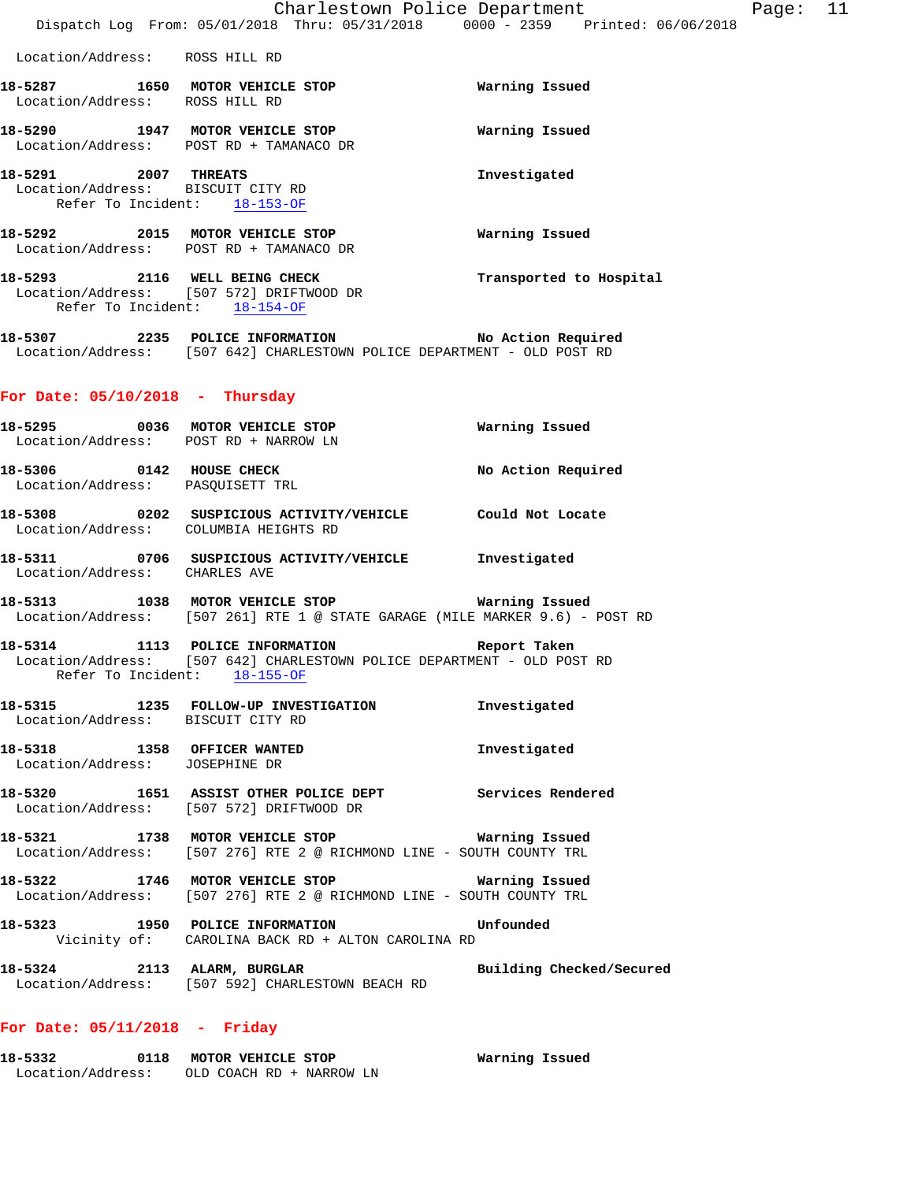**18-5287 1650 MOTOR VEHICLE STOP Warning Issued**  Location/Address: ROSS HILL RD **18-5290 1947 MOTOR VEHICLE STOP Warning Issued**  Location/Address: POST RD + TAMANACO DR **18-5291 2007 THREATS Investigated**  Location/Address: BISCUIT CITY RD Refer To Incident: 18-153-OF **18-5292 2015 MOTOR VEHICLE STOP Warning Issued**  Location/Address: POST RD + TAMANACO DR **18-5293 2116 WELL BEING CHECK Transported to Hospital**  Location/Address: [507 572] DRIFTWOOD DR Refer To Incident: 18-154-OF **18-5307 2235 POLICE INFORMATION No Action Required**  Location/Address: [507 642] CHARLESTOWN POLICE DEPARTMENT - OLD POST RD **For Date: 05/10/2018 - Thursday 18-5295 0036 MOTOR VEHICLE STOP Warning Issued**  Location/Address: POST RD + NARROW LN **18-5306 0142 HOUSE CHECK No Action Required**  Location/Address: PASQUISETT TRL **18-5308 0202 SUSPICIOUS ACTIVITY/VEHICLE Could Not Locate**  Location/Address: COLUMBIA HEIGHTS RD **18-5311 0706 SUSPICIOUS ACTIVITY/VEHICLE Investigated**  Location/Address: CHARLES AVE **18-5313 1038 MOTOR VEHICLE STOP Warning Issued**  Location/Address: [507 261] RTE 1 @ STATE GARAGE (MILE MARKER 9.6) - POST RD **18-5314 1113 POLICE INFORMATION Report Taken**  Location/Address: [507 642] CHARLESTOWN POLICE DEPARTMENT - OLD POST RD Refer To Incident: 18-155-OF **18-5315 1235 FOLLOW-UP INVESTIGATION Investigated**  Location/Address: BISCUIT CITY RD **18-5318 1358 OFFICER WANTED Investigated**  Location/Address: JOSEPHINE DR **18-5320 1651 ASSIST OTHER POLICE DEPT Services Rendered**  Location/Address: [507 572] DRIFTWOOD DR **18-5321 1738 MOTOR VEHICLE STOP Warning Issued**  Location/Address: [507 276] RTE 2 @ RICHMOND LINE - SOUTH COUNTY TRL **18-5322 1746 MOTOR VEHICLE STOP Warning Issued**  Location/Address: [507 276] RTE 2 @ RICHMOND LINE - SOUTH COUNTY TRL **18-5323 1950 POLICE INFORMATION Unfounded**  Vicinity of: CAROLINA BACK RD + ALTON CAROLINA RD

# **18-5324 2113 ALARM, BURGLAR Building Checked/Secured**  Location/Address: [507 592] CHARLESTOWN BEACH RD

# **For Date: 05/11/2018 - Friday**

Location/Address: ROSS HILL RD

**18-5332 0118 MOTOR VEHICLE STOP Warning Issued**  Location/Address: OLD COACH RD + NARROW LN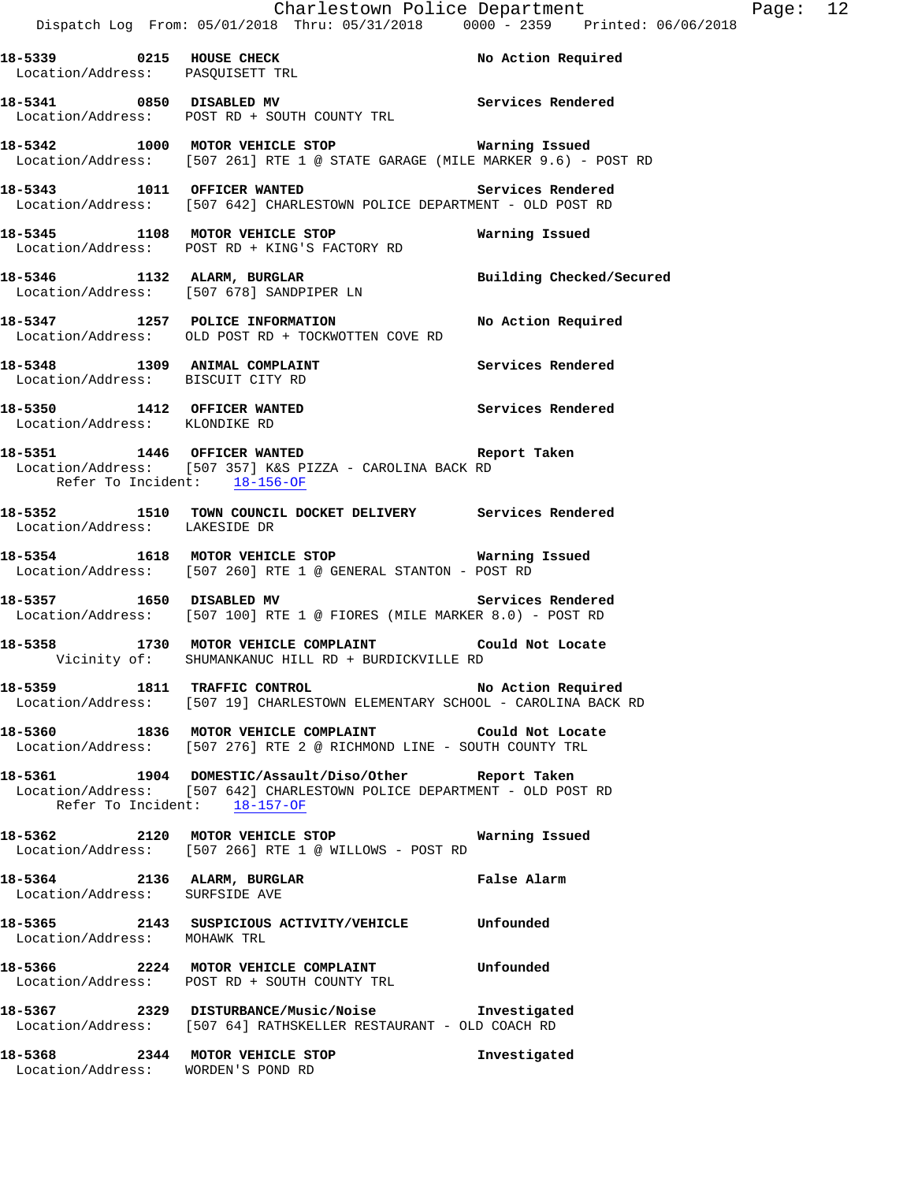| 18-5339 0215 HOUSE CHECK<br>Location/Address: PASQUISETT TRL       |                                                                                                                                                                  | No Action Required       |
|--------------------------------------------------------------------|------------------------------------------------------------------------------------------------------------------------------------------------------------------|--------------------------|
| 18-5341 0850 DISABLED MV                                           | Location/Address: POST RD + SOUTH COUNTY TRL                                                                                                                     | Services Rendered        |
|                                                                    | 18-5342 1000 MOTOR VEHICLE STOP <b>Exam and SEAT ASSEM</b><br>Location/Address: [507 261] RTE 1 @ STATE GARAGE (MILE MARKER 9.6) - POST RD                       |                          |
| 18-5343 1011 OFFICER WANTED                                        | Location/Address: [507 642] CHARLESTOWN POLICE DEPARTMENT - OLD POST RD                                                                                          | <b>Services Rendered</b> |
|                                                                    | 18-5345 1108 MOTOR VEHICLE STOP 6 Warning Issued<br>Location/Address: POST RD + KING'S FACTORY RD                                                                |                          |
| 18-5346 1132 ALARM, BURGLAR                                        | Location/Address: [507 678] SANDPIPER LN                                                                                                                         | Building Checked/Secured |
|                                                                    | 18-5347 1257 POLICE INFORMATION No Action Required<br>Location/Address: OLD POST RD + TOCKWOTTEN COVE RD                                                         |                          |
| 18-5348 1309 ANIMAL COMPLAINT<br>Location/Address: BISCUIT CITY RD |                                                                                                                                                                  | Services Rendered        |
|                                                                    | 18-5350 1412 OFFICER WANTED<br>Location/Address: KLONDIKE RD                                                                                                     | Services Rendered        |
| Refer To Incident: 18-156-OF                                       | 18-5351 1446 OFFICER WANTED<br>Location/Address: [507 357] K&S PIZZA - CAROLINA BACK RD                                                                          | Report Taken             |
| Location/Address: LAKESIDE DR                                      | 18-5352 1510 TOWN COUNCIL DOCKET DELIVERY Services Rendered                                                                                                      |                          |
|                                                                    | 18-5354 1618 MOTOR VEHICLE STOP <b>18-5354</b> Warning Issued<br>Location/Address: [507 260] RTE 1 @ GENERAL STANTON - POST RD                                   |                          |
| 18-5357 1650 DISABLED MV                                           | Location/Address: [507 100] RTE 1 @ FIORES (MILE MARKER 8.0) - POST RD                                                                                           | Services Rendered        |
|                                                                    | 18-5358 1730 MOTOR VEHICLE COMPLAINT Could Not Locate<br>Vicinity of: SHUMANKANUC HILL RD + BURDICKVILLE RD                                                      |                          |
| 18-5359 1811 TRAFFIC CONTROL                                       | Location/Address: [507 19] CHARLESTOWN ELEMENTARY SCHOOL - CAROLINA BACK RD                                                                                      | No Action Required       |
|                                                                    | 18-5360 1836 MOTOR VEHICLE COMPLAINT Could Not Locate<br>Location/Address: [507 276] RTE 2 @ RICHMOND LINE - SOUTH COUNTY TRL                                    |                          |
|                                                                    | 18-5361 1904 DOMESTIC/Assault/Diso/Other Report Taken<br>Location/Address: [507 642] CHARLESTOWN POLICE DEPARTMENT - OLD POST RD<br>Refer To Incident: 18-157-OF |                          |
|                                                                    | 18-5362 2120 MOTOR VEHICLE STOP<br>Location/Address: [507 266] RTE 1 @ WILLOWS - POST RD                                                                         | Warning Issued           |
| 18-5364 2136 ALARM, BURGLAR<br>Location/Address: SURFSIDE AVE      |                                                                                                                                                                  | False Alarm              |

# **18-5365 2143 SUSPICIOUS ACTIVITY/VEHICLE Unfounded**  Location/Address: MOHAWK TRL

# **18-5366 2224 MOTOR VEHICLE COMPLAINT Unfounded**  Location/Address: POST RD + SOUTH COUNTY TRL

**18-5367 2329 DISTURBANCE/Music/Noise Investigated**  Location/Address: [507 64] RATHSKELLER RESTAURANT - OLD COACH RD

**18-5368 2344 MOTOR VEHICLE STOP Investigated**  Location/Address: WORDEN'S POND RD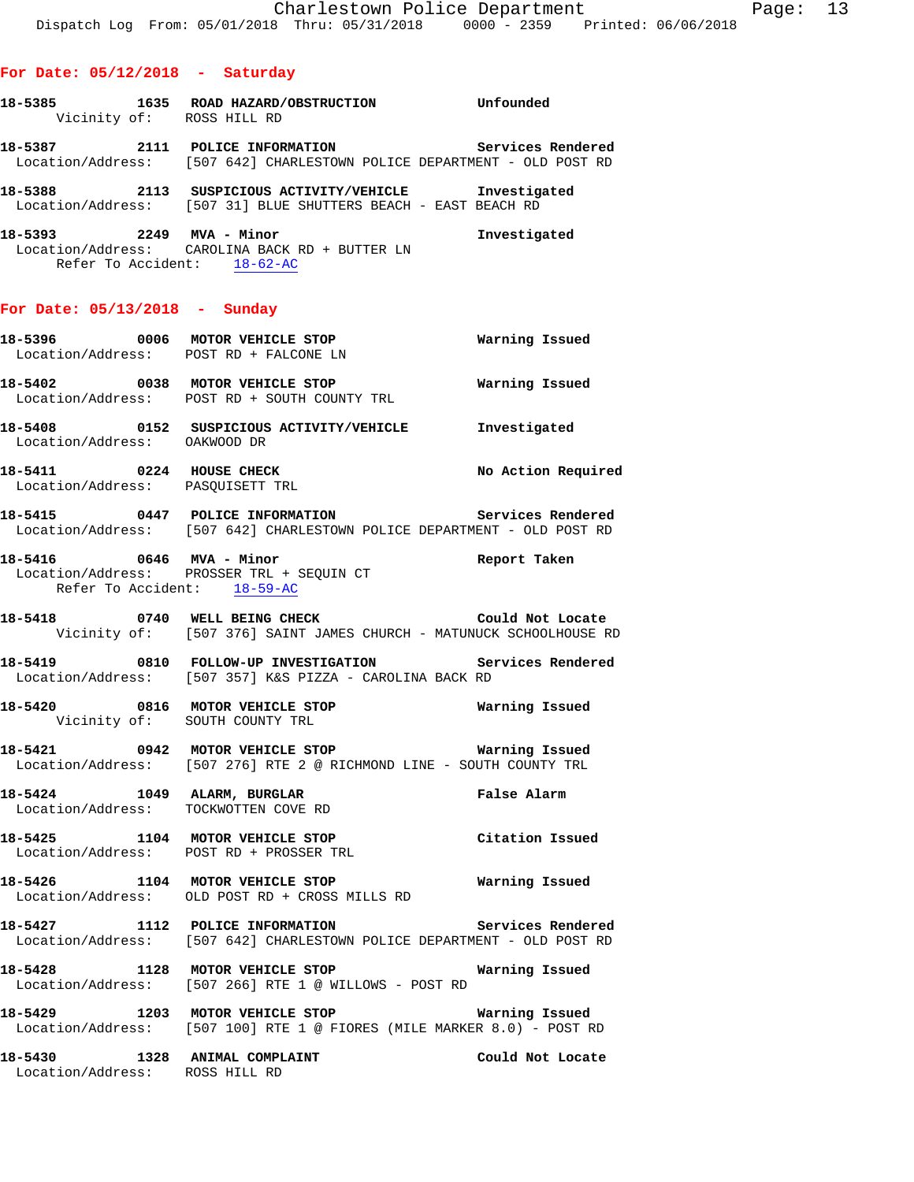- **18-5385 1635 ROAD HAZARD/OBSTRUCTION Unfounded**  Vicinity of: ROSS HILL RD **18-5387 2111 POLICE INFORMATION Services Rendered**
- Location/Address: [507 642] CHARLESTOWN POLICE DEPARTMENT OLD POST RD
- **18-5388 2113 SUSPICIOUS ACTIVITY/VEHICLE Investigated**  Location/Address: [507 31] BLUE SHUTTERS BEACH - EAST BEACH RD
- **18-5393 2249 MVA Minor Investigated**  Location/Address: CAROLINA BACK RD + BUTTER LN Refer To Accident: 18-62-AC

### **For Date: 05/13/2018 - Sunday**

|                              | 18-5402 0038 MOTOR VEHICLE STOP <b>WATNING ISSUED</b><br>Location/Address: POST RD + SOUTH COUNTY TRL                        |                    |
|------------------------------|------------------------------------------------------------------------------------------------------------------------------|--------------------|
| Location/Address: OAKWOOD DR | 18-5408 0152 SUSPICIOUS ACTIVITY/VEHICLE Investigated                                                                        |                    |
|                              | 18-5411 0224 HOUSE CHECK<br>Location/Address: PASQUISETT TRL                                                                 | No Action Required |
|                              | 18-5415 0447 POLICE INFORMATION Services Rendered<br>Location/Address: [507 642] CHARLESTOWN POLICE DEPARTMENT - OLD POST RD |                    |
|                              | 18-5416 0646 MVA - Minor<br>Location/Address: PROSSER TRL + SEQUIN CT<br>Refer To Accident: 18-59-AC                         | Report Taken       |
|                              | 18-5418 0740 WELL BEING CHECK Could Not Locate<br>Vicinity of: [507 376] SAINT JAMES CHURCH - MATUNUCK SCHOOLHOUSE RD        |                    |
|                              | 18-5419 0810 FOLLOW-UP INVESTIGATION Services Rendered<br>Location/Address: [507 357] K&S PIZZA - CAROLINA BACK RD           |                    |
|                              | 18-5420 0816 MOTOR VEHICLE STOP <b>Warning Issued</b><br>Vicinity of: SOUTH COUNTY TRL                                       |                    |
|                              | Location/Address: [507 276] RTE 2 @ RICHMOND LINE - SOUTH COUNTY TRL                                                         |                    |
|                              | 18-5424 1049 ALARM, BURGLAR 18 Palse Alarm<br>Location/Address: TOCKWOTTEN COVE RD                                           |                    |
|                              | 18-5425 1104 MOTOR VEHICLE STOP Citation Issued<br>Location/Address: POST RD + PROSSER TRL                                   |                    |
|                              | 18-5426 1104 MOTOR VEHICLE STOP<br>Location/Address: OLD POST RD + CROSS MILLS RD                                            | Warning Issued     |

- **18-5427 1112 POLICE INFORMATION Services Rendered**  Location/Address: [507 642] CHARLESTOWN POLICE DEPARTMENT - OLD POST RD
- **18-5428 1128 MOTOR VEHICLE STOP Warning Issued**  Location/Address: [507 266] RTE 1 @ WILLOWS - POST RD
- **18-5429 1203 MOTOR VEHICLE STOP Warning Issued**  Location/Address: [507 100] RTE 1 @ FIORES (MILE MARKER 8.0) - POST RD
- **18-5430 1328 ANIMAL COMPLAINT Could Not Locate**  Location/Address: ROSS HILL RD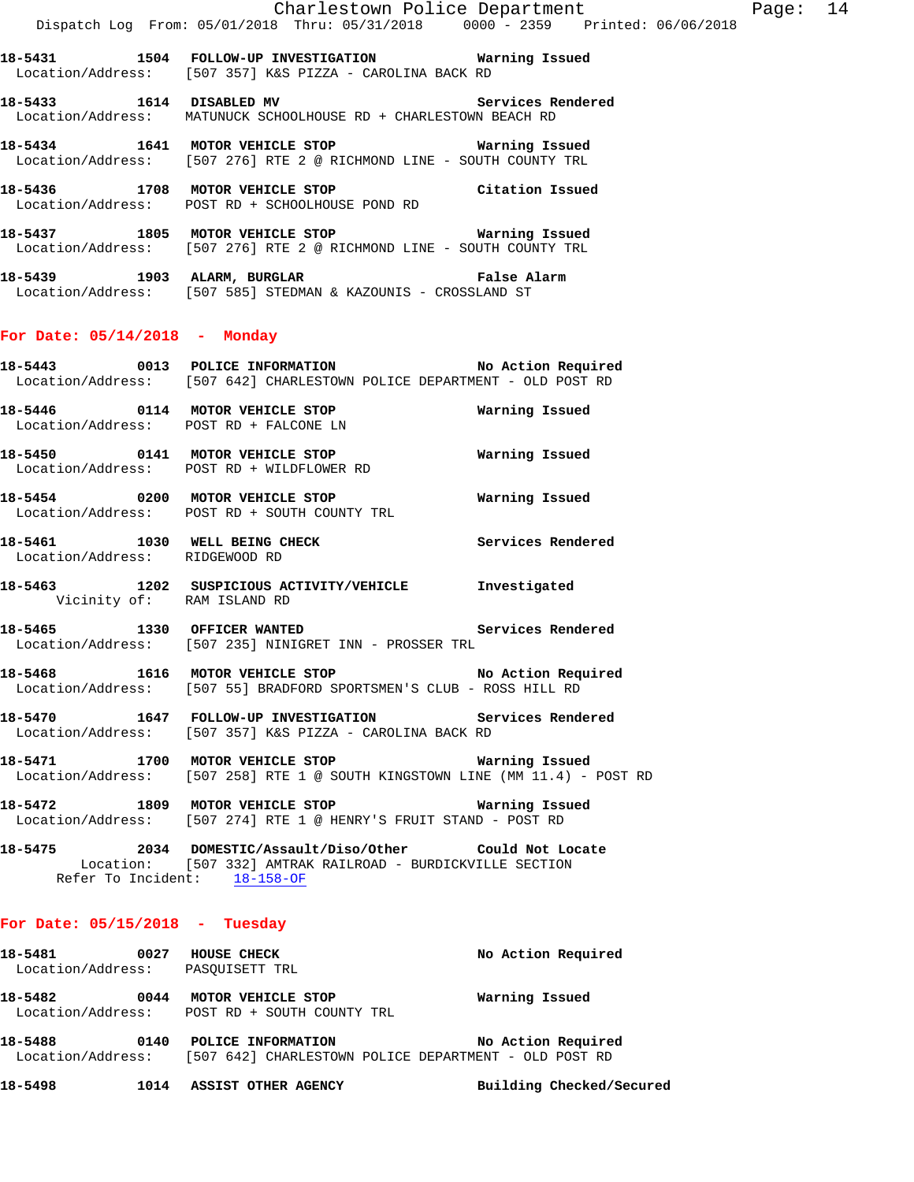**18-5431 1504 FOLLOW-UP INVESTIGATION Warning Issued**  Location/Address: [507 357] K&S PIZZA - CAROLINA BACK RD

- **18-5433 1614 DISABLED MV Services Rendered**  Location/Address: MATUNUCK SCHOOLHOUSE RD + CHARLESTOWN BEACH RD
- **18-5434 1641 MOTOR VEHICLE STOP Warning Issued**  Location/Address: [507 276] RTE 2 @ RICHMOND LINE - SOUTH COUNTY TRL
- **18-5436 1708 MOTOR VEHICLE STOP Citation Issued**  Location/Address: POST RD + SCHOOLHOUSE POND RD
- **18-5437 1805 MOTOR VEHICLE STOP Warning Issued**  Location/Address: [507 276] RTE 2 @ RICHMOND LINE - SOUTH COUNTY TRL
- **18-5439 1903 ALARM, BURGLAR False Alarm**  Location/Address: [507 585] STEDMAN & KAZOUNIS - CROSSLAND ST

## **For Date: 05/14/2018 - Monday**

- **18-5443 0013 POLICE INFORMATION No Action Required**  Location/Address: [507 642] CHARLESTOWN POLICE DEPARTMENT - OLD POST RD
- **18-5446 0114 MOTOR VEHICLE STOP Warning Issued**  Location/Address: POST RD + FALCONE LN
- **18-5450 0141 MOTOR VEHICLE STOP Warning Issued**  Location/Address: POST RD + WILDFLOWER RD
- **18-5454 0200 MOTOR VEHICLE STOP Warning Issued**  Location/Address: POST RD + SOUTH COUNTY TRL
- **18-5461 1030 WELL BEING CHECK Services Rendered**  Location/Address: RIDGEWOOD RD
- **18-5463 1202 SUSPICIOUS ACTIVITY/VEHICLE Investigated**  Vicinity of: RAM ISLAND RD
- **18-5465 1330 OFFICER WANTED Services Rendered**  Location/Address: [507 235] NINIGRET INN - PROSSER TRL
- **18-5468 1616 MOTOR VEHICLE STOP No Action Required**  Location/Address: [507 55] BRADFORD SPORTSMEN'S CLUB - ROSS HILL RD
- **18-5470 1647 FOLLOW-UP INVESTIGATION Services Rendered**  Location/Address: [507 357] K&S PIZZA - CAROLINA BACK RD
- **18-5471 1700 MOTOR VEHICLE STOP Warning Issued**  Location/Address: [507 258] RTE 1 @ SOUTH KINGSTOWN LINE (MM 11.4) - POST RD
- **18-5472 1809 MOTOR VEHICLE STOP Warning Issued**  Location/Address: [507 274] RTE 1 @ HENRY'S FRUIT STAND - POST RD
- **18-5475 2034 DOMESTIC/Assault/Diso/Other Could Not Locate**  Location: [507 332] AMTRAK RAILROAD - BURDICKVILLE SECTION Refer To Incident: 18-158-OF

#### **For Date: 05/15/2018 - Tuesday**

| 18–5481           | 0027 | HOUSE CHECK                | No Action Required |
|-------------------|------|----------------------------|--------------------|
| Location/Address: |      | PASOUISETT TRL             |                    |
| 18–5482           | 0044 | MOTOR VEHICLE STOP         | Warning Issued     |
| Location/Address: |      | POST RD + SOUTH COUNTY TRL |                    |

- **18-5488 0140 POLICE INFORMATION No Action Required**  Location/Address: [507 642] CHARLESTOWN POLICE DEPARTMENT - OLD POST RD
- **18-5498 1014 ASSIST OTHER AGENCY Building Checked/Secured**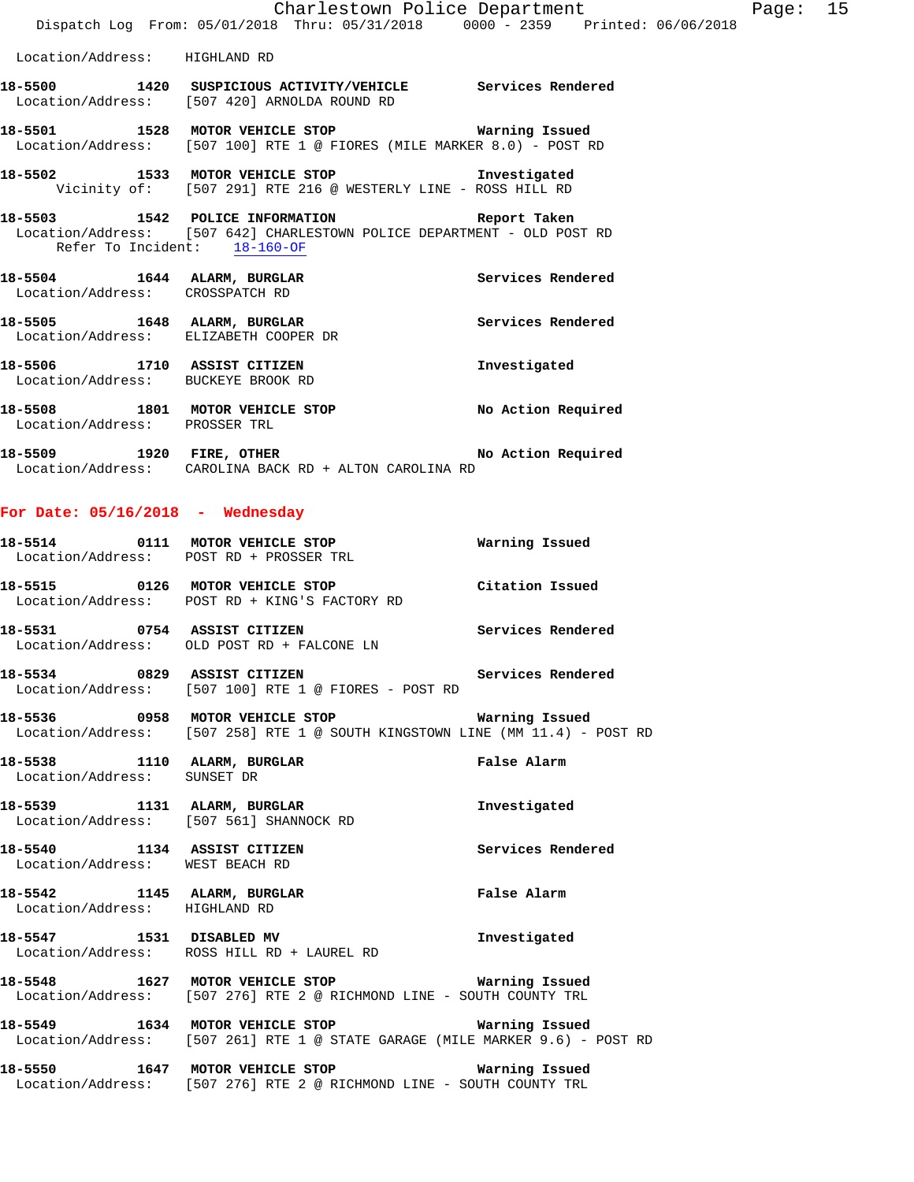|                                    | Charlestown Police Department<br>Dispatch Log From: 05/01/2018 Thru: 05/31/2018 0000 - 2359 Printed: 06/06/2018                                    |                   |
|------------------------------------|----------------------------------------------------------------------------------------------------------------------------------------------------|-------------------|
| Location/Address: HIGHLAND RD      |                                                                                                                                                    |                   |
|                                    | 18-5500 1420 SUSPICIOUS ACTIVITY/VEHICLE Services Rendered<br>Location/Address: [507 420] ARNOLDA ROUND RD                                         |                   |
|                                    | 18-5501 1528 MOTOR VEHICLE STOP Warning Issued<br>Location/Address: [507 100] RTE 1 @ FIORES (MILE MARKER 8.0) - POST RD                           |                   |
|                                    | 18-5502 1533 MOTOR VEHICLE STOP 1nvestigated<br>Vicinity of: [507 291] RTE 216 @ WESTERLY LINE - ROSS HILL RD                                      |                   |
|                                    | 18-5503 1542 POLICE INFORMATION 18-5503<br>Location/Address: [507 642] CHARLESTOWN POLICE DEPARTMENT - OLD POST RD<br>Refer To Incident: 18-160-OF |                   |
|                                    | 18-5504 1644 ALARM, BURGLAR Services Rendered<br>Location/Address: CROSSPATCH RD                                                                   |                   |
|                                    | 18-5505 1648 ALARM, BURGLAR COOPER DR Services Rendered Location/Address: ELIZABETH COOPER DR                                                      |                   |
|                                    | 18-5506 1710 ASSIST CITIZEN<br>Location/Address: BUCKEYE BROOK RD                                                                                  | Investigated      |
| Location/Address: PROSSER TRL      | 18-5508 1801 MOTOR VEHICLE STOP No Action Required                                                                                                 |                   |
|                                    | 18-5509 1920 FIRE, OTHER No Action Required<br>Location/Address: CAROLINA BACK RD + ALTON CAROLINA RD                                              |                   |
| For Date: $05/16/2018$ - Wednesday |                                                                                                                                                    |                   |
|                                    | 18-5514 0111 MOTOR VEHICLE STOP 60 Warning Issued<br>Location/Address: POST RD + PROSSER TRL                                                       |                   |
|                                    | 18-5515 0126 MOTOR VEHICLE STOP Citation Issued<br>Location/Address: POST RD + KING'S FACTORY RD                                                   |                   |
|                                    | 18-5531 0754 ASSIST CITIZEN<br>Location/Address: OLD POST RD + FALCONE LN                                                                          | Services Rendered |
|                                    | 18-5534 0829 ASSIST CITIZEN<br>Location/Address: [507 100] RTE 1 @ FIORES - POST RD                                                                | Services Rendered |
|                                    | 18-5536 0958 MOTOR VEHICLE STOP Warning Issued<br>Location/Address: [507 258] RTE 1 @ SOUTH KINGSTOWN LINE (MM 11.4) - POST RD                     |                   |
| Location/Address: SUNSET DR        | 18-5538 1110 ALARM, BURGLAR                                                                                                                        | False Alarm       |
|                                    | 18-5539 1131 ALARM, BURGLAR<br>Location/Address: [507 561] SHANNOCK RD                                                                             | Investigated      |
| Location/Address: WEST BEACH RD    | 18-5540 1134 ASSIST CITIZEN                                                                                                                        | Services Rendered |
|                                    | 18-5542 1145 ALARM, BURGLAR<br>Location/Address: HIGHLAND RD                                                                                       | False Alarm       |
|                                    | 18-5547 1531 DISABLED MV<br>Location/Address: ROSS HILL RD + LAUREL RD                                                                             | Investigated      |
|                                    | 18-5548 1627 MOTOR VEHICLE STOP 18-5548<br>Location/Address: [507 276] RTE 2 @ RICHMOND LINE - SOUTH COUNTY TRL                                    |                   |
|                                    | 18-5549 1634 MOTOR VEHICLE STOP<br>Location/Address: [507 261] RTE 1 @ STATE GARAGE (MILE MARKER 9.6) - POST RD                                    | Warning Issued    |
|                                    | 18-5550 1647 MOTOR VEHICLE STOP                                                                                                                    | Warning Issued    |

Location/Address: [507 276] RTE 2 @ RICHMOND LINE - SOUTH COUNTY TRL

Page: 15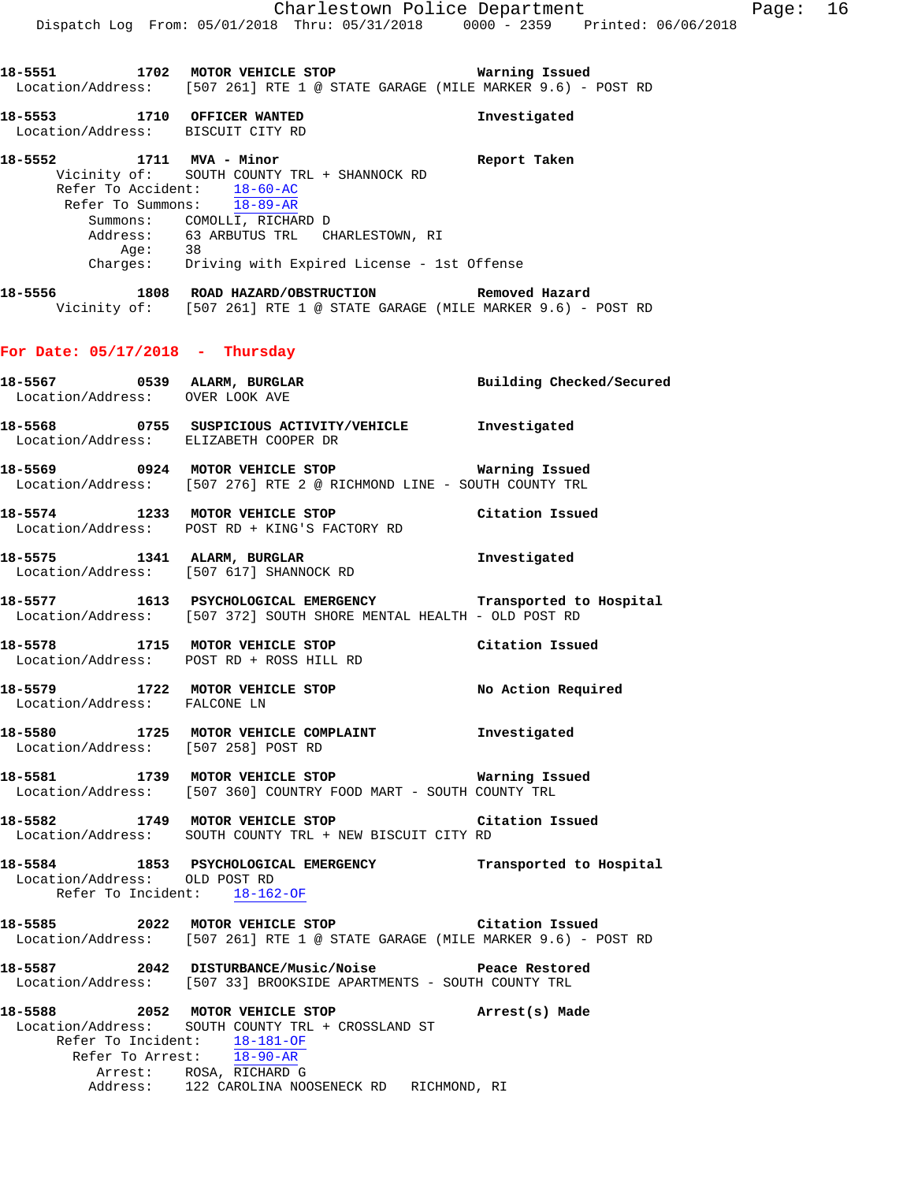**18-5553 1710 OFFICER WANTED Investigated**  Location/Address: BISCUIT CITY RD

**18-5552 1711 MVA - Minor Report Taken**  Vicinity of: SOUTH COUNTY TRL + SHANNOCK RD Refer To Accident: 18-60-AC Refer To Summons: 18-89-AR Summons: COMOLLI, RICHARD D Address: 63 ARBUTUS TRL CHARLESTOWN, RI Age: 38 Charges: Driving with Expired License - 1st Offense

**18-5556 1808 ROAD HAZARD/OBSTRUCTION Removed Hazard**  Vicinity of: [507 261] RTE 1 @ STATE GARAGE (MILE MARKER 9.6) - POST RD

# **For Date: 05/17/2018 - Thursday**

|                                 | 18-5567 0539 ALARM, BURGLAR                                                                                          | Building Checked/Secured |
|---------------------------------|----------------------------------------------------------------------------------------------------------------------|--------------------------|
| Location/Address: OVER LOOK AVE |                                                                                                                      |                          |
|                                 | 18-5568 0755 SUSPICIOUS ACTIVITY/VEHICLE Investigated                                                                |                          |
|                                 | Location/Address: ELIZABETH COOPER DR                                                                                |                          |
|                                 | 18-5569 0924 MOTOR VEHICLE STOP                                                                                      | Warning Issued           |
|                                 | Location/Address: [507 276] RTE 2 @ RICHMOND LINE - SOUTH COUNTY TRL                                                 |                          |
|                                 | 18-5574 1233 MOTOR VEHICLE STOP Citation Issued                                                                      |                          |
|                                 | Location/Address: POST RD + KING'S FACTORY RD                                                                        |                          |
|                                 | 18-5575 1341 ALARM, BURGLAR 18-5575 1341 (1997)<br>Location/Address: [507 617] SHANNOCK RD                           |                          |
|                                 | 18-5577 1613 PSYCHOLOGICAL EMERGENCY Transported to Hospital                                                         |                          |
|                                 | Location/Address: [507 372] SOUTH SHORE MENTAL HEALTH - OLD POST RD                                                  |                          |
|                                 | 18-5578 1715 MOTOR VEHICLE STOP Citation Issued<br>Location/Address: POST RD + ROSS HILL RD                          |                          |
|                                 |                                                                                                                      |                          |
|                                 | 18-5579 1722 MOTOR VEHICLE STOP No Action Required                                                                   |                          |
| Location/Address: FALCONE LN    |                                                                                                                      |                          |
|                                 | 18-5580 1725 MOTOR VEHICLE COMPLAINT 1nvestigated                                                                    |                          |
|                                 | Location/Address: [507 258] POST RD                                                                                  |                          |
|                                 | 18-5581 1739 MOTOR VEHICLE STOP 6 Warning Issued<br>Location/Address: [507 360] COUNTRY FOOD MART - SOUTH COUNTY TRL |                          |
|                                 |                                                                                                                      |                          |
|                                 | 18-5582 1749 MOTOR VEHICLE STOP Citation Issued<br>Location/Address: SOUTH COUNTY TRL + NEW BISCUIT CITY RD          |                          |
|                                 |                                                                                                                      |                          |
| Location/Address: OLD POST RD   | 18-5584 1853 PSYCHOLOGICAL EMERGENCY Transported to Hospital                                                         |                          |
|                                 | Refer To Incident: 18-162-OF                                                                                         |                          |
|                                 | 18-5585 2022 MOTOR VEHICLE STOP Citation Issued                                                                      |                          |
|                                 | Location/Address: [507 261] RTE 1 @ STATE GARAGE (MILE MARKER 9.6) - POST RD                                         |                          |
|                                 | 18-5587 2042 DISTURBANCE/Music/Noise Peace Restored                                                                  |                          |
|                                 | Location/Address: [507 33] BROOKSIDE APARTMENTS - SOUTH COUNTY TRL                                                   |                          |
|                                 | 18-5588 2052 MOTOR VEHICLE STOP <b>Arrest(s)</b> Made                                                                |                          |
|                                 | Location/Address: SOUTH COUNTY TRL + CROSSLAND ST                                                                    |                          |
|                                 | Refer To Incident: 18-181-OF<br>Refer To Arrest: 18-90-AR                                                            |                          |
|                                 | Arrest: ROSA, RICHARD G                                                                                              |                          |
|                                 | Address: 122 CAROLINA NOOSENECK RD RICHMOND, RI                                                                      |                          |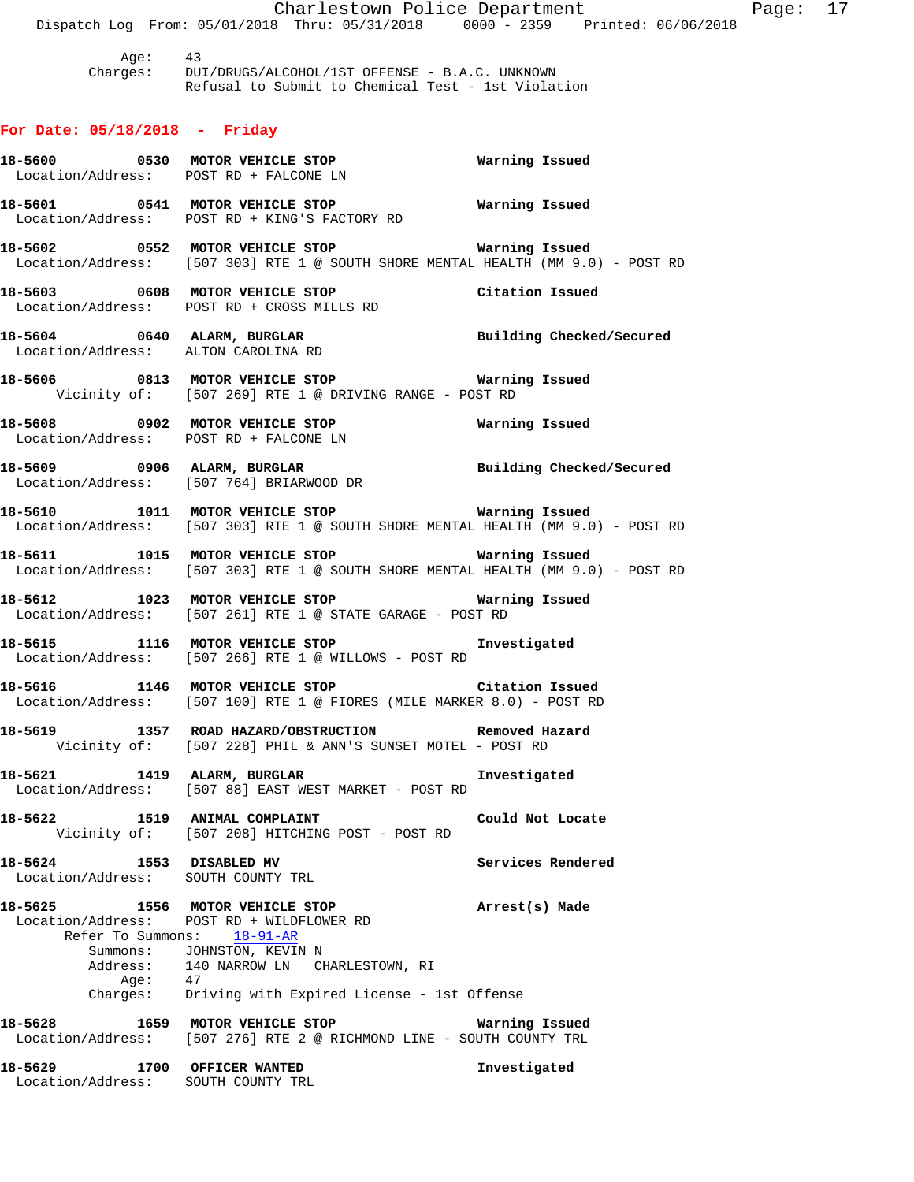Charlestown Police Department Fage: 17 Dispatch Log From: 05/01/2018 Thru: 05/31/2018 0000 - 2359 Printed: 06/06/2018 Age: 43 Charges: DUI/DRUGS/ALCOHOL/1ST OFFENSE - B.A.C. UNKNOWN Refusal to Submit to Chemical Test - 1st Violation **For Date: 05/18/2018 - Friday 18-5600 0530 MOTOR VEHICLE STOP Warning Issued**  Location/Address: POST RD + FALCONE LN **18-5601 0541 MOTOR VEHICLE STOP Warning Issued**  Location/Address: POST RD + KING'S FACTORY RD **18-5602 0552 MOTOR VEHICLE STOP Warning Issued**  Location/Address: [507 303] RTE 1 @ SOUTH SHORE MENTAL HEALTH (MM 9.0) - POST RD **18-5603 0608 MOTOR VEHICLE STOP Citation Issued**  Location/Address: POST RD + CROSS MILLS RD **18-5604 0640 ALARM, BURGLAR Building Checked/Secured**  Location/Address: ALTON CAROLINA RD **18-5606 0813 MOTOR VEHICLE STOP Warning Issued**  Vicinity of: [507 269] RTE 1 @ DRIVING RANGE - POST RD **18-5608 0902 MOTOR VEHICLE STOP Warning Issued**  Location/Address: POST RD + FALCONE LN **18-5609 0906 ALARM, BURGLAR Building Checked/Secured**  Location/Address: [507 764] BRIARWOOD DR **18-5610 1011 MOTOR VEHICLE STOP Warning Issued**  Location/Address: [507 303] RTE 1 @ SOUTH SHORE MENTAL HEALTH (MM 9.0) - POST RD **18-5611 1015 MOTOR VEHICLE STOP Warning Issued**  Location/Address: [507 303] RTE 1 @ SOUTH SHORE MENTAL HEALTH (MM 9.0) - POST RD **18-5612 1023 MOTOR VEHICLE STOP Warning Issued**  Location/Address: [507 261] RTE 1 @ STATE GARAGE - POST RD **18-5615 1116 MOTOR VEHICLE STOP Investigated**  Location/Address: [507 266] RTE 1 @ WILLOWS - POST RD **18-5616 1146 MOTOR VEHICLE STOP Citation Issued**  Location/Address: [507 100] RTE 1 @ FIORES (MILE MARKER 8.0) - POST RD **18-5619 1357 ROAD HAZARD/OBSTRUCTION Removed Hazard**  Vicinity of: [507 228] PHIL & ANN'S SUNSET MOTEL - POST RD **18-5621 1419 ALARM, BURGLAR Investigated**  Location/Address: [507 88] EAST WEST MARKET - POST RD **18-5622 1519 ANIMAL COMPLAINT Could Not Locate**  Vicinity of: [507 208] HITCHING POST - POST RD 18-5624 1553 DISABLED MV **Services Rendered**  Location/Address: SOUTH COUNTY TRL **18-5625 1556 MOTOR VEHICLE STOP Arrest(s) Made**  Location/Address: POST RD + WILDFLOWER RD Refer To Summons: 18-91-AR Summons: JOHNSTON, KEVIN N Address: 140 NARROW LN CHARLESTOWN, RI Age: 47 Charges: Driving with Expired License - 1st Offense **18-5628 1659 MOTOR VEHICLE STOP Warning Issued**  Location/Address: [507 276] RTE 2 @ RICHMOND LINE - SOUTH COUNTY TRL **18-5629 1700 OFFICER WANTED Investigated**  Location/Address: SOUTH COUNTY TRL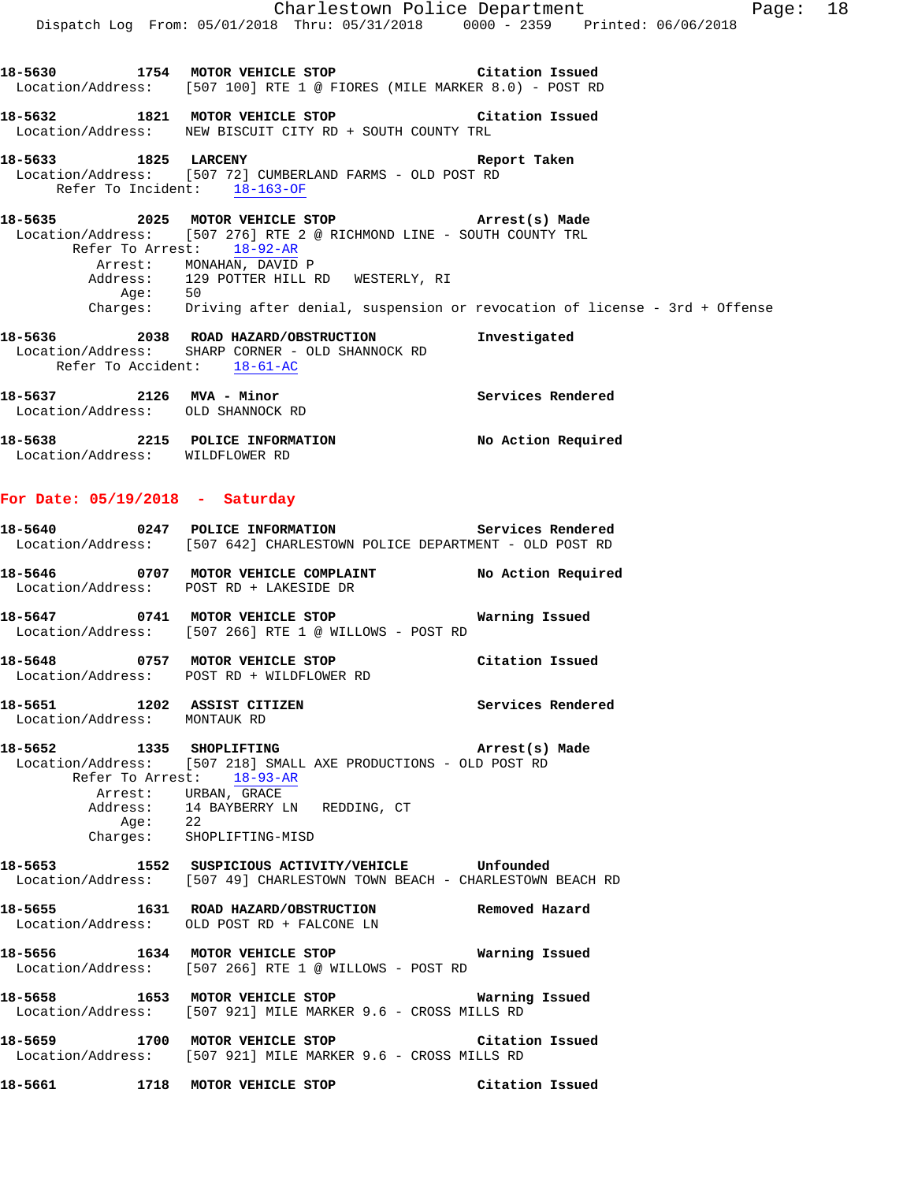| MVA - Minor |              |                                                                                                                                                                                                    |                                                                                                                                                                   |                                                                                                                                                                                                                                                                                                                                                                                                               |                                                                                                                                                                                  |
|-------------|--------------|----------------------------------------------------------------------------------------------------------------------------------------------------------------------------------------------------|-------------------------------------------------------------------------------------------------------------------------------------------------------------------|---------------------------------------------------------------------------------------------------------------------------------------------------------------------------------------------------------------------------------------------------------------------------------------------------------------------------------------------------------------------------------------------------------------|----------------------------------------------------------------------------------------------------------------------------------------------------------------------------------|
|             |              |                                                                                                                                                                                                    |                                                                                                                                                                   |                                                                                                                                                                                                                                                                                                                                                                                                               |                                                                                                                                                                                  |
|             |              |                                                                                                                                                                                                    |                                                                                                                                                                   |                                                                                                                                                                                                                                                                                                                                                                                                               |                                                                                                                                                                                  |
|             |              |                                                                                                                                                                                                    |                                                                                                                                                                   |                                                                                                                                                                                                                                                                                                                                                                                                               |                                                                                                                                                                                  |
| 50          |              |                                                                                                                                                                                                    |                                                                                                                                                                   |                                                                                                                                                                                                                                                                                                                                                                                                               |                                                                                                                                                                                  |
|             |              |                                                                                                                                                                                                    |                                                                                                                                                                   |                                                                                                                                                                                                                                                                                                                                                                                                               |                                                                                                                                                                                  |
|             |              |                                                                                                                                                                                                    |                                                                                                                                                                   |                                                                                                                                                                                                                                                                                                                                                                                                               |                                                                                                                                                                                  |
|             |              |                                                                                                                                                                                                    |                                                                                                                                                                   |                                                                                                                                                                                                                                                                                                                                                                                                               |                                                                                                                                                                                  |
|             |              |                                                                                                                                                                                                    |                                                                                                                                                                   |                                                                                                                                                                                                                                                                                                                                                                                                               |                                                                                                                                                                                  |
|             |              |                                                                                                                                                                                                    |                                                                                                                                                                   |                                                                                                                                                                                                                                                                                                                                                                                                               |                                                                                                                                                                                  |
|             |              |                                                                                                                                                                                                    |                                                                                                                                                                   |                                                                                                                                                                                                                                                                                                                                                                                                               |                                                                                                                                                                                  |
|             |              |                                                                                                                                                                                                    |                                                                                                                                                                   |                                                                                                                                                                                                                                                                                                                                                                                                               |                                                                                                                                                                                  |
|             |              |                                                                                                                                                                                                    |                                                                                                                                                                   |                                                                                                                                                                                                                                                                                                                                                                                                               |                                                                                                                                                                                  |
|             |              |                                                                                                                                                                                                    |                                                                                                                                                                   |                                                                                                                                                                                                                                                                                                                                                                                                               |                                                                                                                                                                                  |
|             |              |                                                                                                                                                                                                    |                                                                                                                                                                   |                                                                                                                                                                                                                                                                                                                                                                                                               |                                                                                                                                                                                  |
|             |              |                                                                                                                                                                                                    |                                                                                                                                                                   |                                                                                                                                                                                                                                                                                                                                                                                                               |                                                                                                                                                                                  |
|             |              |                                                                                                                                                                                                    |                                                                                                                                                                   |                                                                                                                                                                                                                                                                                                                                                                                                               |                                                                                                                                                                                  |
|             |              |                                                                                                                                                                                                    |                                                                                                                                                                   |                                                                                                                                                                                                                                                                                                                                                                                                               |                                                                                                                                                                                  |
|             |              |                                                                                                                                                                                                    |                                                                                                                                                                   |                                                                                                                                                                                                                                                                                                                                                                                                               |                                                                                                                                                                                  |
|             | Aqe:<br>2126 | $18-5633$ 1825 LARCENY<br>Refer To Incident: 18-163-OF<br>Refer To Arrest: 18-92-AR<br>Arrest: MONAHAN, DAVID P<br>Location/Address: SHARP CORNER - OLD SHANNOCK RD<br>Refer To Accident: 18-61-AC | Location/Address: WEW BISCUIT CITY RD + SOUTH COUNTY TRL<br>Location/Address: [507 72] CUMBERLAND FARMS - OLD POST RD<br>Address: 129 POTTER HILL RD WESTERLY, RI | Charlestown Police Department<br>18-5630 1754 MOTOR VEHICLE STOP Citation Issued<br>Location/Address: [507 100] RTE 1 @ FIORES (MILE MARKER 8.0) - POST RD<br>18-5632 1821 MOTOR VEHICLE STOP <b>18-5632</b> Citation Issued<br>Report Taken<br>18-5635 2025 MOTOR VEHICLE STOP 6 Arrest(s) Made<br>Location/Address: [507 276] RTE 2 @ RICHMOND LINE - SOUTH COUNTY TRL<br>Investigated<br>Services Rendered | Page: 18<br>Dispatch Log From: 05/01/2018 Thru: 05/31/2018 0000 - 2359 Printed: 06/06/2018<br>Charges: Driving after denial, suspension or revocation of license - 3rd + Offense |

| 18-5637           |      | 2126 MVA - Minor   | services kendered  |
|-------------------|------|--------------------|--------------------|
| Location/Address: |      | OLD SHANNOCK RD    |                    |
| 18-5638           | 2215 | POLICE INFORMATION | No Action Required |
| Location/Address: |      | WILDFLOWER RD      |                    |

# **For Date: 05/19/2018 - Saturday**

|                              | 18-5640 0247 POLICE INFORMATION Services Rendered<br>Location/Address: [507 642] CHARLESTOWN POLICE DEPARTMENT - OLD POST RD                                                                                           |                 |
|------------------------------|------------------------------------------------------------------------------------------------------------------------------------------------------------------------------------------------------------------------|-----------------|
|                              | 18-5646 0707 MOTOR VEHICLE COMPLAINT No Action Required<br>Location/Address: POST RD + LAKESIDE DR                                                                                                                     |                 |
|                              | 18-5647 0741 MOTOR VEHICLE STOP <b>18-5647</b> Warning Issued<br>Location/Address: [507 266] RTE 1 @ WILLOWS - POST RD                                                                                                 |                 |
|                              | 18-5648 0757 MOTOR VEHICLE STOP Citation Issued<br>Location/Address: POST RD + WILDFLOWER RD                                                                                                                           |                 |
| Location/Address: MONTAUK RD | 18-5651 1202 ASSIST CITIZEN 18-5651                                                                                                                                                                                    |                 |
| Refer To Arrest: 18-93-AR    | 18-5652 1335 SHOPLIFTING 2007 Arrest(s) Made<br>Location/Address: [507 218] SMALL AXE PRODUCTIONS - OLD POST RD<br>Arrest: URBAN, GRACE<br>Address: 14 BAYBERRY LN REDDING, CT<br>Age: 22<br>Charges: SHOPLIFTING-MISD |                 |
|                              | 18-5653 1552 SUSPICIOUS ACTIVITY/VEHICLE Unfounded<br>Location/Address: [507 49] CHARLESTOWN TOWN BEACH - CHARLESTOWN BEACH RD                                                                                         |                 |
|                              | 18-5655 1631 ROAD HAZARD/OBSTRUCTION Removed Hazard<br>Location/Address: OLD POST RD + FALCONE LN                                                                                                                      |                 |
|                              | Location/Address: [507 266] RTE 1 @ WILLOWS - POST RD                                                                                                                                                                  |                 |
|                              | Location/Address: [507 921] MILE MARKER 9.6 - CROSS MILLS RD                                                                                                                                                           |                 |
|                              | 18-5659 1700 MOTOR VEHICLE STOP 18 Citation Issued<br>Location/Address: [507 921] MILE MARKER 9.6 - CROSS MILLS RD                                                                                                     |                 |
|                              | 18-5661 1718 MOTOR VEHICLE STOP                                                                                                                                                                                        | Citation Issued |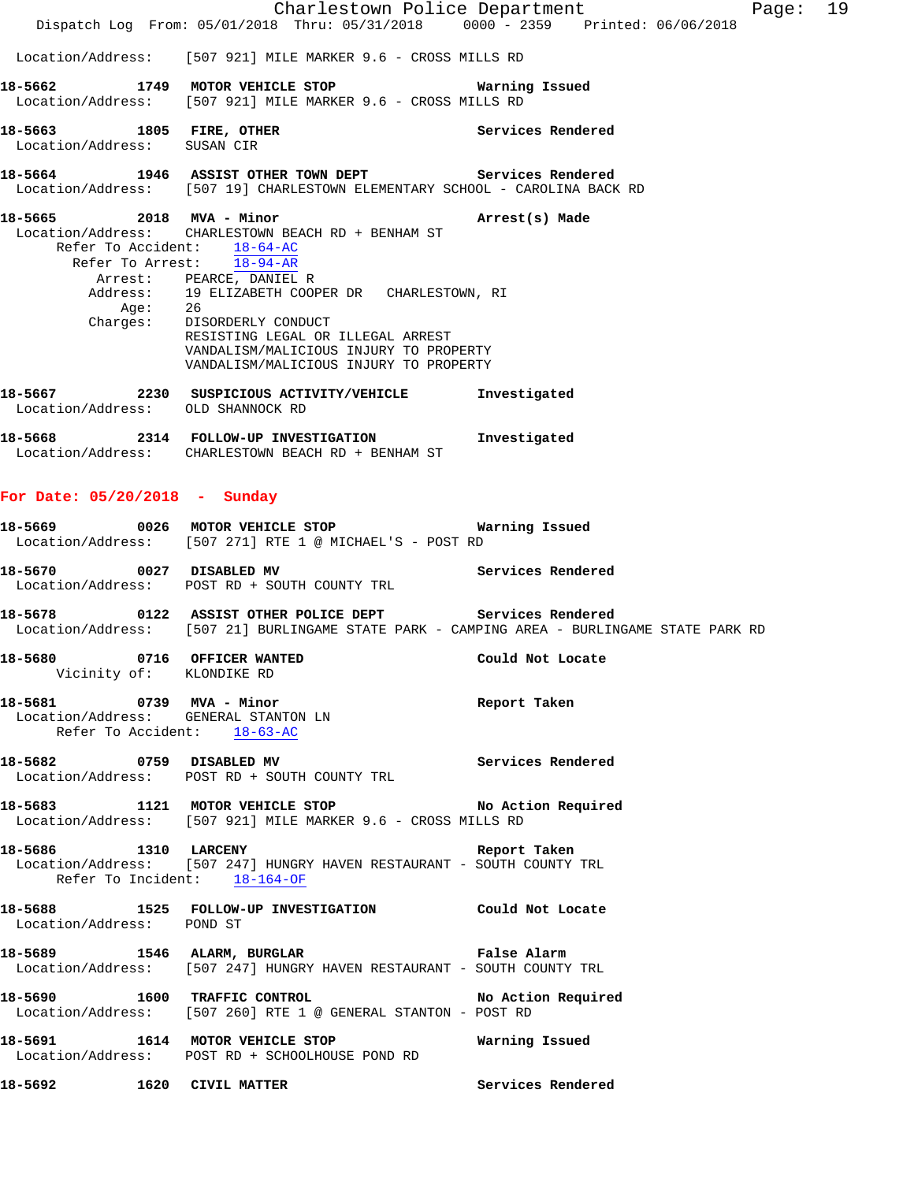|                                 |         |                                                                                                                                                                                                                                                                                                                                                                                                  | Charlestown Police Department | Page: 19 |  |
|---------------------------------|---------|--------------------------------------------------------------------------------------------------------------------------------------------------------------------------------------------------------------------------------------------------------------------------------------------------------------------------------------------------------------------------------------------------|-------------------------------|----------|--|
|                                 |         | Dispatch Log From: 05/01/2018 Thru: 05/31/2018 0000 - 2359 Printed: 06/06/2018                                                                                                                                                                                                                                                                                                                   |                               |          |  |
|                                 |         | Location/Address: [507 921] MILE MARKER 9.6 - CROSS MILLS RD                                                                                                                                                                                                                                                                                                                                     |                               |          |  |
| 18-5662                         |         | 1749 MOTOR VEHICLE STOP <b>STOP</b> Warning Issued<br>Location/Address: [507 921] MILE MARKER 9.6 - CROSS MILLS RD                                                                                                                                                                                                                                                                               |                               |          |  |
| Location/Address: SUSAN CIR     |         | 18-5663 1805 FIRE, OTHER                                                                                                                                                                                                                                                                                                                                                                         | Services Rendered             |          |  |
|                                 |         | 18-5664 1946 ASSIST OTHER TOWN DEPT Services Rendered<br>Location/Address: [507 19] CHARLESTOWN ELEMENTARY SCHOOL - CAROLINA BACK RD                                                                                                                                                                                                                                                             |                               |          |  |
|                                 | Age: 26 | 18-5665 2018 MVA - Minor 2018 2018 2018<br>Location/Address: CHARLESTOWN BEACH RD + BENHAM ST<br>Refer To Accident: 18-64-AC<br>Refer To Arrest: 18-94-AR<br>Arrest: PEARCE, DANIEL R<br>Address: 19 ELIZABETH COOPER DR CHARLESTOWN, RI<br>Charges: DISORDERLY CONDUCT<br>RESISTING LEGAL OR ILLEGAL ARREST<br>VANDALISM/MALICIOUS INJURY TO PROPERTY<br>VANDALISM/MALICIOUS INJURY TO PROPERTY |                               |          |  |
|                                 |         | 18-5667 2230 SUSPICIOUS ACTIVITY/VEHICLE Investigated<br>Location/Address: OLD SHANNOCK RD                                                                                                                                                                                                                                                                                                       |                               |          |  |
|                                 |         | 18-5668 2314 FOLLOW-UP INVESTIGATION Investigated<br>Location/Address: CHARLESTOWN BEACH RD + BENHAM ST                                                                                                                                                                                                                                                                                          |                               |          |  |
| For Date: $05/20/2018$ - Sunday |         |                                                                                                                                                                                                                                                                                                                                                                                                  |                               |          |  |
|                                 |         | 18-5669 0026 MOTOR VEHICLE STOP 6 Warning Issued<br>Location/Address: [507 271] RTE 1 @ MICHAEL'S - POST RD                                                                                                                                                                                                                                                                                      |                               |          |  |
| 18-5670                         |         | 0027 DISABLED MV Services Rendered<br>Location/Address: POST RD + SOUTH COUNTY TRL                                                                                                                                                                                                                                                                                                               |                               |          |  |
|                                 |         | 18-5678 		 0122 ASSIST OTHER POLICE DEPT Services Rendered<br>Location/Address: [507 21] BURLINGAME STATE PARK - CAMPING AREA - BURLINGAME STATE PARK RD                                                                                                                                                                                                                                         |                               |          |  |
| 18-5680                         |         | 0716 OFFICER WANTED<br>Vicinity of: KLONDIKE RD                                                                                                                                                                                                                                                                                                                                                  | Could Not Locate              |          |  |
|                                 |         | 18-5681 0739 MVA - Minor and the Report Taken<br>Location/Address: GENERAL STANTON LN<br>Refer To Accident: 18-63-AC                                                                                                                                                                                                                                                                             |                               |          |  |
|                                 |         | 18-5682 0759 DISABLED MV<br>Location/Address: POST RD + SOUTH COUNTY TRL                                                                                                                                                                                                                                                                                                                         | Services Rendered             |          |  |
|                                 |         | 18-5683 1121 MOTOR VEHICLE STOP No Action Required<br>Location/Address: [507 921] MILE MARKER 9.6 - CROSS MILLS RD                                                                                                                                                                                                                                                                               |                               |          |  |
| 18-5686 1310 LARCENY            |         | Location/Address: [507 247] HUNGRY HAVEN RESTAURANT - SOUTH COUNTY TRL<br>Refer To Incident: $18-164-OF$                                                                                                                                                                                                                                                                                         | Report Taken                  |          |  |
| Location/Address: POND ST       |         | 18-5688 1525 FOLLOW-UP INVESTIGATION Could Not Locate                                                                                                                                                                                                                                                                                                                                            |                               |          |  |
|                                 |         | 18-5689 1546 ALARM, BURGLAR 18 20 False Alarm<br>Location/Address: [507 247] HUNGRY HAVEN RESTAURANT - SOUTH COUNTY TRL                                                                                                                                                                                                                                                                          |                               |          |  |
|                                 |         | 18-5690 1600 TRAFFIC CONTROL 18-5690 No Action Required<br>Location/Address: [507 260] RTE 1 @ GENERAL STANTON - POST RD                                                                                                                                                                                                                                                                         |                               |          |  |
|                                 |         | 18-5691 1614 MOTOR VEHICLE STOP<br>Location/Address: POST RD + SCHOOLHOUSE POND RD                                                                                                                                                                                                                                                                                                               | Warning Issued                |          |  |
|                                 |         | 18-5692 1620 CIVIL MATTER                                                                                                                                                                                                                                                                                                                                                                        | Services Rendered             |          |  |
|                                 |         |                                                                                                                                                                                                                                                                                                                                                                                                  |                               |          |  |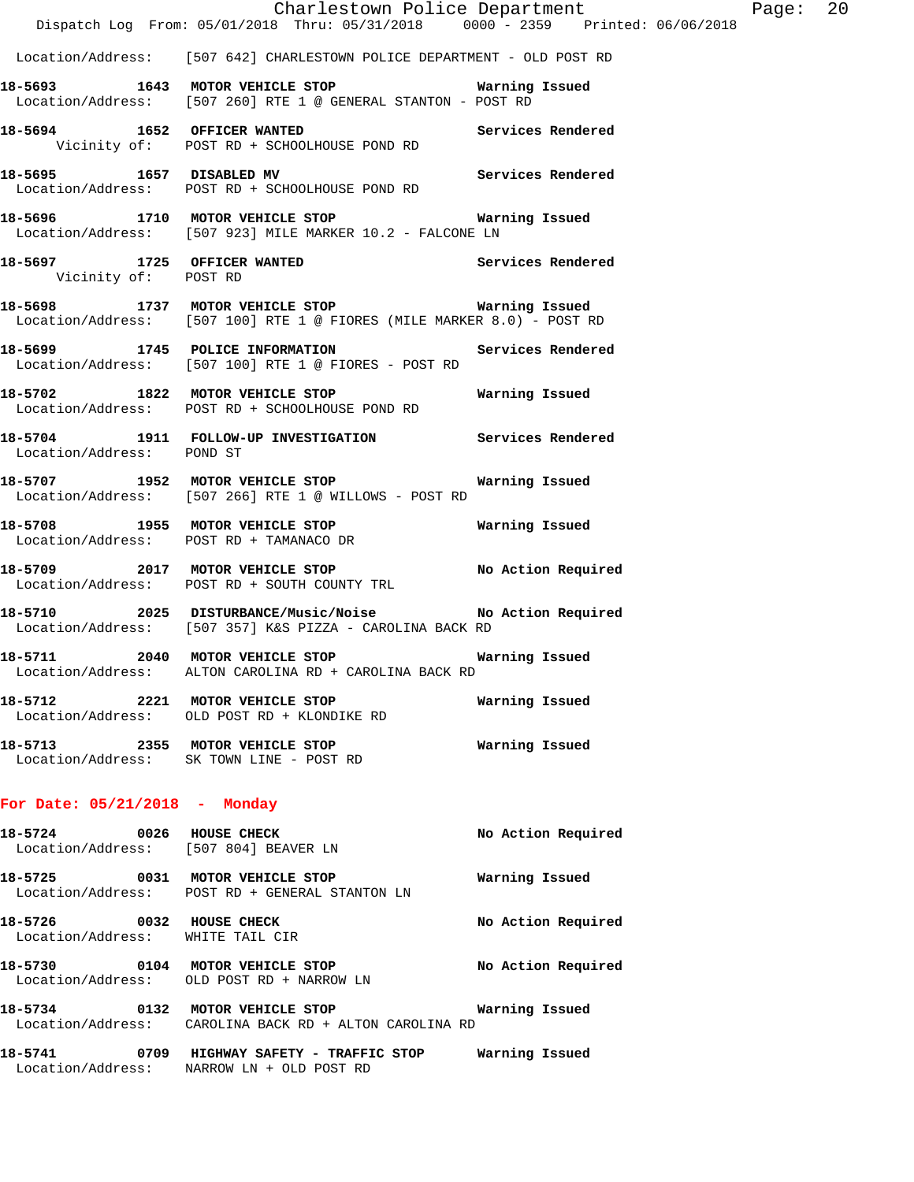|                                                                   | Dispatch Log From: 05/01/2018 Thru: 05/31/2018 0000 - 2359 Printed: 06/06/2018                                             | Charlestown Police Department | Page: 20 |  |
|-------------------------------------------------------------------|----------------------------------------------------------------------------------------------------------------------------|-------------------------------|----------|--|
|                                                                   | Location/Address: [507 642] CHARLESTOWN POLICE DEPARTMENT - OLD POST RD                                                    |                               |          |  |
|                                                                   | 18-5693 1643 MOTOR VEHICLE STOP <b>Marning Issued</b><br>Location/Address: [507 260] RTE 1 @ GENERAL STANTON - POST RD     |                               |          |  |
|                                                                   | 18-5694 1652 OFFICER WANTED Services Rendered<br>Vicinity of: POST RD + SCHOOLHOUSE POND RD                                |                               |          |  |
|                                                                   | 18-5695 1657 DISABLED MV 18-5695 Services Rendered<br>Location/Address: POST RD + SCHOOLHOUSE POND RD                      |                               |          |  |
|                                                                   | 18-5696 1710 MOTOR VEHICLE STOP <b>STOP</b> Warning Issued<br>Location/Address: [507 923] MILE MARKER 10.2 - FALCONE LN    |                               |          |  |
| Vicinity of: POST RD                                              | 18-5697 1725 OFFICER WANTED                                                                                                | Services Rendered             |          |  |
|                                                                   | 18-5698 1737 MOTOR VEHICLE STOP 6 Warning Issued<br>Location/Address: [507 100] RTE 1 @ FIORES (MILE MARKER 8.0) - POST RD |                               |          |  |
|                                                                   | 18-5699 1745 POLICE INFORMATION<br>Location/Address: [507 100] RTE 1 @ FIORES - POST RD                                    | Services Rendered             |          |  |
|                                                                   | 18-5702 1822 MOTOR VEHICLE STOP Warning Issued<br>Location/Address: POST RD + SCHOOLHOUSE POND RD                          |                               |          |  |
| Location/Address: POND ST                                         | 18-5704 1911 FOLLOW-UP INVESTIGATION Services Rendered                                                                     |                               |          |  |
|                                                                   | 18-5707 1952 MOTOR VEHICLE STOP<br>Location/Address: [507 266] RTE 1 @ WILLOWS - POST RD                                   | Warning Issued                |          |  |
|                                                                   | 18-5708 1955 MOTOR VEHICLE STOP <b>Marning Issued</b><br>Location/Address: POST RD + TAMANACO DR                           |                               |          |  |
|                                                                   | 18-5709 2017 MOTOR VEHICLE STOP No Action Required<br>Location/Address: POST RD + SOUTH COUNTY TRL                         |                               |          |  |
|                                                                   | 18-5710 2025 DISTURBANCE/Music/Noise No Action Required<br>Location/Address: [507 357] K&S PIZZA - CAROLINA BACK RD        |                               |          |  |
|                                                                   | 18-5711 2040 MOTOR VEHICLE STOP<br>Location/Address: ALTON CAROLINA RD + CAROLINA BACK RD                                  | Warning Issued                |          |  |
|                                                                   | 18-5712 2221 MOTOR VEHICLE STOP<br>Location/Address: OLD POST RD + KLONDIKE RD                                             | Warning Issued                |          |  |
|                                                                   | 18-5713 2355 MOTOR VEHICLE STOP<br>Location/Address: SK TOWN LINE - POST RD                                                | Warning Issued                |          |  |
| For Date: $05/21/2018$ - Monday                                   |                                                                                                                            |                               |          |  |
| 18-5724 0026 HOUSE CHECK<br>Location/Address: [507 804] BEAVER LN |                                                                                                                            | No Action Required            |          |  |
|                                                                   | 18-5725 0031 MOTOR VEHICLE STOP<br>Location/Address: POST RD + GENERAL STANTON LN                                          | Warning Issued                |          |  |
| 18-5726 0032 HOUSE CHECK<br>Location/Address: WHITE TAIL CIR      |                                                                                                                            | No Action Required            |          |  |
|                                                                   | 18-5730 0104 MOTOR VEHICLE STOP<br>Location/Address: OLD POST RD + NARROW LN                                               | No Action Required            |          |  |
|                                                                   | 18-5734 			 0132 MOTOR VEHICLE STOP 							 Warning Issued<br>Location/Address: CAROLINA BACK RD + ALTON CAROLINA RD       |                               |          |  |
|                                                                   |                                                                                                                            |                               |          |  |

Location/Address: NARROW LN + OLD POST RD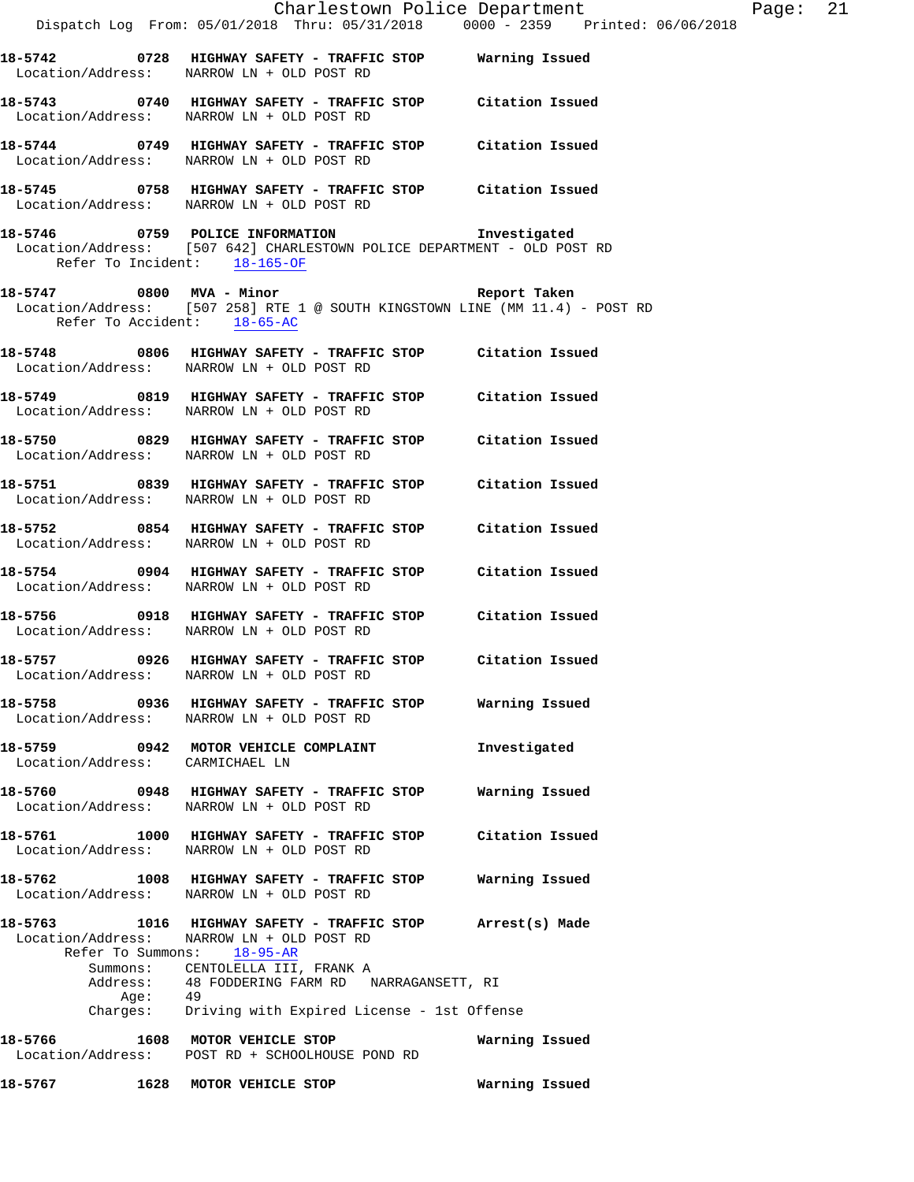|                                 |          |                                                                                                                                                                                                          |                 | Charlestown Police Department | Page: 21 |  |
|---------------------------------|----------|----------------------------------------------------------------------------------------------------------------------------------------------------------------------------------------------------------|-----------------|-------------------------------|----------|--|
|                                 |          | Dispatch Log From: 05/01/2018 Thru: 05/31/2018 0000 - 2359 Printed: 06/06/2018                                                                                                                           |                 |                               |          |  |
|                                 |          | 18-5742 0728 HIGHWAY SAFETY - TRAFFIC STOP Warning Issued<br>Location/Address: NARROW LN + OLD POST RD                                                                                                   |                 |                               |          |  |
|                                 |          | 18-5743 0740 HIGHWAY SAFETY - TRAFFIC STOP Citation Issued<br>Location/Address: NARROW LN + OLD POST RD                                                                                                  |                 |                               |          |  |
|                                 |          | 18-5744 0749 HIGHWAY SAFETY - TRAFFIC STOP Citation Issued<br>Location/Address: NARROW LN + OLD POST RD                                                                                                  |                 |                               |          |  |
|                                 |          | 18-5745 0758 HIGHWAY SAFETY - TRAFFIC STOP Citation Issued<br>Location/Address: NARROW LN + OLD POST RD                                                                                                  |                 |                               |          |  |
|                                 |          | 18-5746 0759 POLICE INFORMATION 1nvestigated<br>Location/Address: [507 642] CHARLESTOWN POLICE DEPARTMENT - OLD POST RD<br>Refer To Incident: $18-165-OF$                                                |                 |                               |          |  |
|                                 |          | 18-5747 0800 MVA - Minor Care and Report Taken<br>Location/Address: [507 258] RTE 1 @ SOUTH KINGSTOWN LINE (MM 11.4) - POST RD<br>Refer To Accident: 18-65-AC                                            |                 |                               |          |  |
|                                 |          | 18-5748 0806 HIGHWAY SAFETY - TRAFFIC STOP Citation Issued<br>Location/Address: NARROW LN + OLD POST RD                                                                                                  |                 |                               |          |  |
|                                 |          | 18-5749 0819 HIGHWAY SAFETY - TRAFFIC STOP Citation Issued<br>Location/Address: NARROW LN + OLD POST RD                                                                                                  |                 |                               |          |  |
|                                 |          | 18-5750 0829 HIGHWAY SAFETY - TRAFFIC STOP Citation Issued<br>Location/Address: NARROW LN + OLD POST RD                                                                                                  |                 |                               |          |  |
|                                 |          | 18-5751 0839 HIGHWAY SAFETY - TRAFFIC STOP Citation Issued<br>Location/Address: NARROW LN + OLD POST RD                                                                                                  |                 |                               |          |  |
|                                 |          | 18-5752 0854 HIGHWAY SAFETY - TRAFFIC STOP Citation Issued<br>Location/Address: NARROW LN + OLD POST RD                                                                                                  |                 |                               |          |  |
|                                 |          | 18-5754 0904 HIGHWAY SAFETY - TRAFFIC STOP Citation Issued<br>Location/Address: NARROW LN + OLD POST RD                                                                                                  |                 |                               |          |  |
|                                 |          | 18-5756 0918 HIGHWAY SAFETY - TRAFFIC STOP Citation Issued<br>Location/Address: NARROW LN + OLD POST RD                                                                                                  |                 |                               |          |  |
| Location/Address:               |          | 18-5757 0926 HIGHWAY SAFETY - TRAFFIC STOP Citation Issued<br>NARROW LN + OLD POST RD                                                                                                                    |                 |                               |          |  |
|                                 |          | 18-5758 0936 HIGHWAY SAFETY - TRAFFIC STOP Warning Issued<br>Location/Address: NARROW LN + OLD POST RD                                                                                                   |                 |                               |          |  |
| Location/Address: CARMICHAEL LN |          | 18-5759 0942 MOTOR VEHICLE COMPLAINT                                                                                                                                                                     | Investigated    |                               |          |  |
|                                 |          | 18-5760 0948 HIGHWAY SAFETY - TRAFFIC STOP<br>Location/Address: NARROW LN + OLD POST RD                                                                                                                  | Warning Issued  |                               |          |  |
|                                 |          | 18-5761 1000 HIGHWAY SAFETY - TRAFFIC STOP<br>Location/Address: NARROW LN + OLD POST RD                                                                                                                  | Citation Issued |                               |          |  |
|                                 |          | 18-5762 1008 HIGHWAY SAFETY - TRAFFIC STOP Warning Issued<br>Location/Address: NARROW LN + OLD POST RD                                                                                                   |                 |                               |          |  |
| Refer To Summons:               | Age:  49 | 18-5763 1016 HIGHWAY SAFETY - TRAFFIC STOP Arrest(s) Made<br>Location/Address: NARROW LN + OLD POST RD<br>18-95-AR<br>Summons: CENTOLELLA III, FRANK A<br>Address: 48 FODDERING FARM RD NARRAGANSETT, RI |                 |                               |          |  |
|                                 |          | Charges: Driving with Expired License - 1st Offense                                                                                                                                                      |                 |                               |          |  |
| 18-5766                         |          | 1608 MOTOR VEHICLE STOP<br>Location/Address: POST RD + SCHOOLHOUSE POND RD                                                                                                                               | Warning Issued  |                               |          |  |
| 18-5767                         |          | 1628 MOTOR VEHICLE STOP                         Warning Issued                                                                                                                                           |                 |                               |          |  |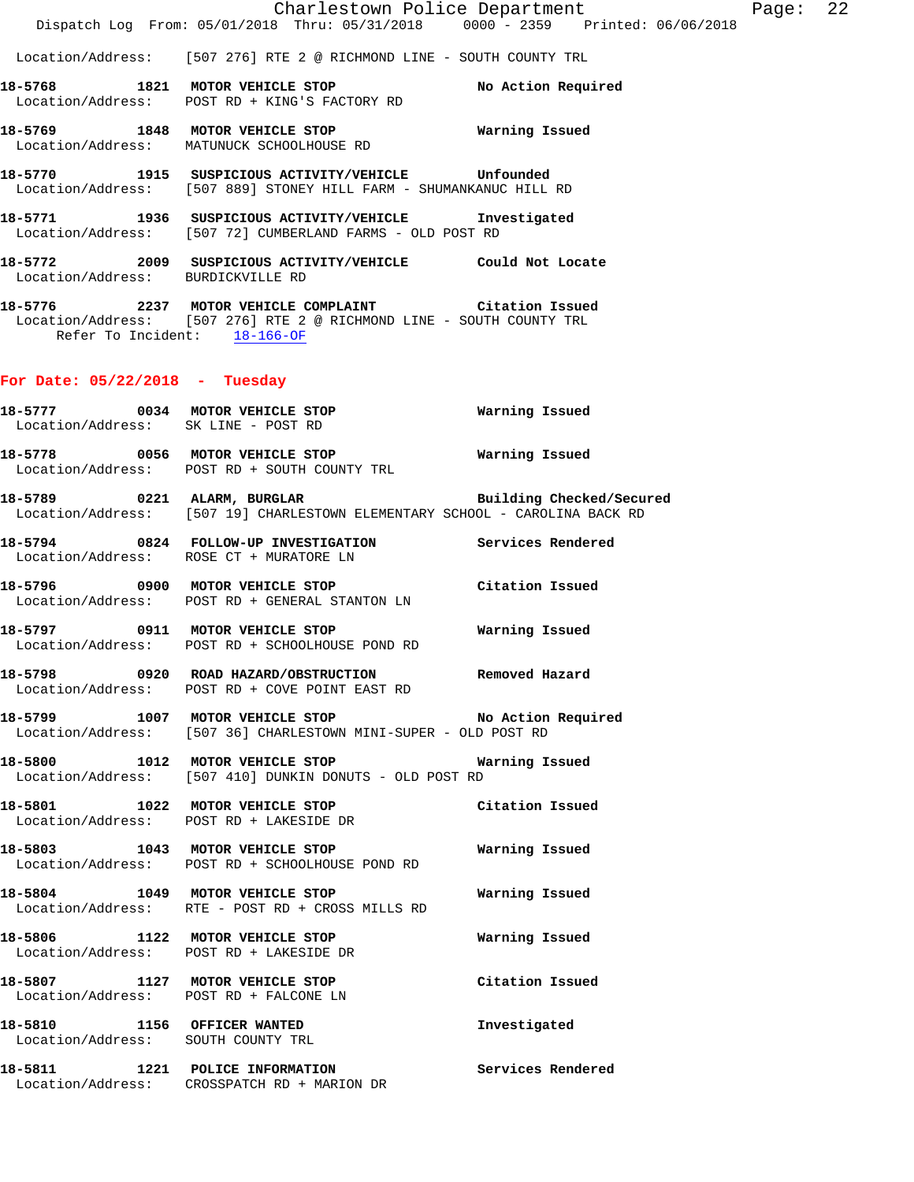**18-5772 2009 SUSPICIOUS ACTIVITY/VEHICLE Could Not Locate**  Location/Address: BURDICKVILLE RD

**18-5776 2237 MOTOR VEHICLE COMPLAINT Citation Issued**  Location/Address: [507 276] RTE 2 @ RICHMOND LINE - SOUTH COUNTY TRL Refer To Incident: 18-166-OF

# **For Date: 05/22/2018 - Tuesday**

|  | 18-5777 0034 MOTOR VEHICLE STOP<br>Location/Address: SK LINE - POST RD                                                | <b>Warning Issued</b>    |
|--|-----------------------------------------------------------------------------------------------------------------------|--------------------------|
|  | 18-5778 0056 MOTOR VEHICLE STOP Warning Issued<br>Location/Address: POST RD + SOUTH COUNTY TRL                        |                          |
|  | 18-5789 0221 ALARM, BURGLAR<br>Location/Address: [507 19] CHARLESTOWN ELEMENTARY SCHOOL - CAROLINA BACK RD            | Building Checked/Secured |
|  | 18-5794 0824 FOLLOW-UP INVESTIGATION Services Rendered<br>Location/Address: ROSE CT + MURATORE LN                     |                          |
|  | 18-5796 0900 MOTOR VEHICLE STOP Citation Issued<br>Location/Address: POST RD + GENERAL STANTON LN                     |                          |
|  | 18-5797 0911 MOTOR VEHICLE STOP<br>Location/Address: POST RD + SCHOOLHOUSE POND RD                                    | Warning Issued           |
|  | 18-5798 0920 ROAD HAZARD/OBSTRUCTION Removed Hazard<br>Location/Address: POST RD + COVE POINT EAST RD                 |                          |
|  | 18-5799 1007 MOTOR VEHICLE STOP NO Action Required<br>Location/Address: [507 36] CHARLESTOWN MINI-SUPER - OLD POST RD |                          |
|  | 18-5800 1012 MOTOR VEHICLE STOP <b>NATILE MATILE M</b> and<br>Location/Address: [507 410] DUNKIN DONUTS - OLD POST RD |                          |
|  | 18-5801 1022 MOTOR VEHICLE STOP Citation Issued<br>Location/Address: POST RD + LAKESIDE DR                            |                          |
|  | 18-5803 1043 MOTOR VEHICLE STOP<br>Location/Address: POST RD + SCHOOLHOUSE POND RD                                    | Warning Issued           |
|  | 18-5804 1049 MOTOR VEHICLE STOP<br>Location/Address: RTE - POST RD + CROSS MILLS RD                                   | Warning Issued           |
|  | 18-5806 1122 MOTOR VEHICLE STOP 6 Warning Issued<br>Location/Address: POST RD + LAKESIDE DR                           |                          |
|  | 18-5807 1127 MOTOR VEHICLE STOP<br>Location/Address: POST RD + FALCONE LN                                             | Citation Issued          |
|  | 18-5810 1156 OFFICER WANTED<br>Location/Address: SOUTH COUNTY TRL                                                     | Investigated             |
|  | 18-5811 1221 POLICE INFORMATION<br>Location/Address: CROSSPATCH RD + MARION DR                                        | Services Rendered        |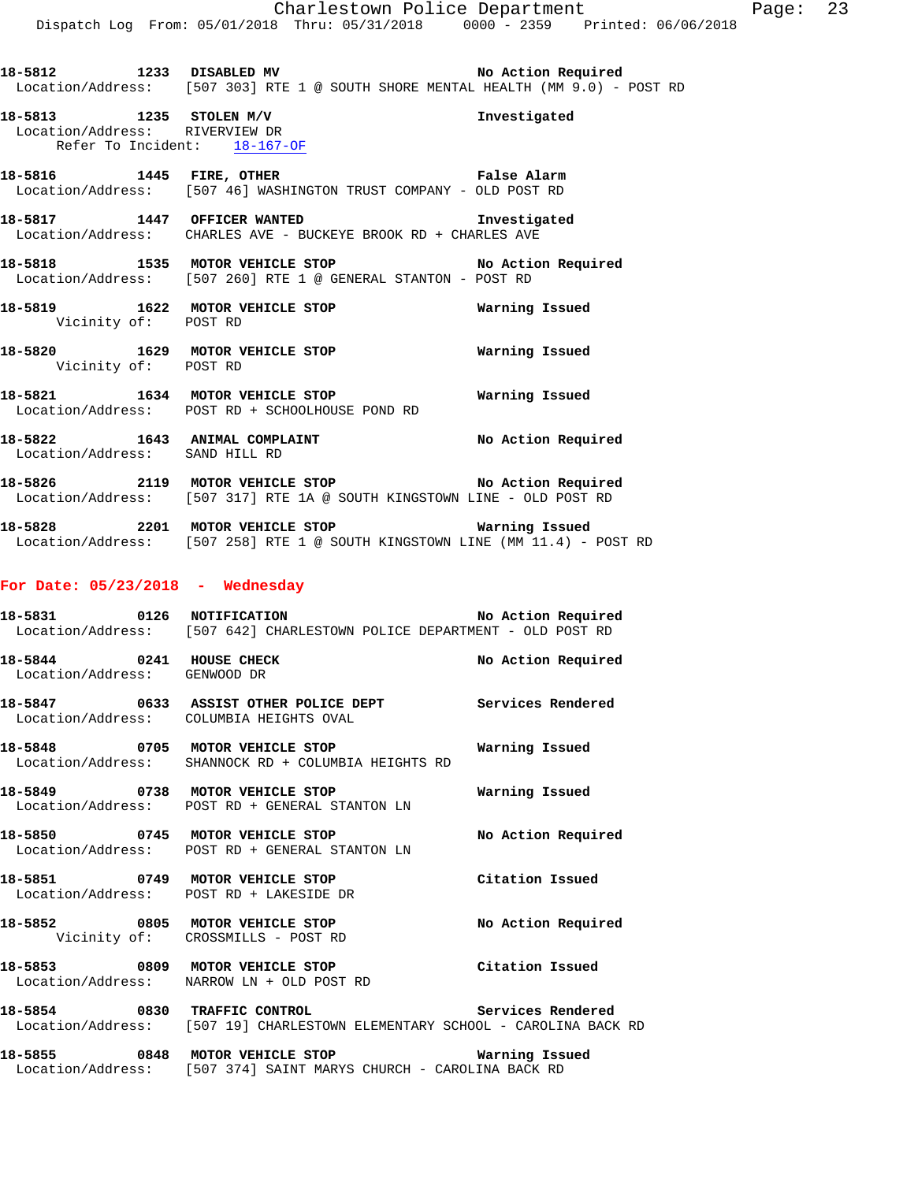- 18-5812 1233 DISABLED MV **1233 ROBER 18** No Action Required Location/Address: [507 303] RTE 1 @ SOUTH SHORE MENTAL HEALTH (MM 9.0) - POST RD
- **18-5813 1235 STOLEN M/V Investigated**  Location/Address: RIVERVIEW DR Refer To Incident: 18-167-OF
- **18-5816 1445 FIRE, OTHER False Alarm**  Location/Address: [507 46] WASHINGTON TRUST COMPANY - OLD POST RD
- **18-5817 1447 OFFICER WANTED Investigated**  Location/Address: CHARLES AVE - BUCKEYE BROOK RD + CHARLES AVE
- **18-5818 1535 MOTOR VEHICLE STOP No Action Required**  Location/Address: [507 260] RTE 1 @ GENERAL STANTON - POST RD
- **18-5819 1622 MOTOR VEHICLE STOP Warning Issued**  Vicinity of: POST RD
- **18-5820 1629 MOTOR VEHICLE STOP Warning Issued**  Vicinity of: POST RD
- **18-5821 1634 MOTOR VEHICLE STOP Warning Issued**  Location/Address: POST RD + SCHOOLHOUSE POND RD
- **18-5822 1643 ANIMAL COMPLAINT No Action Required**  Location/Address: SAND HILL RD
- **18-5826 2119 MOTOR VEHICLE STOP No Action Required**  Location/Address: [507 317] RTE 1A @ SOUTH KINGSTOWN LINE - OLD POST RD
- **18-5828 2201 MOTOR VEHICLE STOP Warning Issued**  Location/Address: [507 258] RTE 1 @ SOUTH KINGSTOWN LINE (MM 11.4) - POST RD

### **For Date: 05/23/2018 - Wednesday**

- **18-5831 0126 NOTIFICATION No Action Required**  Location/Address: [507 642] CHARLESTOWN POLICE DEPARTMENT - OLD POST RD **18-5844 0241 HOUSE CHECK No Action Required**  Location/Address: GENWOOD DR
- **18-5847 0633 ASSIST OTHER POLICE DEPT Services Rendered**  Location/Address: COLUMBIA HEIGHTS OVAL
- **18-5848 0705 MOTOR VEHICLE STOP Warning Issued**  Location/Address: SHANNOCK RD + COLUMBIA HEIGHTS RD
- **18-5849 0738 MOTOR VEHICLE STOP Warning Issued**  Location/Address: POST RD + GENERAL STANTON LN
- 18-5850 **0745 MOTOR VEHICLE STOP** No Action Required Location/Address: POST RD + GENERAL STANTON LN
- **18-5851 0749 MOTOR VEHICLE STOP Citation Issued**  Location/Address: POST RD + LAKESIDE DR
- 18-5852 0805 MOTOR VEHICLE STOP **No Action Required** Vicinity of: CROSSMILLS - POST RD
- **18-5853 0809 MOTOR VEHICLE STOP Citation Issued**  Location/Address: NARROW LN + OLD POST RD
- **18-5854 0830 TRAFFIC CONTROL Services Rendered**  Location/Address: [507 19] CHARLESTOWN ELEMENTARY SCHOOL - CAROLINA BACK RD

**18-5855 0848 MOTOR VEHICLE STOP Warning Issued**  Location/Address: [507 374] SAINT MARYS CHURCH - CAROLINA BACK RD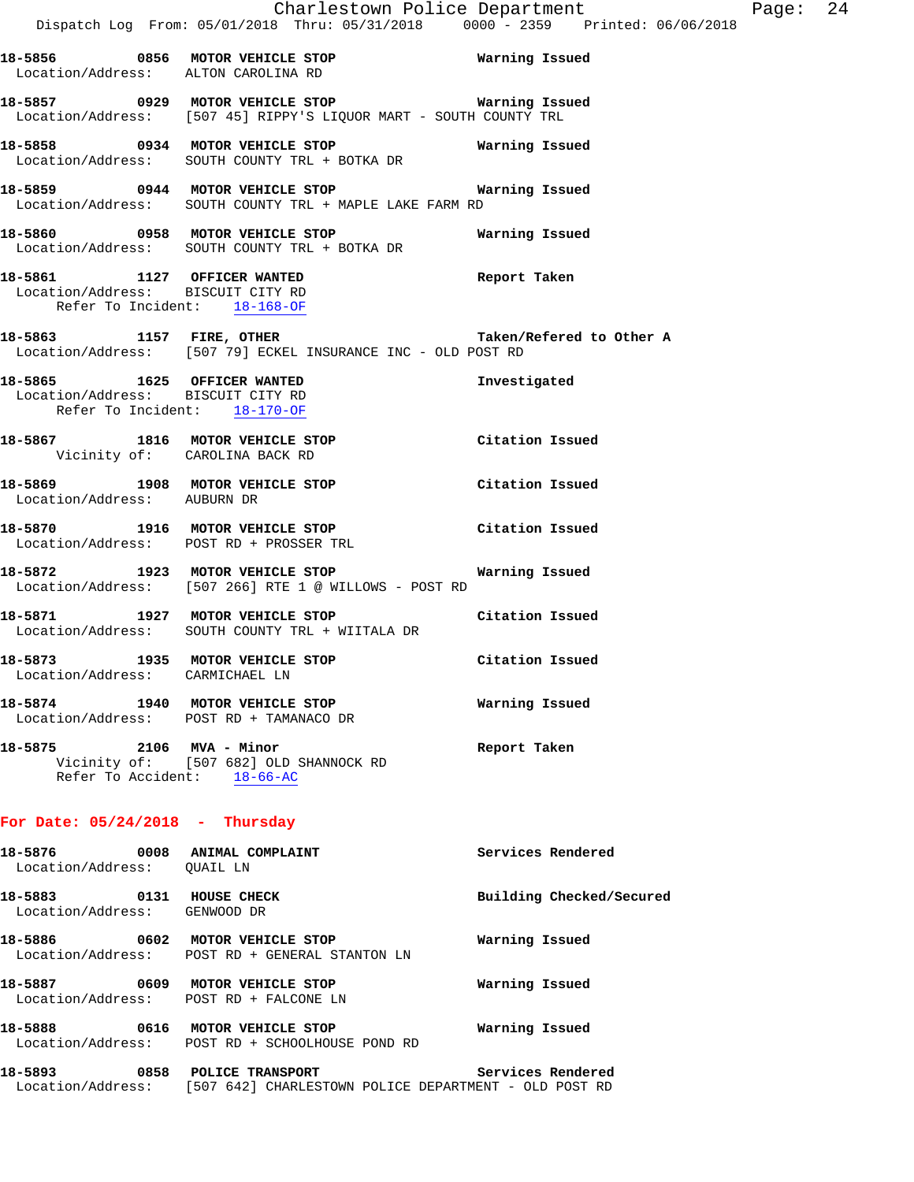|                                                                    | Charlestown Police Department<br>Dispatch Log From: 05/01/2018 Thru: 05/31/2018  0000 - 2359  Printed: 06/06/2018   |                          | Page: 24 |  |
|--------------------------------------------------------------------|---------------------------------------------------------------------------------------------------------------------|--------------------------|----------|--|
| Location/Address: ALTON CAROLINA RD                                |                                                                                                                     |                          |          |  |
|                                                                    | 18-5857 0929 MOTOR VEHICLE STOP Warning Issued<br>Location/Address: [507 45] RIPPY'S LIQUOR MART - SOUTH COUNTY TRL |                          |          |  |
|                                                                    | 18-5858 0934 MOTOR VEHICLE STOP<br>Location/Address: SOUTH COUNTY TRL + BOTKA DR                                    | Warning Issued           |          |  |
|                                                                    | 18-5859 0944 MOTOR VEHICLE STOP Warning Issued<br>Location/Address: SOUTH COUNTY TRL + MAPLE LAKE FARM RD           |                          |          |  |
|                                                                    | Location/Address: SOUTH COUNTY TRL + BOTKA DR                                                                       |                          |          |  |
| Refer To Incident: 18-168-OF                                       | 18-5861 1127 OFFICER WANTED<br>Location/Address: BISCUIT CITY RD                                                    | Report Taken             |          |  |
|                                                                    | 18-5863 1157 FIRE, OTHER Taken/Refered to Other A<br>Location/Address: [507 79] ECKEL INSURANCE INC - OLD POST RD   |                          |          |  |
| Location/Address: BISCUIT CITY RD<br>Refer To Incident: 18-170-OF  | 18-5865 1625 OFFICER WANTED                                                                                         | Investigated             |          |  |
| Vicinity of: CAROLINA BACK RD                                      | 18-5867 1816 MOTOR VEHICLE STOP Citation Issued                                                                     |                          |          |  |
| Location/Address: AUBURN DR                                        | 18-5869 1908 MOTOR VEHICLE STOP                                                                                     | Citation Issued          |          |  |
|                                                                    | 18-5870 1916 MOTOR VEHICLE STOP Citation Issued<br>Location/Address: POST RD + PROSSER TRL                          |                          |          |  |
|                                                                    | 18-5872 1923 MOTOR VEHICLE STOP <b>Marning Issued</b><br>Location/Address: [507 266] RTE 1 @ WILLOWS - POST RD      |                          |          |  |
|                                                                    | 18-5871 1927 MOTOR VEHICLE STOP Citation Issued<br>Location/Address: SOUTH COUNTY TRL + WIITALA DR                  |                          |          |  |
| 18-5873 1935 MOTOR VEHICLE STOP<br>Location/Address: CARMICHAEL LN |                                                                                                                     | Citation Issued          |          |  |
| 18-5874 1940 MOTOR VEHICLE STOP                                    | Location/Address: POST RD + TAMANACO DR                                                                             | Warning Issued           |          |  |
| 18-5875 2106 MVA - Minor<br>Refer To Accident: 18-66-AC            | Vicinity of: [507 682] OLD SHANNOCK RD                                                                              | Report Taken             |          |  |
| For Date: $05/24/2018$ - Thursday                                  |                                                                                                                     |                          |          |  |
| 18-5876<br>Location/Address: QUAIL LN                              | 0008 ANIMAL COMPLAINT                                                                                               | Services Rendered        |          |  |
| 18-5883                                                            | 0131 HOUSE CHECK                                                                                                    | Building Checked/Secured |          |  |

Location/Address: GENWOOD DR

**18-5886 0602 MOTOR VEHICLE STOP Warning Issued**  Location/Address: POST RD + GENERAL STANTON LN

**18-5887 0609 MOTOR VEHICLE STOP Warning Issued**  Location/Address: POST RD + FALCONE LN

**18-5888 0616 MOTOR VEHICLE STOP Warning Issued**  Location/Address: POST RD + SCHOOLHOUSE POND RD

| 18-5893           | 0858 |  | <b>POLICE TRANSPORT</b>                               | Services Rendered |  |  |  |  |  |
|-------------------|------|--|-------------------------------------------------------|-------------------|--|--|--|--|--|
| Location/Address: |      |  | [507 642] CHARLESTOWN POLICE DEPARTMENT - OLD POST RD |                   |  |  |  |  |  |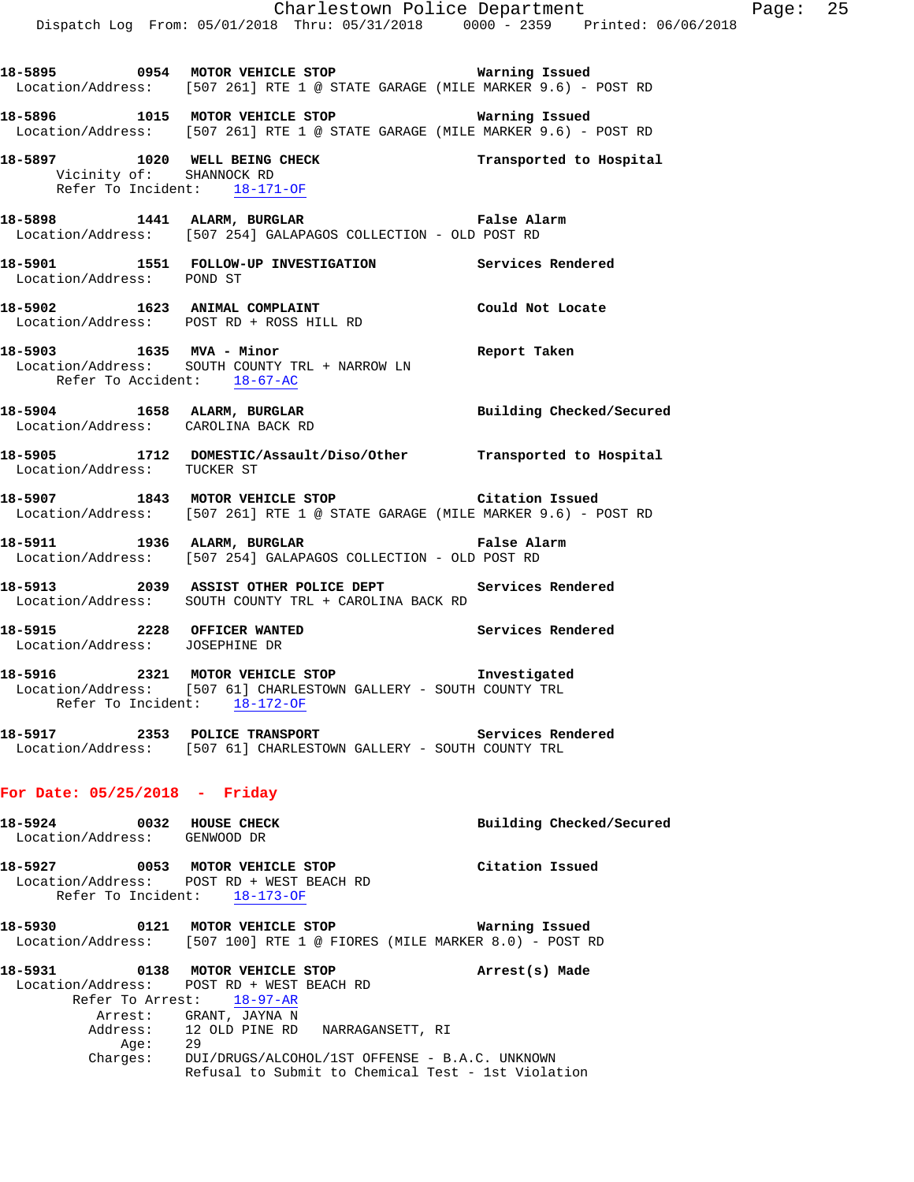|                                                               | Dispatch Log From: 05/01/2018 Thru: 05/31/2018 0000 - 2359 Printed: 06/06/2018                                                                    | Charlestown Police Department | Page: 25 |  |
|---------------------------------------------------------------|---------------------------------------------------------------------------------------------------------------------------------------------------|-------------------------------|----------|--|
|                                                               | 18-5895 0954 MOTOR VEHICLE STOP 6 Warning Issued<br>Location/Address: [507 261] RTE 1 @ STATE GARAGE (MILE MARKER 9.6) - POST RD                  |                               |          |  |
|                                                               | 18-5896 1015 MOTOR VEHICLE STOP 6 Warning Issued<br>Location/Address: [507 261] RTE 1 @ STATE GARAGE (MILE MARKER 9.6) - POST RD                  |                               |          |  |
|                                                               | 18-5897 1020 WELL BEING CHECK<br>Vicinity of: SHANNOCK RD<br>Refer To Incident: 18-171-OF                                                         | Transported to Hospital       |          |  |
|                                                               | 18-5898 1441 ALARM, BURGLAR False Alarm<br>Location/Address: [507 254] GALAPAGOS COLLECTION - OLD POST RD                                         |                               |          |  |
| Location/Address: POND ST                                     | 18-5901 1551 FOLLOW-UP INVESTIGATION Services Rendered                                                                                            |                               |          |  |
|                                                               | 18-5902 1623 ANIMAL COMPLAINT<br>Location/Address: POST RD + ROSS HILL RD                                                                         | Could Not Locate              |          |  |
| Refer To Accident: 18-67-AC                                   | 18-5903 1635 MVA - Minor<br>Location/Address: SOUTH COUNTY TRL + NARROW LN                                                                        | Report Taken                  |          |  |
|                                                               | 18-5904 1658 ALARM, BURGLAR 2001 Building Checked/Secured<br>Location/Address: CAROLINA BACK RD                                                   |                               |          |  |
| Location/Address: TUCKER ST                                   | 18-5905 1712 DOMESTIC/Assault/Diso/Other Transported to Hospital                                                                                  |                               |          |  |
|                                                               | 18-5907 1843 MOTOR VEHICLE STOP Citation Issued<br>Location/Address: [507 261] RTE 1 @ STATE GARAGE (MILE MARKER 9.6) - POST RD                   |                               |          |  |
|                                                               | 18-5911 1936 ALARM, BURGLAR 1999 Palse Alarm<br>Location/Address: [507 254] GALAPAGOS COLLECTION - OLD POST RD                                    |                               |          |  |
|                                                               | 18-5913 2039 ASSIST OTHER POLICE DEPT Services Rendered<br>Location/Address: SOUTH COUNTY TRL + CAROLINA BACK RD                                  |                               |          |  |
| 18-5915 2228 OFFICER WANTED<br>Location/Address: JOSEPHINE DR |                                                                                                                                                   | Services Rendered             |          |  |
|                                                               | 18-5916 2321 MOTOR VEHICLE STOP 1nvestigated<br>Location/Address: [507 61] CHARLESTOWN GALLERY - SOUTH COUNTY TRL<br>Refer To Incident: 18-172-OF |                               |          |  |
|                                                               | 18-5917 2353 POLICE TRANSPORT<br>Location/Address: [507 61] CHARLESTOWN GALLERY - SOUTH COUNTY TRL                                                | Services Rendered             |          |  |
| For Date: $05/25/2018$ - Friday                               |                                                                                                                                                   |                               |          |  |
| 18-5924 0032 HOUSE CHECK<br>Location/Address: GENWOOD DR      |                                                                                                                                                   | Building Checked/Secured      |          |  |
| 18-5927                                                       | 0053 MOTOR VEHICLE STOP                                                                                                                           | Citation Issued               |          |  |

- Location/Address: POST RD + WEST BEACH RD Refer To Incident: 18-173-OF
- **18-5930 0121 MOTOR VEHICLE STOP Warning Issued**  Location/Address: [507 100] RTE 1 @ FIORES (MILE MARKER 8.0) - POST RD
- **18-5931 0138 MOTOR VEHICLE STOP Arrest(s) Made**  Location/Address: POST RD + WEST BEACH RD Refer To Arrest: 18-97-AR Arrest: GRANT, JAYNA N Address: 12 OLD PINE RD NARRAGANSETT, RI Age: 29 Charges: DUI/DRUGS/ALCOHOL/1ST OFFENSE - B.A.C. UNKNOWN Refusal to Submit to Chemical Test - 1st Violation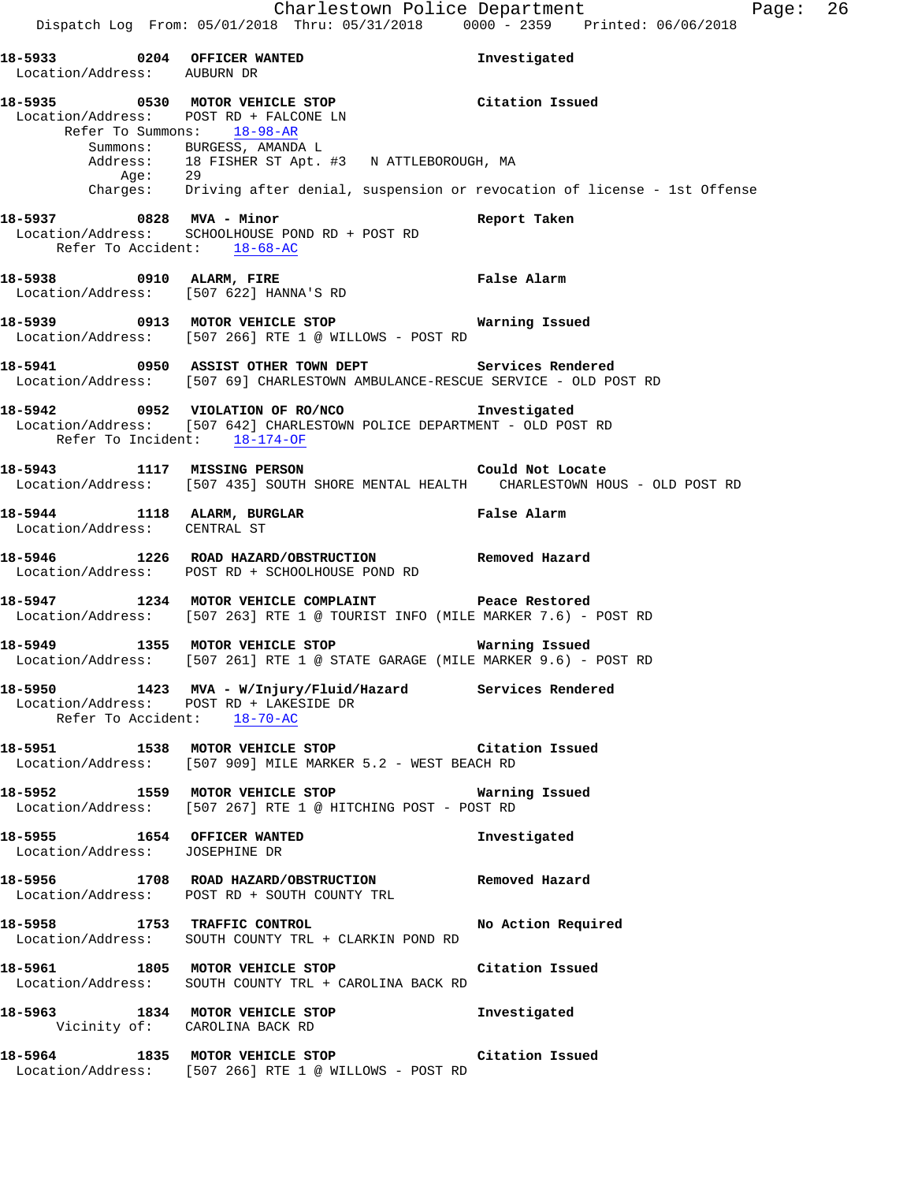**18-5933 0204 OFFICER WANTED Investigated**  Location/Address: AUBURN DR **18-5935 0530 MOTOR VEHICLE STOP Citation Issued**  Location/Address: POST RD + FALCONE LN Refer To Summons: 18-98-AR Summons: BURGESS, AMANDA L Address: 18 FISHER ST Apt. #3 N ATTLEBOROUGH, MA Age: 29 Charges: Driving after denial, suspension or revocation of license - 1st Offense **18-5937 0828 MVA - Minor Report Taken**  Location/Address: SCHOOLHOUSE POND RD + POST RD Refer To Accident: 18-68-AC **18-5938 0910 ALARM, FIRE False Alarm**  Location/Address: [507 622] HANNA'S RD **18-5939 0913 MOTOR VEHICLE STOP Warning Issued**  Location/Address: [507 266] RTE 1 @ WILLOWS - POST RD **18-5941 0950 ASSIST OTHER TOWN DEPT Services Rendered**  Location/Address: [507 69] CHARLESTOWN AMBULANCE-RESCUE SERVICE - OLD POST RD **18-5942 0952 VIOLATION OF RO/NCO Investigated**  Location/Address: [507 642] CHARLESTOWN POLICE DEPARTMENT - OLD POST RD Refer To Incident: 18-174-OF **18-5943 1117 MISSING PERSON Could Not Locate**  Location/Address: [507 435] SOUTH SHORE MENTAL HEALTH CHARLESTOWN HOUS - OLD POST RD **18-5944 1118 ALARM, BURGLAR False Alarm**  Location/Address: CENTRAL ST **18-5946 1226 ROAD HAZARD/OBSTRUCTION Removed Hazard**  Location/Address: POST RD + SCHOOLHOUSE POND RD **18-5947 1234 MOTOR VEHICLE COMPLAINT Peace Restored**  Location/Address: [507 263] RTE 1 @ TOURIST INFO (MILE MARKER 7.6) - POST RD **18-5949 1355 MOTOR VEHICLE STOP Warning Issued**  Location/Address: [507 261] RTE 1 @ STATE GARAGE (MILE MARKER 9.6) - POST RD **18-5950 1423 MVA - W/Injury/Fluid/Hazard Services Rendered**  Location/Address: POST RD + LAKESIDE DR Refer To Accident: 18-70-AC **18-5951 1538 MOTOR VEHICLE STOP Citation Issued**  Location/Address: [507 909] MILE MARKER 5.2 - WEST BEACH RD **18-5952 1559 MOTOR VEHICLE STOP Warning Issued**  Location/Address: [507 267] RTE 1 @ HITCHING POST - POST RD **18-5955 1654 OFFICER WANTED Investigated**  Location/Address: JOSEPHINE DR **18-5956 1708 ROAD HAZARD/OBSTRUCTION Removed Hazard**  Location/Address: POST RD + SOUTH COUNTY TRL **18-5958 1753 TRAFFIC CONTROL No Action Required**  Location/Address: SOUTH COUNTY TRL + CLARKIN POND RD **18-5961 1805 MOTOR VEHICLE STOP Citation Issued**  Location/Address: SOUTH COUNTY TRL + CAROLINA BACK RD **18-5963 1834 MOTOR VEHICLE STOP Investigated**  Vicinity of: CAROLINA BACK RD **18-5964 1835 MOTOR VEHICLE STOP Citation Issued**  Location/Address: [507 266] RTE 1 @ WILLOWS - POST RD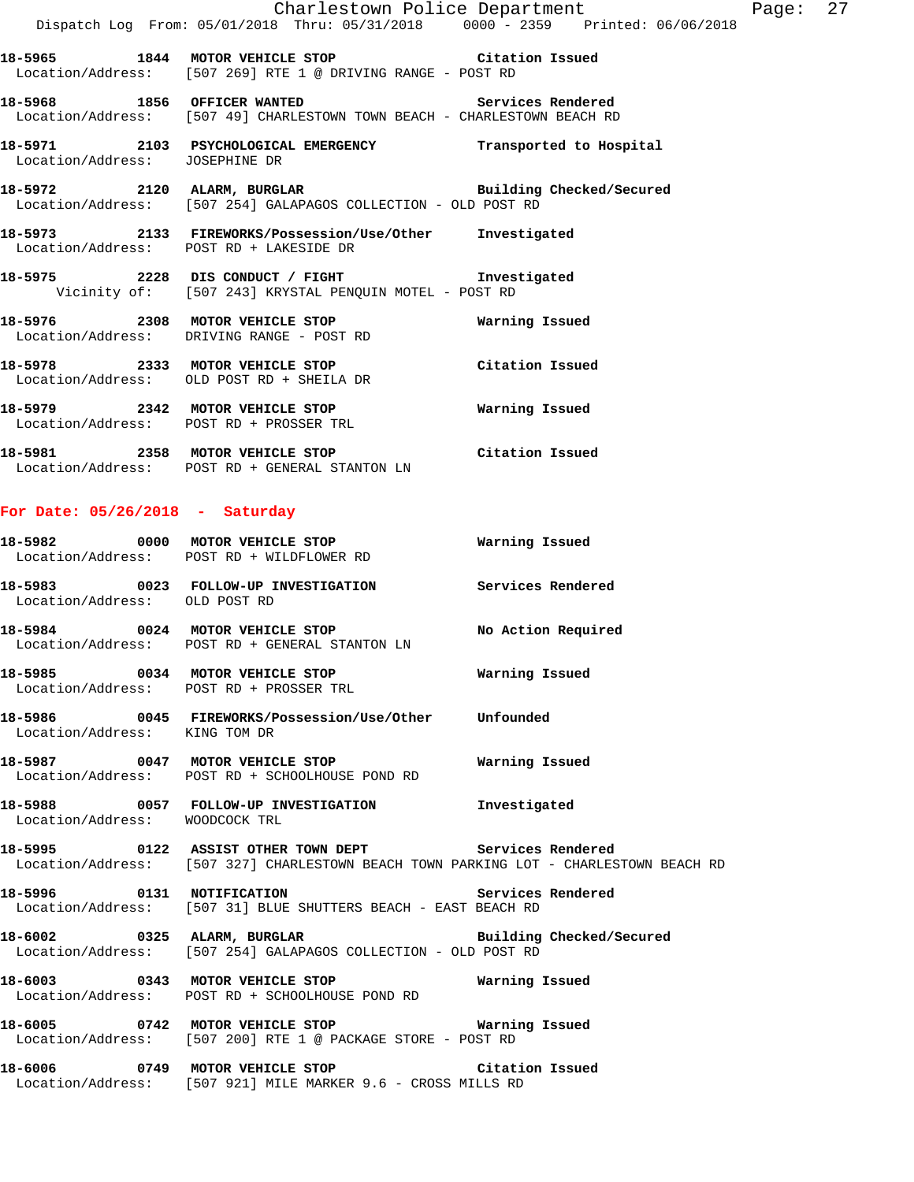| Charlestown Police Department<br>Page:    |      |                                                                                                                     |                          |  |  |  |
|-------------------------------------------|------|---------------------------------------------------------------------------------------------------------------------|--------------------------|--|--|--|
|                                           |      | Dispatch Log From: 05/01/2018 Thru: 05/31/2018 0000 - 2359 Printed: 06/06/2018                                      |                          |  |  |  |
| 18–5965                                   | 1844 | MOTOR VEHICLE STOP <b>EXAMPLE 12</b> Citation Issued<br>Location/Address: [507 269] RTE 1 @ DRIVING RANGE - POST RD |                          |  |  |  |
| 1856<br>18–5968                           |      | OFFICER WANTED<br>Location/Address: [507 49] CHARLESTOWN TOWN BEACH - CHARLESTOWN BEACH RD                          | Services Rendered        |  |  |  |
| 18–5971<br>Location/Address: JOSEPHINE DR |      | 2103 PSYCHOLOGICAL EMERGENCY                                                                                        | Transported to Hospital  |  |  |  |
| 18-5972                                   | 2120 | ALARM, BURGLAR<br>Location/Address: [507 254] GALAPAGOS COLLECTION - OLD POST RD                                    | Building Checked/Secured |  |  |  |
| 18-5973                                   |      | 2133 FIREWORKS/Possession/Use/Other<br>Location/Address: POST RD + LAKESIDE DR                                      | Investigated             |  |  |  |
| 18-5975                                   | 2228 | DIS CONDUCT / FIGHT                                                                                                 | Investigated             |  |  |  |

**For Date: 05/26/2018 - Saturday**

Location/Address: DRIVING RANGE - POST RD

Location/Address: OLD POST RD + SHEILA DR

Location/Address: POST RD + PROSSER TRL

Location/Address: POST RD + GENERAL STANTON LN

| 18–5982<br>Location/Address:             | 0000<br>POST RD + WILDFLOWER RD | MOTOR VEHICLE STOP      |  | Warning Issued |                   |
|------------------------------------------|---------------------------------|-------------------------|--|----------------|-------------------|
| 18–5983<br>Location/Address: OLD POST RD | 0023                            | FOLLOW-UP INVESTIGATION |  |                | Services Rendered |

Vicinity of: [507 243] KRYSTAL PENQUIN MOTEL - POST RD

**18-5976 2308 MOTOR VEHICLE STOP Warning Issued** 

**18-5978 2333 MOTOR VEHICLE STOP Citation Issued** 

**18-5979 2342 MOTOR VEHICLE STOP Warning Issued** 

**18-5981 2358 MOTOR VEHICLE STOP Citation Issued** 

**18-5984 0024 MOTOR VEHICLE STOP No Action Required**  Location/Address: POST RD + GENERAL STANTON LN

**18-5985 0034 MOTOR VEHICLE STOP Warning Issued**  Location/Address: POST RD + PROSSER TRL

**18-5986 0045 FIREWORKS/Possession/Use/Other Unfounded**  Location/Address: KING TOM DR

**18-5987 0047 MOTOR VEHICLE STOP Warning Issued**  Location/Address: POST RD + SCHOOLHOUSE POND RD

**18-5988 0057 FOLLOW-UP INVESTIGATION Investigated**  Location/Address: WOODCOCK TRL

**18-5995 0122 ASSIST OTHER TOWN DEPT Services Rendered**  Location/Address: [507 327] CHARLESTOWN BEACH TOWN PARKING LOT - CHARLESTOWN BEACH RD

**18-5996 0131 NOTIFICATION Services Rendered**  Location/Address: [507 31] BLUE SHUTTERS BEACH - EAST BEACH RD

**18-6002 0325 ALARM, BURGLAR Building Checked/Secured**  Location/Address: [507 254] GALAPAGOS COLLECTION - OLD POST RD

**18-6003 0343 MOTOR VEHICLE STOP Warning Issued**  Location/Address: POST RD + SCHOOLHOUSE POND RD

**18-6005 0742 MOTOR VEHICLE STOP Warning Issued**  Location/Address: [507 200] RTE 1 @ PACKAGE STORE - POST RD

**18-6006 0749 MOTOR VEHICLE STOP Citation Issued**  Location/Address: [507 921] MILE MARKER 9.6 - CROSS MILLS RD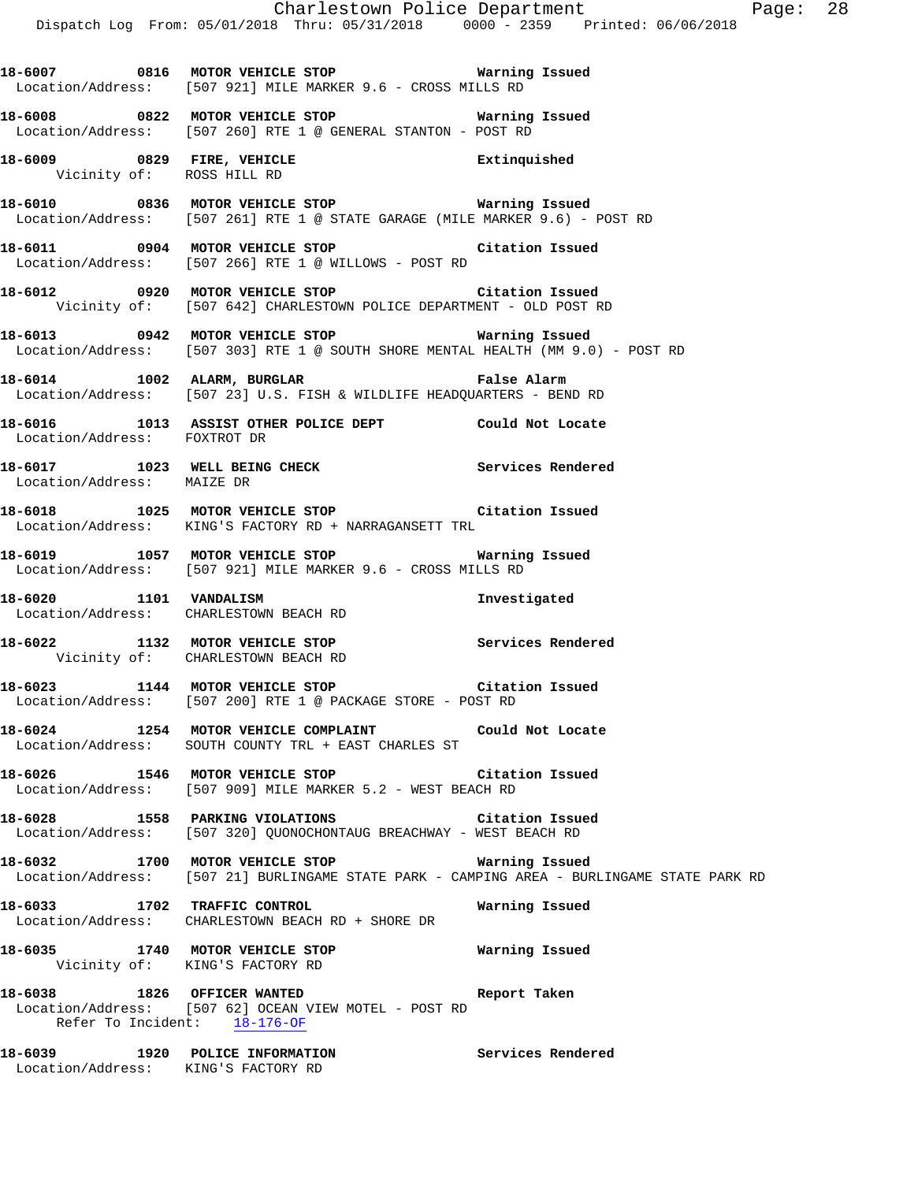Charlestown Police Department The Page: 28 Dispatch Log From: 05/01/2018 Thru: 05/31/2018 0000 - 2359 Printed: 06/06/2018 **18-6007 0816 MOTOR VEHICLE STOP Warning Issued**  Location/Address: [507 921] MILE MARKER 9.6 - CROSS MILLS RD **18-6008 0822 MOTOR VEHICLE STOP Warning Issued**  Location/Address: [507 260] RTE 1 @ GENERAL STANTON - POST RD **18-6009 0829 FIRE, VEHICLE Extinquished**  Vicinity of: ROSS HILL RD **18-6010 0836 MOTOR VEHICLE STOP Warning Issued**  Location/Address: [507 261] RTE 1 @ STATE GARAGE (MILE MARKER 9.6) - POST RD **18-6011 0904 MOTOR VEHICLE STOP Citation Issued**  Location/Address: [507 266] RTE 1 @ WILLOWS - POST RD **18-6012 0920 MOTOR VEHICLE STOP Citation Issued**  Vicinity of: [507 642] CHARLESTOWN POLICE DEPARTMENT - OLD POST RD **18-6013 0942 MOTOR VEHICLE STOP Warning Issued**  Location/Address: [507 303] RTE 1 @ SOUTH SHORE MENTAL HEALTH (MM 9.0) - POST RD **18-6014 1002 ALARM, BURGLAR False Alarm**  Location/Address: [507 23] U.S. FISH & WILDLIFE HEADQUARTERS - BEND RD **18-6016 1013 ASSIST OTHER POLICE DEPT Could Not Locate**  Location/Address: FOXTROT DR 18-6017 **1023** WELL BEING CHECK **Services Rendered**  Location/Address: MAIZE DR **18-6018 1025 MOTOR VEHICLE STOP Citation Issued**  Location/Address: KING'S FACTORY RD + NARRAGANSETT TRL **18-6019 1057 MOTOR VEHICLE STOP Warning Issued**  Location/Address: [507 921] MILE MARKER 9.6 - CROSS MILLS RD **18-6020 1101 VANDALISM Investigated Investigated Investigated** CHARLESTOWN BEACH RD **18-6022 1132 MOTOR VEHICLE STOP Services Rendered**  Vicinity of: CHARLESTOWN BEACH RD **18-6023 1144 MOTOR VEHICLE STOP Citation Issued**  Location/Address: [507 200] RTE 1 @ PACKAGE STORE - POST RD **18-6024 1254 MOTOR VEHICLE COMPLAINT Could Not Locate**  Location/Address: SOUTH COUNTY TRL + EAST CHARLES ST **18-6026 1546 MOTOR VEHICLE STOP Citation Issued**  Location/Address: [507 909] MILE MARKER 5.2 - WEST BEACH RD **18-6028 1558 PARKING VIOLATIONS Citation Issued**  Location/Address: [507 320] QUONOCHONTAUG BREACHWAY - WEST BEACH RD **18-6032 1700 MOTOR VEHICLE STOP Warning Issued**  Location/Address: [507 21] BURLINGAME STATE PARK - CAMPING AREA - BURLINGAME STATE PARK RD **18-6033 1702 TRAFFIC CONTROL Warning Issued**  Location/Address: CHARLESTOWN BEACH RD + SHORE DR **18-6035 1740 MOTOR VEHICLE STOP Warning Issued**  Vicinity of: KING'S FACTORY RD **18-6038 1826 OFFICER WANTED Report Taken**  Location/Address: [507 62] OCEAN VIEW MOTEL - POST RD<br>Refer To Incident: 18-176-OF Refer To Incident: **18-6039 1920 POLICE INFORMATION Services Rendered**  Location/Address: KING'S FACTORY RD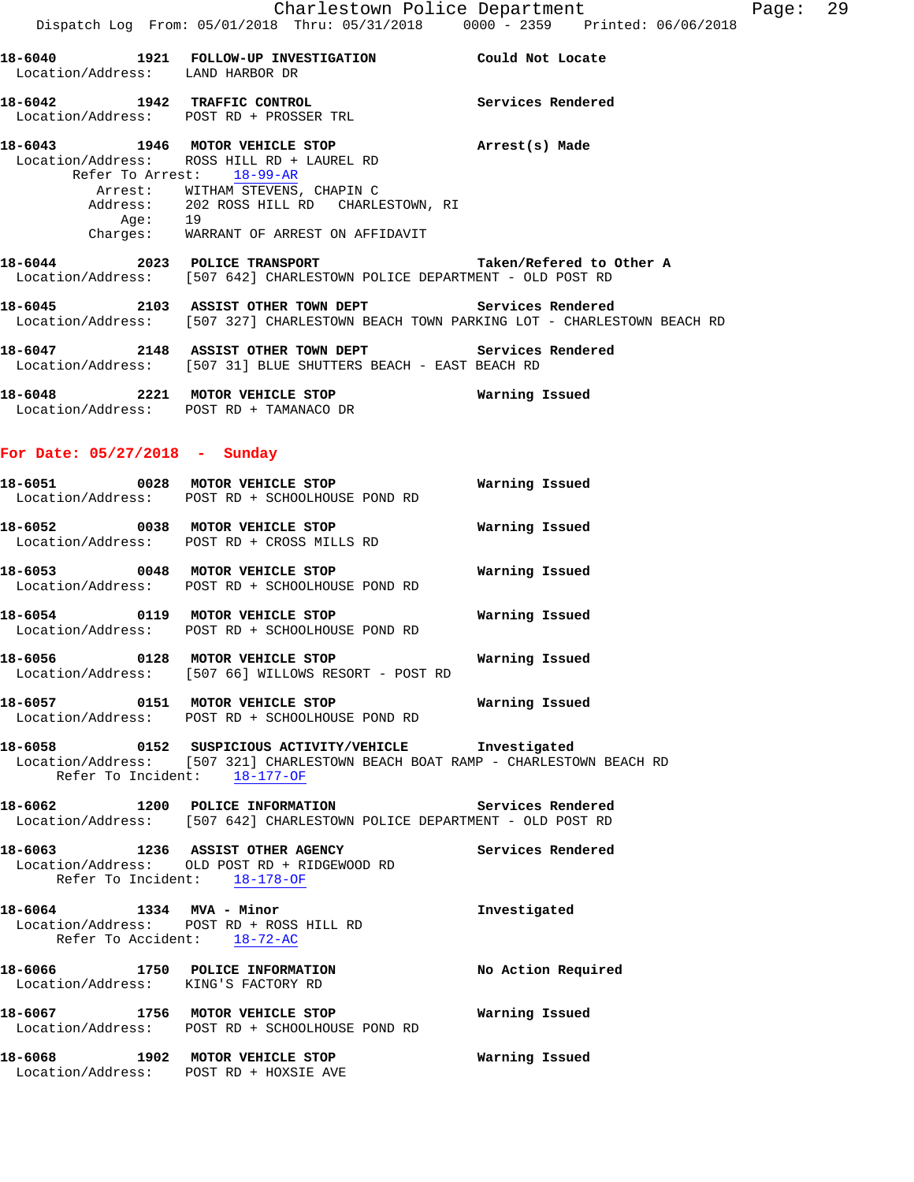**18-6042 1942 TRAFFIC CONTROL Services Rendered**  Location/Address: POST RD + PROSSER TRL

## **18-6043 1946 MOTOR VEHICLE STOP Arrest(s) Made**  Location/Address: ROSS HILL RD + LAUREL RD Refer To Arrest: 18-99-AR Arrest: WITHAM STEVENS, CHAPIN C<br>Address: 202 ROSS HILL RD CHARLI 202 ROSS HILL RD CHARLESTOWN, RI<br>19 Age: Charges: WARRANT OF ARREST ON AFFIDAVIT

**18-6044 2023 POLICE TRANSPORT Taken/Refered to Other A**  Location/Address: [507 642] CHARLESTOWN POLICE DEPARTMENT - OLD POST RD

**18-6045 2103 ASSIST OTHER TOWN DEPT Services Rendered**  Location/Address: [507 327] CHARLESTOWN BEACH TOWN PARKING LOT - CHARLESTOWN BEACH RD

**18-6047 2148 ASSIST OTHER TOWN DEPT Services Rendered**  Location/Address: [507 31] BLUE SHUTTERS BEACH - EAST BEACH RD

**18-6048 2221 MOTOR VEHICLE STOP Warning Issued**  Location/Address: POST RD + TAMANACO DR

## **For Date: 05/27/2018 - Sunday**

| 18–6051           | 0028 | MOTOR VEHICLE STOP            | Warning Issued |
|-------------------|------|-------------------------------|----------------|
| Location/Address: |      | POST RD + SCHOOLHOUSE POND RD |                |
|                   |      |                               |                |
| 18-6052           | 0038 | MOTOR VEHICLE STOP            | Warning Issued |

Location/Address: POST RD + CROSS MILLS RD

**18-6053 0048 MOTOR VEHICLE STOP Warning Issued**  Location/Address: POST RD + SCHOOLHOUSE POND RD

**18-6054 0119 MOTOR VEHICLE STOP Warning Issued**  Location/Address: POST RD + SCHOOLHOUSE POND RD

**18-6056 0128 MOTOR VEHICLE STOP Warning Issued**  Location/Address: [507 66] WILLOWS RESORT - POST RD

**18-6057 0151 MOTOR VEHICLE STOP Warning Issued**  Location/Address: POST RD + SCHOOLHOUSE POND RD

**18-6058 0152 SUSPICIOUS ACTIVITY/VEHICLE Investigated**  Location/Address: [507 321] CHARLESTOWN BEACH BOAT RAMP - CHARLESTOWN BEACH RD Refer To Incident: 18-177-OF

**18-6062 1200 POLICE INFORMATION Services Rendered**  Location/Address: [507 642] CHARLESTOWN POLICE DEPARTMENT - OLD POST RD

**18-6063 1236 ASSIST OTHER AGENCY Services Rendered**  Location/Address: OLD POST RD + RIDGEWOOD RD Refer To Incident: 18-178-OF

**18-6064 1334 MVA - Minor Investigated**  Location/Address: POST RD + ROSS HILL RD Refer To Accident: 18-72-AC

**18-6066 1750 POLICE INFORMATION No Action Required**  Location/Address: KING'S FACTORY RD **18-6067 1756 MOTOR VEHICLE STOP Warning Issued** 

Location/Address: POST RD + SCHOOLHOUSE POND RD

**18-6068 1902 MOTOR VEHICLE STOP Warning Issued**  Location/Address: POST RD + HOXSIE AVE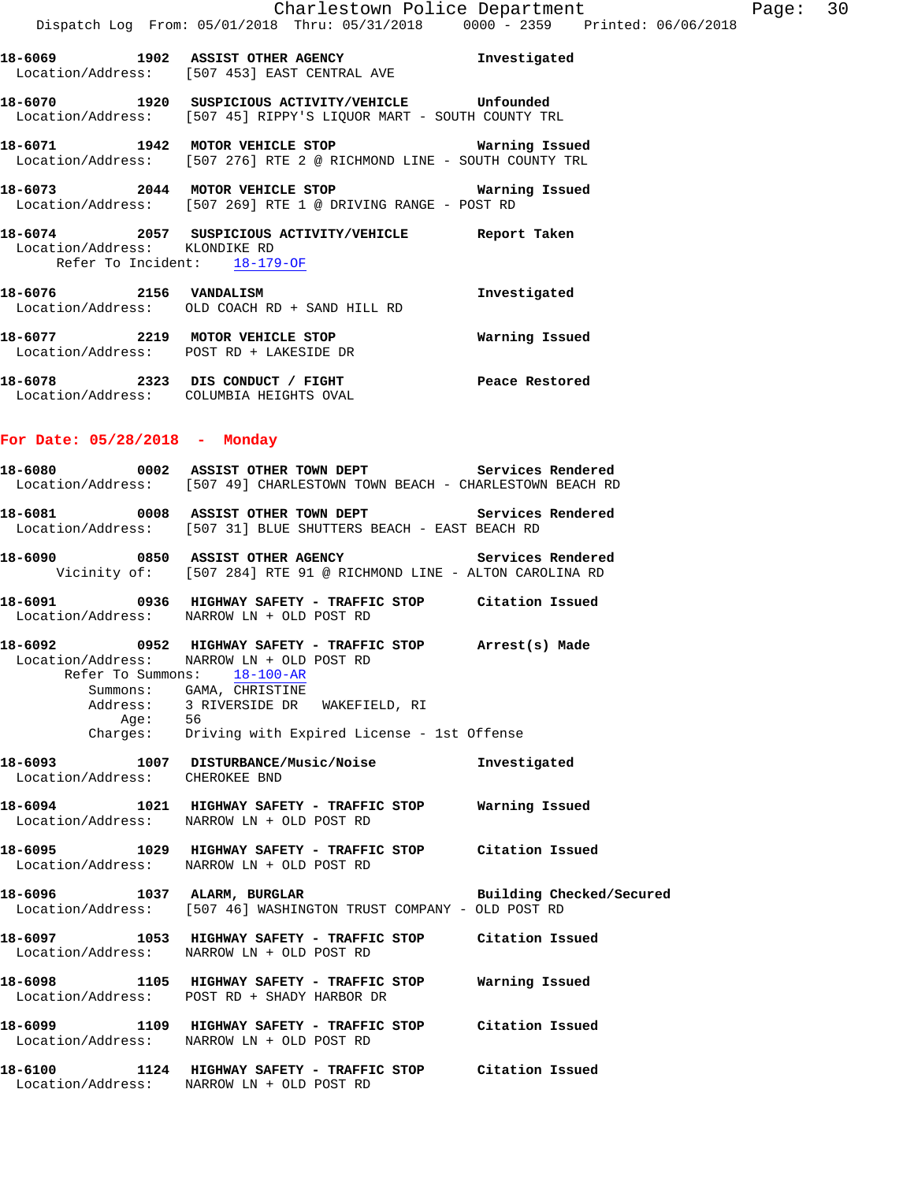**18-6070 1920 SUSPICIOUS ACTIVITY/VEHICLE Unfounded**  Location/Address: [507 45] RIPPY'S LIQUOR MART - SOUTH COUNTY TRL

**18-6071 1942 MOTOR VEHICLE STOP Warning Issued**  Location/Address: [507 276] RTE 2 @ RICHMOND LINE - SOUTH COUNTY TRL

**18-6073 2044 MOTOR VEHICLE STOP Warning Issued**  Location/Address: [507 269] RTE 1 @ DRIVING RANGE - POST RD

**18-6074 2057 SUSPICIOUS ACTIVITY/VEHICLE Report Taken**  Location/Address: KLONDIKE RD Refer To Incident: 18-179-OF

**18-6076 2156 VANDALISM Investigated**  Location/Address: OLD COACH RD + SAND HILL RD **18-6077 2219 MOTOR VEHICLE STOP Warning Issued**  Location/Address: POST RD + LAKESIDE DR

**18-6078 2323 DIS CONDUCT / FIGHT Peace Restored**  Location/Address: COLUMBIA HEIGHTS OVAL

## **For Date: 05/28/2018 - Monday**

**18-6080 0002 ASSIST OTHER TOWN DEPT Services Rendered**  Location/Address: [507 49] CHARLESTOWN TOWN BEACH - CHARLESTOWN BEACH RD **18-6081 0008 ASSIST OTHER TOWN DEPT Services Rendered**  Location/Address: [507 31] BLUE SHUTTERS BEACH - EAST BEACH RD

**18-6090 0850 ASSIST OTHER AGENCY Services Rendered**  Vicinity of: [507 284] RTE 91 @ RICHMOND LINE - ALTON CAROLINA RD

**18-6091 0936 HIGHWAY SAFETY - TRAFFIC STOP Citation Issued**  Location/Address: NARROW LN + OLD POST RD

**18-6092 0952 HIGHWAY SAFETY - TRAFFIC STOP Arrest(s) Made**  Location/Address: NARROW LN + OLD POST RD Refer To Summons: 18-100-AR Summons: GAMA, CHRISTINE<br>Address: 3 RIVERSIDE DR 3 RIVERSIDE DR WAKEFIELD, RI Age: 56

Charges: Driving with Expired License - 1st Offense

**18-6093 1007 DISTURBANCE/Music/Noise Investigated**  Location/Address: CHEROKEE BND

**18-6094 1021 HIGHWAY SAFETY - TRAFFIC STOP Warning Issued**  Location/Address: NARROW LN + OLD POST RD

**18-6095 1029 HIGHWAY SAFETY - TRAFFIC STOP Citation Issued**  Location/Address: NARROW LN + OLD POST RD

18-6096 1037 ALARM, BURGLAR **Building Checked/Secured** Location/Address: [507 46] WASHINGTON TRUST COMPANY - OLD POST RD

**18-6097 1053 HIGHWAY SAFETY - TRAFFIC STOP Citation Issued**  Location/Address: NARROW LN + OLD POST RD

**18-6098 1105 HIGHWAY SAFETY - TRAFFIC STOP Warning Issued**  Location/Address: POST RD + SHADY HARBOR DR

**18-6099 1109 HIGHWAY SAFETY - TRAFFIC STOP Citation Issued**  Location/Address: NARROW LN + OLD POST RD

**18-6100 1124 HIGHWAY SAFETY - TRAFFIC STOP Citation Issued**  Location/Address: NARROW LN + OLD POST RD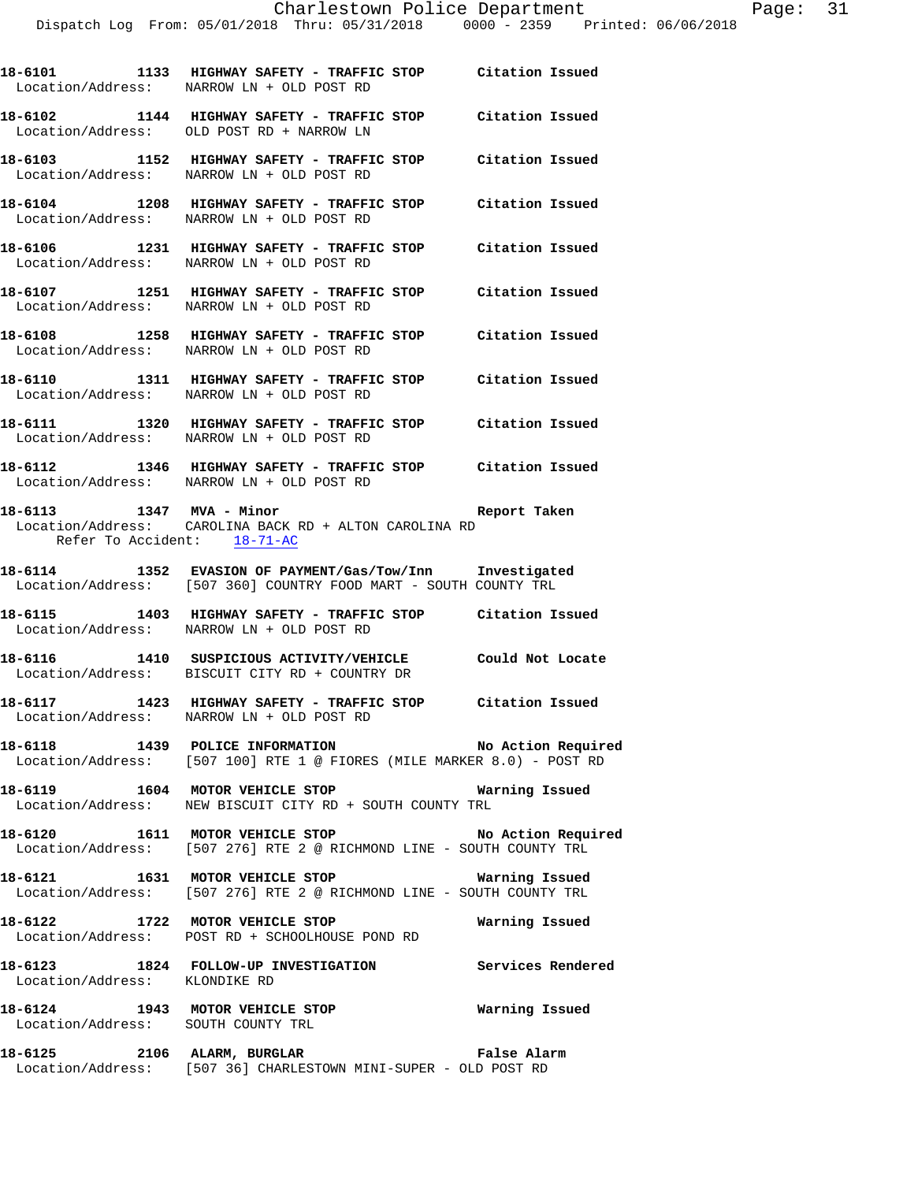**18-6101 1133 HIGHWAY SAFETY - TRAFFIC STOP Citation Issued**  Location/Address: NARROW LN + OLD POST RD

**18-6102 1144 HIGHWAY SAFETY - TRAFFIC STOP Citation Issued**  Location/Address: OLD POST RD + NARROW LN

**18-6103 1152 HIGHWAY SAFETY - TRAFFIC STOP Citation Issued**  Location/Address: NARROW LN + OLD POST RD

**18-6104 1208 HIGHWAY SAFETY - TRAFFIC STOP Citation Issued**  Location/Address: NARROW LN + OLD POST RD

**18-6106 1231 HIGHWAY SAFETY - TRAFFIC STOP Citation Issued**  Location/Address: NARROW LN + OLD POST RD

**18-6107 1251 HIGHWAY SAFETY - TRAFFIC STOP Citation Issued**  Location/Address: NARROW LN + OLD POST RD

**18-6108 1258 HIGHWAY SAFETY - TRAFFIC STOP Citation Issued**  Location/Address: NARROW LN + OLD POST RD

**18-6110 1311 HIGHWAY SAFETY - TRAFFIC STOP Citation Issued**  Location/Address: NARROW LN + OLD POST RD

**18-6111 1320 HIGHWAY SAFETY - TRAFFIC STOP Citation Issued**  Location/Address: NARROW LN + OLD POST RD

**18-6112 1346 HIGHWAY SAFETY - TRAFFIC STOP Citation Issued**  Location/Address: NARROW LN + OLD POST RD

**18-6113 1347 MVA - Minor Report Taken**  Location/Address: CAROLINA BACK RD + ALTON CAROLINA RD Refer To Accident: 18-71-AC

**18-6114 1352 EVASION OF PAYMENT/Gas/Tow/Inn Investigated**  Location/Address: [507 360] COUNTRY FOOD MART - SOUTH COUNTY TRL

**18-6115 1403 HIGHWAY SAFETY - TRAFFIC STOP Citation Issued**  Location/Address: NARROW LN + OLD POST RD

**18-6116 1410 SUSPICIOUS ACTIVITY/VEHICLE Could Not Locate**  Location/Address: BISCUIT CITY RD + COUNTRY DR

**18-6117 1423 HIGHWAY SAFETY - TRAFFIC STOP Citation Issued**  Location/Address: NARROW LN + OLD POST RD

**18-6118 1439 POLICE INFORMATION No Action Required**  Location/Address: [507 100] RTE 1 @ FIORES (MILE MARKER 8.0) - POST RD

**18-6119 1604 MOTOR VEHICLE STOP Warning Issued**  Location/Address: NEW BISCUIT CITY RD + SOUTH COUNTY TRL

**18-6120 1611 MOTOR VEHICLE STOP No Action Required**  Location/Address: [507 276] RTE 2 @ RICHMOND LINE - SOUTH COUNTY TRL

**18-6121 1631 MOTOR VEHICLE STOP Warning Issued**  Location/Address: [507 276] RTE 2 @ RICHMOND LINE - SOUTH COUNTY TRL

**18-6122 1722 MOTOR VEHICLE STOP Warning Issued**  Location/Address: POST RD + SCHOOLHOUSE POND RD

**18-6123 1824 FOLLOW-UP INVESTIGATION Services Rendered**  Location/Address: KLONDIKE RD

**18-6124 1943 MOTOR VEHICLE STOP Warning Issued**  Location/Address: SOUTH COUNTY TRL

**18-6125 2106 ALARM, BURGLAR False Alarm**  Location/Address: [507 36] CHARLESTOWN MINI-SUPER - OLD POST RD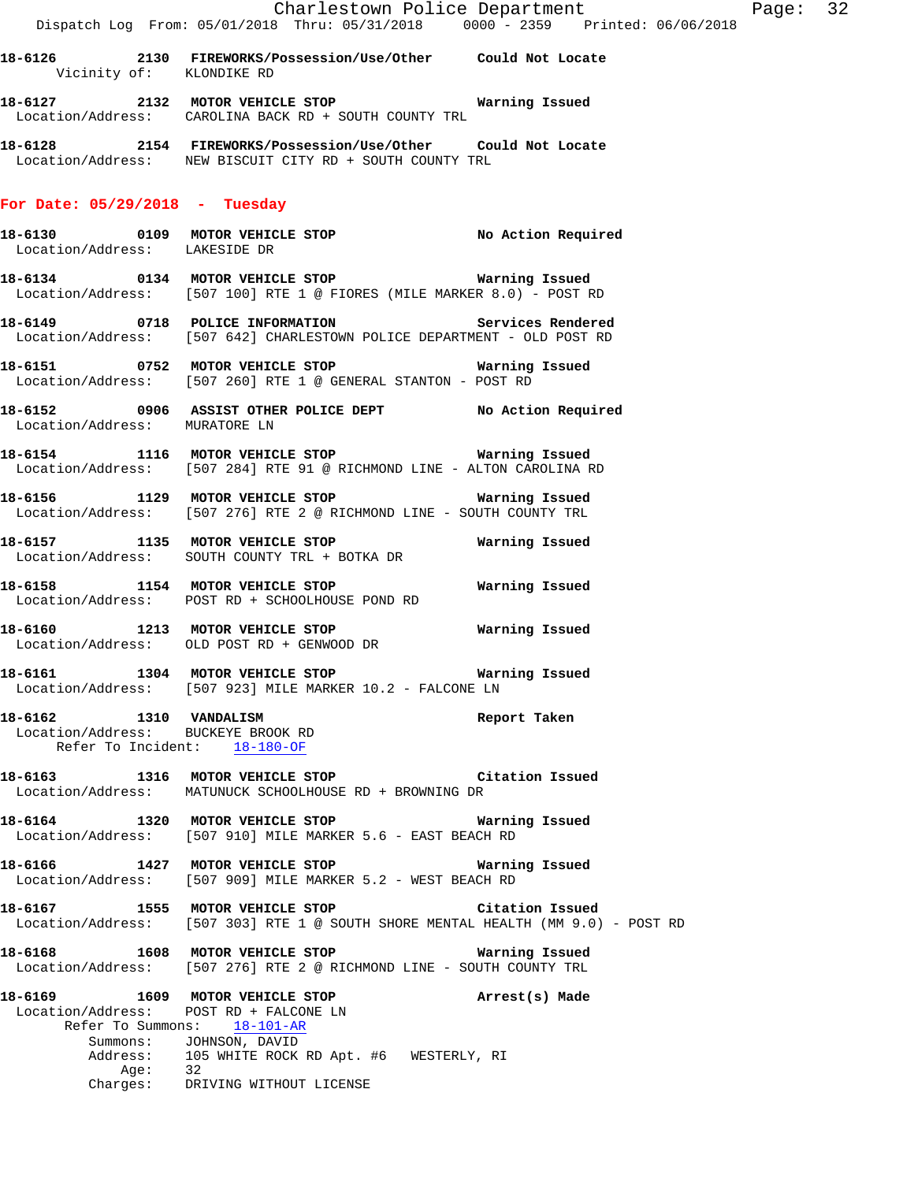**18-6126 2130 FIREWORKS/Possession/Use/Other Could Not Locate**  Vicinity of: KLONDIKE RD

**18-6127 2132 MOTOR VEHICLE STOP Warning Issued**  Location/Address: CAROLINA BACK RD + SOUTH COUNTY TRL

**18-6128 2154 FIREWORKS/Possession/Use/Other Could Not Locate**  Location/Address: NEW BISCUIT CITY RD + SOUTH COUNTY TRL

#### **For Date: 05/29/2018 - Tuesday**

- **18-6130 0109 MOTOR VEHICLE STOP No Action Required**  Location/Address: LAKESIDE DR
- **18-6134 0134 MOTOR VEHICLE STOP Warning Issued**  Location/Address: [507 100] RTE 1 @ FIORES (MILE MARKER 8.0) - POST RD
- **18-6149 0718 POLICE INFORMATION Services Rendered**  Location/Address: [507 642] CHARLESTOWN POLICE DEPARTMENT - OLD POST RD
- **18-6151 0752 MOTOR VEHICLE STOP Warning Issued**  Location/Address: [507 260] RTE 1 @ GENERAL STANTON - POST RD
- **18-6152 0906 ASSIST OTHER POLICE DEPT No Action Required**  Location/Address: MURATORE LN
- **18-6154 1116 MOTOR VEHICLE STOP Warning Issued**  Location/Address: [507 284] RTE 91 @ RICHMOND LINE - ALTON CAROLINA RD
- **18-6156 1129 MOTOR VEHICLE STOP Warning Issued**  Location/Address: [507 276] RTE 2 @ RICHMOND LINE - SOUTH COUNTY TRL
- **18-6157 1135 MOTOR VEHICLE STOP Warning Issued**  Location/Address: SOUTH COUNTY TRL + BOTKA DR
- **18-6158 1154 MOTOR VEHICLE STOP Warning Issued**  Location/Address: POST RD + SCHOOLHOUSE POND RD
- **18-6160 1213 MOTOR VEHICLE STOP Warning Issued**  Location/Address: OLD POST RD + GENWOOD DR
- **18-6161 1304 MOTOR VEHICLE STOP Warning Issued**  Location/Address: [507 923] MILE MARKER 10.2 - FALCONE LN
- **18-6162 1310 VANDALISM Report Taken**  Location/Address: BUCKEYE BROOK RD Refer To Incident: 18-180-OF
- **18-6163 1316 MOTOR VEHICLE STOP Citation Issued**  Location/Address: MATUNUCK SCHOOLHOUSE RD + BROWNING DR
- **18-6164 1320 MOTOR VEHICLE STOP Warning Issued**  Location/Address: [507 910] MILE MARKER 5.6 - EAST BEACH RD
- **18-6166 1427 MOTOR VEHICLE STOP Warning Issued**  Location/Address: [507 909] MILE MARKER 5.2 - WEST BEACH RD
- **18-6167 1555 MOTOR VEHICLE STOP Citation Issued**  Location/Address: [507 303] RTE 1 @ SOUTH SHORE MENTAL HEALTH (MM 9.0) - POST RD
- **18-6168 1608 MOTOR VEHICLE STOP Warning Issued**  Location/Address: [507 276] RTE 2 @ RICHMOND LINE - SOUTH COUNTY TRL
- **18-6169 1609 MOTOR VEHICLE STOP Arrest(s) Made**  Location/Address: POST RD + FALCONE LN Refer To Summons: 18-101-AR Summons: JOHNSON, DAVID<br>Address: 105 WHITE ROCK 105 WHITE ROCK RD Apt. #6 WESTERLY, RI Age: 32 Charges: DRIVING WITHOUT LICENSE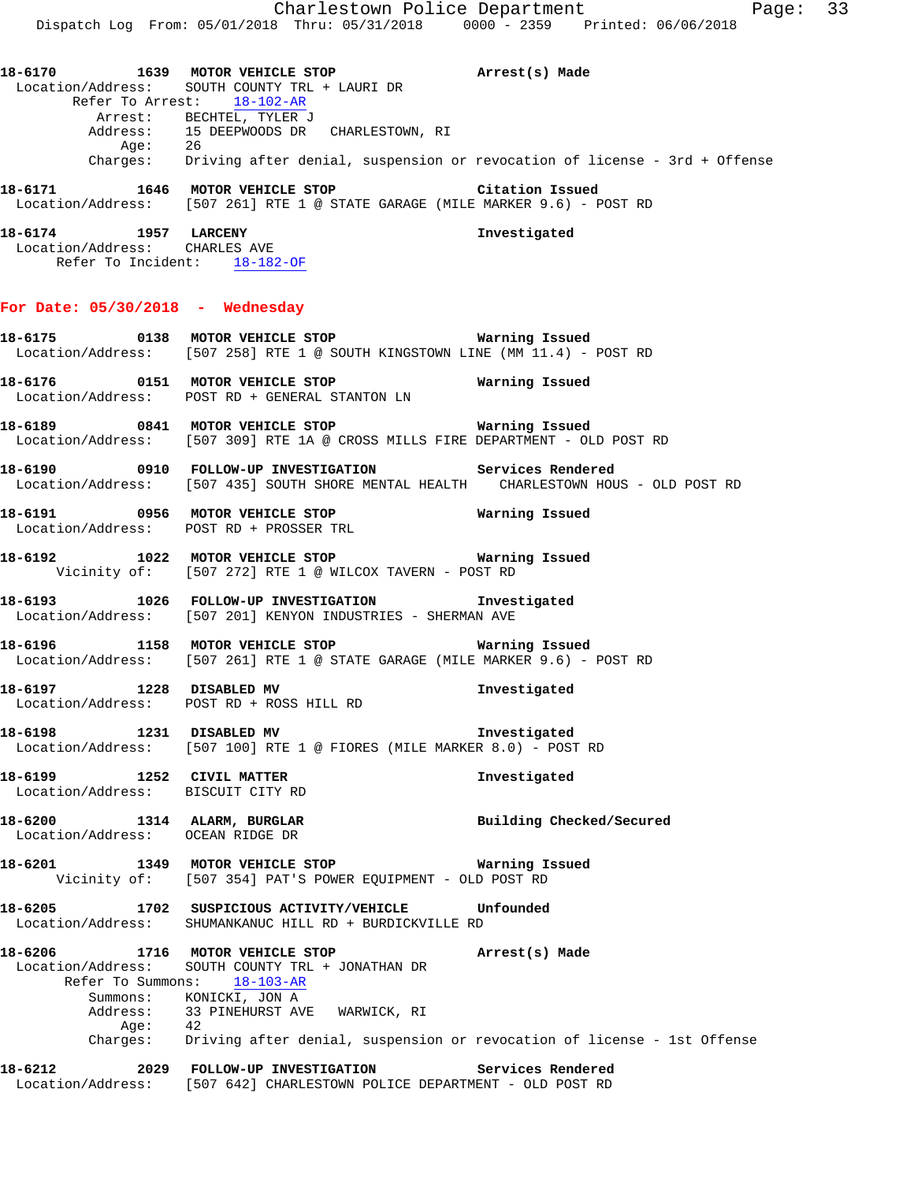Charlestown Police Department Page: 33 Dispatch Log From: 05/01/2018 Thru: 05/31/2018 0000 - 2359 Printed: 06/06/2018 **18-6170 1639 MOTOR VEHICLE STOP Arrest(s) Made**  Location/Address: SOUTH COUNTY TRL + LAURI DR Refer To Arrest: 18-102-AR Arrest: BECHTEL, TYLER J Address: 15 DEEPWOODS DR CHARLESTOWN, RI Age: 26 Charges: Driving after denial, suspension or revocation of license - 3rd + Offense **18-6171 1646 MOTOR VEHICLE STOP Citation Issued**  Location/Address: [507 261] RTE 1 @ STATE GARAGE (MILE MARKER 9.6) - POST RD **18-6174 1957 LARCENY Investigated**  Location/Address: CHARLES AVE Refer To Incident: 18-182-OF **For Date: 05/30/2018 - Wednesday 18-6175 0138 MOTOR VEHICLE STOP Warning Issued**  Location/Address: [507 258] RTE 1 @ SOUTH KINGSTOWN LINE (MM 11.4) - POST RD **18-6176 0151 MOTOR VEHICLE STOP Warning Issued**  Location/Address: POST RD + GENERAL STANTON LN **18-6189 0841 MOTOR VEHICLE STOP Warning Issued**  Location/Address: [507 309] RTE 1A @ CROSS MILLS FIRE DEPARTMENT - OLD POST RD **18-6190 0910 FOLLOW-UP INVESTIGATION Services Rendered**  Location/Address: [507 435] SOUTH SHORE MENTAL HEALTH CHARLESTOWN HOUS - OLD POST RD **18-6191 0956 MOTOR VEHICLE STOP Warning Issued**  Location/Address: POST RD + PROSSER TRL **18-6192 1022 MOTOR VEHICLE STOP Warning Issued**  Vicinity of: [507 272] RTE 1 @ WILCOX TAVERN - POST RD **18-6193 1026 FOLLOW-UP INVESTIGATION Investigated**  Location/Address: [507 201] KENYON INDUSTRIES - SHERMAN AVE **18-6196 1158 MOTOR VEHICLE STOP Warning Issued**  Location/Address: [507 261] RTE 1 @ STATE GARAGE (MILE MARKER 9.6) - POST RD **18-6197 1228 DISABLED MV Investigated**  Location/Address: POST RD + ROSS HILL RD **18-6198 1231 DISABLED MV Investigated**  Location/Address: [507 100] RTE 1 @ FIORES (MILE MARKER 8.0) - POST RD **18-6199 1252 CIVIL MATTER Investigated**  Location/Address: BISCUIT CITY RD 18-6200 1314 ALARM, BURGLAR **Building Checked/Secured**  Location/Address: OCEAN RIDGE DR **18-6201 1349 MOTOR VEHICLE STOP Warning Issued**  Vicinity of: [507 354] PAT'S POWER EQUIPMENT - OLD POST RD **18-6205 1702 SUSPICIOUS ACTIVITY/VEHICLE Unfounded**  Location/Address: SHUMANKANUC HILL RD + BURDICKVILLE RD **18-6206 1716 MOTOR VEHICLE STOP Arrest(s) Made**  Location/Address: SOUTH COUNTY TRL + JONATHAN DR Refer To Summons: 18-103-AR Summons: KONICKI, JON A Address: 33 PINEHURST AVE WARWICK, RI<br>Age: 42 Age:<br>:Charges Driving after denial, suspension or revocation of license - 1st Offense **18-6212 2029 FOLLOW-UP INVESTIGATION Services Rendered**  Location/Address: [507 642] CHARLESTOWN POLICE DEPARTMENT - OLD POST RD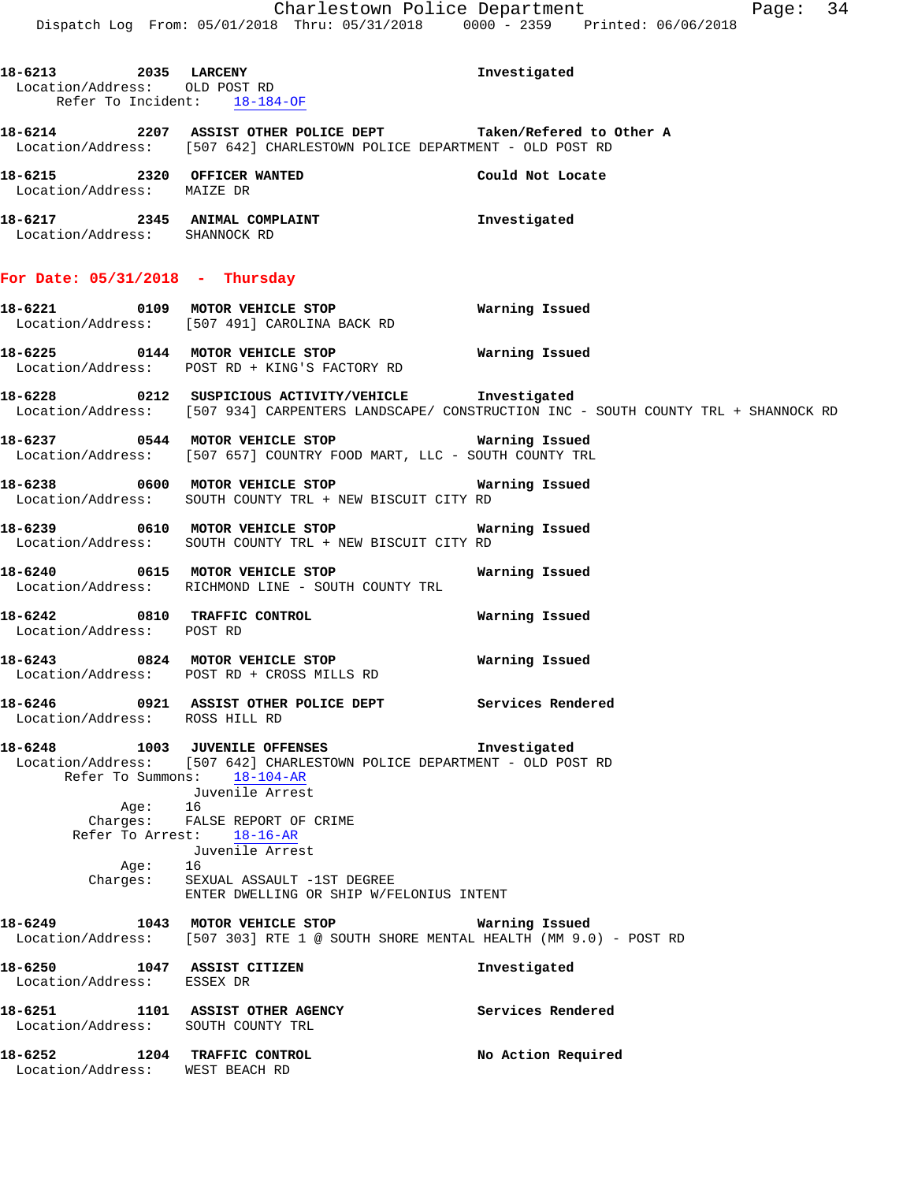| 18-6213 2035 LARCENY<br>Location/Address: OLD POST RD<br>Refer To Incident: 18-184-OF |                                                                                                                                                                                                                                                                                                                                | Investigated                                                                                        |
|---------------------------------------------------------------------------------------|--------------------------------------------------------------------------------------------------------------------------------------------------------------------------------------------------------------------------------------------------------------------------------------------------------------------------------|-----------------------------------------------------------------------------------------------------|
|                                                                                       | 18-6214 2207 ASSIST OTHER POLICE DEPT Taken/Refered to Other A<br>Location/Address: [507 642] CHARLESTOWN POLICE DEPARTMENT - OLD POST RD                                                                                                                                                                                      |                                                                                                     |
| 18-6215 2320 OFFICER WANTED<br>Location/Address: MAIZE DR                             |                                                                                                                                                                                                                                                                                                                                | Could Not Locate                                                                                    |
| 18-6217 2345 ANIMAL COMPLAINT<br>Location/Address: SHANNOCK RD                        |                                                                                                                                                                                                                                                                                                                                | Investigated                                                                                        |
| For Date: $05/31/2018$ - Thursday                                                     |                                                                                                                                                                                                                                                                                                                                |                                                                                                     |
|                                                                                       | 18-6221 0109 MOTOR VEHICLE STOP<br>Location/Address: [507 491] CAROLINA BACK RD                                                                                                                                                                                                                                                | Warning Issued                                                                                      |
|                                                                                       | Location/Address: POST RD + KING'S FACTORY RD                                                                                                                                                                                                                                                                                  |                                                                                                     |
|                                                                                       | 18-6228 18-212 SUSPICIOUS ACTIVITY/VEHICLE 1nvestigated                                                                                                                                                                                                                                                                        | Location/Address: [507 934] CARPENTERS LANDSCAPE/ CONSTRUCTION INC - SOUTH COUNTY TRL + SHANNOCK RD |
|                                                                                       | 18-6237 0544 MOTOR VEHICLE STOP <b>WATER WATER</b><br>Location/Address: [507 657] COUNTRY FOOD MART, LLC - SOUTH COUNTY TRL                                                                                                                                                                                                    |                                                                                                     |
|                                                                                       | 18-6238 0600 MOTOR VEHICLE STOP<br>Location/Address: SOUTH COUNTY TRL + NEW BISCUIT CITY RD                                                                                                                                                                                                                                    | Warning Issued                                                                                      |
|                                                                                       | 18-6239 0610 MOTOR VEHICLE STOP 6239 Warning Issued<br>Location/Address: SOUTH COUNTY TRL + NEW BISCUIT CITY RD                                                                                                                                                                                                                |                                                                                                     |
|                                                                                       | 18-6240 0615 MOTOR VEHICLE STOP<br>Location/Address: RICHMOND LINE - SOUTH COUNTY TRL                                                                                                                                                                                                                                          | Warning Issued                                                                                      |
| Location/Address: POST RD                                                             | 18-6242 0810 TRAFFIC CONTROL                                                                                                                                                                                                                                                                                                   | Warning Issued                                                                                      |
|                                                                                       | 18-6243 0824 MOTOR VEHICLE STOP<br>Location/Address: POST RD + CROSS MILLS RD                                                                                                                                                                                                                                                  | Warning Issued                                                                                      |
| Location/Address: ROSS HILL RD                                                        | 18-6246 		 0921 ASSIST OTHER POLICE DEPT Services Rendered                                                                                                                                                                                                                                                                     |                                                                                                     |
| 18-6248<br>Age: 16<br>Aqe:                                                            | 1003 JUVENILE OFFENSES<br>Location/Address: [507 642] CHARLESTOWN POLICE DEPARTMENT - OLD POST RD<br>Refer To Summons: 18-104-AR<br>Juvenile Arrest<br>Charges: FALSE REPORT OF CRIME<br>Refer To Arrest: 18-16-AR<br>Juvenile Arrest<br>16<br>Charges: SEXUAL ASSAULT -1ST DEGREE<br>ENTER DWELLING OR SHIP W/FELONIUS INTENT | Investigated                                                                                        |
| 18-6249                                                                               | 1043 MOTOR VEHICLE STOP<br>Location/Address: [507 303] RTE 1 @ SOUTH SHORE MENTAL HEALTH (MM 9.0) - POST RD                                                                                                                                                                                                                    | Warning Issued                                                                                      |
| 18-6250 1047 ASSIST CITIZEN<br>Location/Address: ESSEX DR                             |                                                                                                                                                                                                                                                                                                                                | Investigated                                                                                        |
| 18-6251<br>Location/Address: SOUTH COUNTY TRL                                         | 1101 ASSIST OTHER AGENCY                                                                                                                                                                                                                                                                                                       | Services Rendered                                                                                   |
| 18-6252                                                                               | 1204 TRAFFIC CONTROL                                                                                                                                                                                                                                                                                                           | No Action Required                                                                                  |

Location/Address: WEST BEACH RD